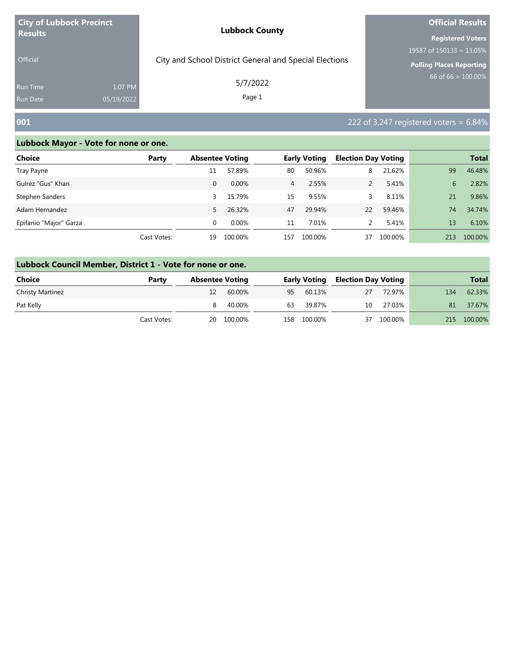| <b>City of Lubbock Precinct</b>    |                       | <b>Lubbock County</b>                                  | <b>Official Results</b>                                  |  |  |
|------------------------------------|-----------------------|--------------------------------------------------------|----------------------------------------------------------|--|--|
| <b>Results</b><br><b>Official</b>  |                       | City and School District General and Special Elections | <b>Registered Voters</b><br>19587 of $150133 = 13.05\%$  |  |  |
| <b>Run Time</b><br><b>Run Date</b> | 1:07 PM<br>05/19/2022 | 5/7/2022<br>Page 1                                     | <b>Polling Places Reporting</b><br>66 of 66 = $100.00\%$ |  |  |
| 001                                |                       |                                                        | 222 of 3,247 registered voters = $6.84\%$                |  |  |

| <b>Choice</b>          | Party       | <b>Absentee Voting</b> |         |                | <b>Early Voting</b> | <b>Election Day Voting</b> |         |     | <b>Total</b> |
|------------------------|-------------|------------------------|---------|----------------|---------------------|----------------------------|---------|-----|--------------|
| Tray Payne             |             | 11                     | 57.89%  | 80             | 50.96%              | 8                          | 21.62%  | 99  | 46.48%       |
| Gulrez "Gus" Khan      |             | $\Omega$               | 0.00%   | $\overline{4}$ | 2.55%               |                            | 5.41%   | 6   | 2.82%        |
| Stephen Sanders        |             | 3                      | 15.79%  | 15             | 9.55%               |                            | 8.11%   | 21  | 9.86%        |
| Adam Hernandez         |             | 5.                     | 26.32%  | 47             | 29.94%              | 22                         | 59.46%  | 74  | 34.74%       |
| Epifanio "Major" Garza |             | 0                      | 0.00%   | 11             | 7.01%               |                            | 5.41%   | 13  | 6.10%        |
|                        | Cast Votes: | 19                     | 100.00% | 157            | 100.00%             | 37                         | 100.00% | 213 | 100.00%      |

| Lubbock Council Member, District 1 - Vote for none or one. |             |                        |         |              |             |                            |         |     |              |  |  |
|------------------------------------------------------------|-------------|------------------------|---------|--------------|-------------|----------------------------|---------|-----|--------------|--|--|
| <b>Choice</b>                                              | Party       | <b>Absentee Voting</b> |         | Early Voting |             | <b>Election Day Voting</b> |         |     | <b>Total</b> |  |  |
| <b>Christy Martinez</b>                                    |             |                        | 60.00%  | 95           | 60.13%      | 27                         | 72.97%  | 134 | 62.33%       |  |  |
| Pat Kelly                                                  |             |                        | 40.00%  | 63           | 39.87%      | 10                         | 27.03%  | 81  | 37.67%       |  |  |
|                                                            | Cast Votes: | 20                     | 100.00% |              | 158 100.00% | 37                         | 100.00% | 215 | 100.00%      |  |  |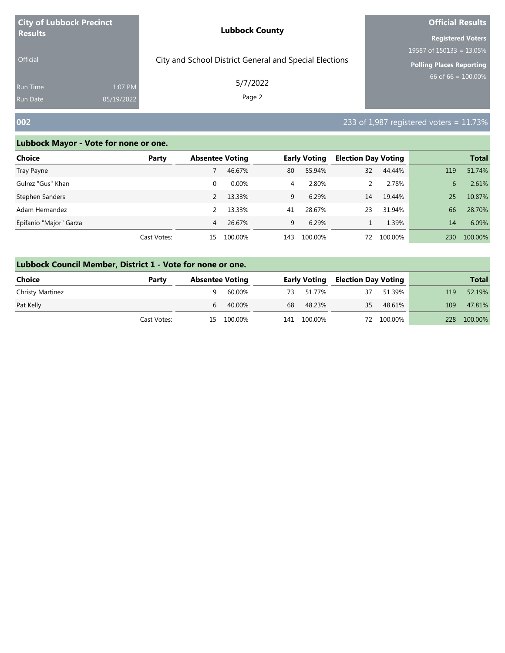| <b>City of Lubbock Precinct</b>    |                       | <b>Lubbock County</b>                                  | <b>Official Results</b>     |  |  |
|------------------------------------|-----------------------|--------------------------------------------------------|-----------------------------|--|--|
| <b>Results</b>                     |                       |                                                        | <b>Registered Voters</b>    |  |  |
|                                    |                       |                                                        | 19587 of $150133 = 13.05\%$ |  |  |
| <b>Official</b>                    |                       | City and School District General and Special Elections | Polling Places Reporting    |  |  |
| <b>Run Time</b><br><b>Run Date</b> | 1:07 PM<br>05/19/2022 | 5/7/2022<br>Page 2                                     | $66$ of 66 = 100.00%        |  |  |
|                                    |                       |                                                        |                             |  |  |

### **002** 233 of 1,987 registered voters = 11.73%

| Choice                 | Party       | <b>Absentee Voting</b> |          |     | <b>Early Voting</b> | <b>Election Day Voting</b> |         |     | <b>Total</b> |
|------------------------|-------------|------------------------|----------|-----|---------------------|----------------------------|---------|-----|--------------|
| Tray Payne             |             |                        | 46.67%   | 80  | 55.94%              | 32                         | 44.44%  | 119 | 51.74%       |
| Gulrez "Gus" Khan      |             | 0                      | $0.00\%$ | 4   | 2.80%               |                            | 2.78%   | 6   | 2.61%        |
| Stephen Sanders        |             | $\mathcal{P}$          | 13.33%   | 9   | 6.29%               | 14                         | 19.44%  | 25  | 10.87%       |
| Adam Hernandez         |             | $\mathcal{P}$          | 13.33%   | 41  | 28.67%              | 23                         | 31.94%  | 66  | 28.70%       |
| Epifanio "Major" Garza |             | 4                      | 26.67%   | 9   | 6.29%               |                            | 1.39%   | 14  | 6.09%        |
|                        | Cast Votes: | 15                     | 100.00%  | 143 | 100.00%             | 72                         | 100.00% | 230 | 100.00%      |

| Lubbock Council Member, District 1 - Vote for none or one. |  |
|------------------------------------------------------------|--|
|                                                            |  |

| <b>Choice</b>           | Party       | <b>Absentee Voting</b> |            |    | <b>Early Voting</b> | <b>Election Day Voting</b> |            |            | <b>Total</b> |
|-------------------------|-------------|------------------------|------------|----|---------------------|----------------------------|------------|------------|--------------|
| <b>Christy Martinez</b> |             |                        | 60.00%     |    | 73 51.77%           | 37                         | 51.39%     | 119        | 52.19%       |
| Pat Kelly               |             |                        | 40.00%     | 68 | 48.23%              | 35                         | 48.61%     | 109        | 47.81%       |
|                         | Cast Votes: |                        | 15 100.00% |    | 141 100.00%         |                            | 72 100.00% | <b>228</b> | 100.00%      |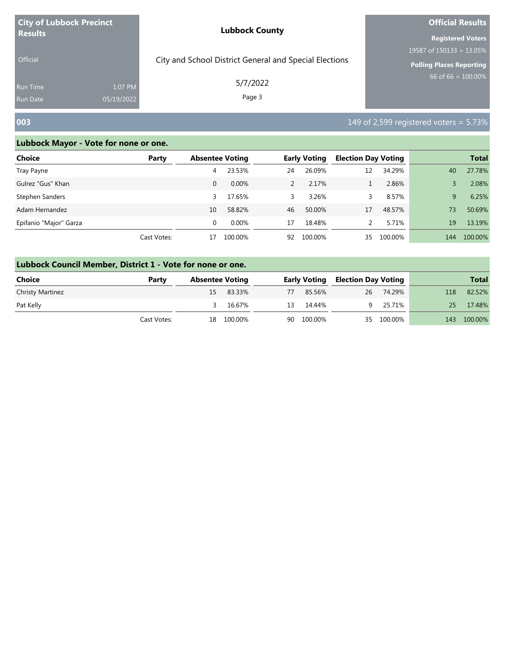| <b>City of Lubbock Precinct</b>    |                       | <b>Lubbock County</b>                                  | <b>Official Results</b>                                                                    |  |  |
|------------------------------------|-----------------------|--------------------------------------------------------|--------------------------------------------------------------------------------------------|--|--|
| <b>Results</b><br><b>Official</b>  |                       | City and School District General and Special Elections | <b>Registered Voters</b><br>19587 of $150133 = 13.05\%$<br><b>Polling Places Reporting</b> |  |  |
| <b>Run Time</b><br><b>Run Date</b> | 1:07 PM<br>05/19/2022 | 5/7/2022<br>Page 3                                     | 66 of 66 = $100.00\%$                                                                      |  |  |
| 003                                |                       |                                                        | 149 of 2,599 registered voters = $5.73\%$                                                  |  |  |

| <b>Choice</b>          | Party       | <b>Absentee Voting</b> |         |    | <b>Early Voting</b> | <b>Election Day Voting</b> |         |     | <b>Total</b> |
|------------------------|-------------|------------------------|---------|----|---------------------|----------------------------|---------|-----|--------------|
| Tray Payne             |             | 4                      | 23.53%  | 24 | 26.09%              | 12                         | 34.29%  | 40  | 27.78%       |
| Gulrez "Gus" Khan      |             | 0                      | 0.00%   |    | 2.17%               |                            | 2.86%   |     | 2.08%        |
| Stephen Sanders        |             | 3                      | 17.65%  | 3. | 3.26%               |                            | 8.57%   | 9   | 6.25%        |
| Adam Hernandez         |             | 10                     | 58.82%  | 46 | 50.00%              | 17                         | 48.57%  | 73  | 50.69%       |
| Epifanio "Major" Garza |             | $\Omega$               | 0.00%   | 17 | 18.48%              |                            | 5.71%   | 19  | 13.19%       |
|                        | Cast Votes: | 17                     | 100.00% | 92 | 100.00%             | 35                         | 100.00% | 144 | 100.00%      |

| Lubbock Council Member, District 1 - Vote for none or one. |             |    |                        |    |                     |                            |              |     |         |  |  |  |
|------------------------------------------------------------|-------------|----|------------------------|----|---------------------|----------------------------|--------------|-----|---------|--|--|--|
| <b>Choice</b>                                              | Party       |    | <b>Absentee Voting</b> |    | <b>Early Voting</b> | <b>Election Day Voting</b> | <b>Total</b> |     |         |  |  |  |
| <b>Christy Martinez</b>                                    |             | 15 | 83.33%                 | 77 | 85.56%              | 26                         | 74.29%       | 118 | 82.52%  |  |  |  |
| Pat Kelly                                                  |             |    | 16.67%                 | 13 | 14.44%              | 9.                         | 25.71%       | 25. | 17.48%  |  |  |  |
|                                                            | Cast Votes: | 18 | 100.00%                |    | 90 100.00%          |                            | 35 100.00%   | 143 | 100.00% |  |  |  |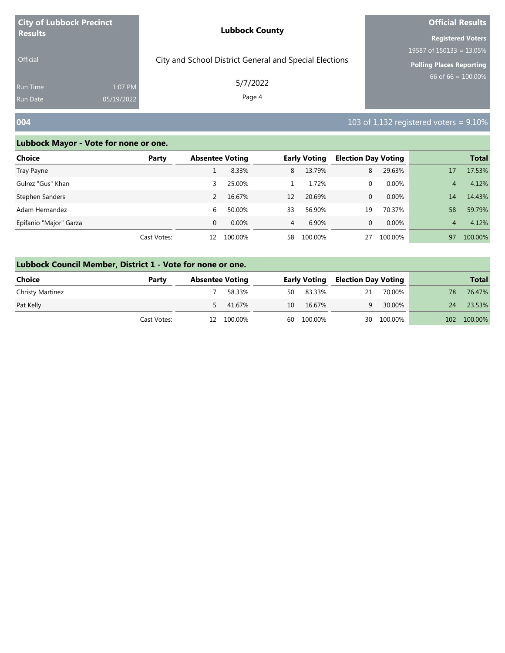| <b>City of Lubbock Precinct</b>   |                       | <b>Lubbock County</b>                                  | <b>Official Results</b>                                                                    |  |  |
|-----------------------------------|-----------------------|--------------------------------------------------------|--------------------------------------------------------------------------------------------|--|--|
| <b>Results</b><br><b>Official</b> |                       | City and School District General and Special Elections | <b>Registered Voters</b><br>19587 of $150133 = 13.05\%$<br><b>Polling Places Reporting</b> |  |  |
| <b>Run Time</b><br>Run Date       | 1:07 PM<br>05/19/2022 | 5/7/2022<br>Page 4                                     | 66 of 66 = $100.00\%$                                                                      |  |  |
| 004                               |                       |                                                        | 103 of 1,132 registered voters = $9.10\%$                                                  |  |  |

| Choice                 | Party       | <b>Absentee Voting</b> |          |                | <b>Early Voting</b> | <b>Election Day Voting</b> |          |    | <b>Total</b> |
|------------------------|-------------|------------------------|----------|----------------|---------------------|----------------------------|----------|----|--------------|
| Tray Payne             |             |                        | 8.33%    | 8              | 13.79%              | 8                          | 29.63%   | 17 | 17.53%       |
| Gulrez "Gus" Khan      |             | 3                      | 25.00%   |                | 1.72%               | 0                          | 0.00%    | 4  | 4.12%        |
| Stephen Sanders        |             |                        | 16.67%   | 12             | 20.69%              | 0                          | 0.00%    | 14 | 14.43%       |
| Adam Hernandez         |             | 6                      | 50.00%   | 33             | 56.90%              | 19                         | 70.37%   | 58 | 59.79%       |
| Epifanio "Major" Garza |             | $\Omega$               | $0.00\%$ | $\overline{4}$ | 6.90%               | 0                          | $0.00\%$ | 4  | 4.12%        |
|                        | Cast Votes: | 12                     | 100.00%  | 58             | 100.00%             | 27                         | 100.00%  | 97 | 100.00%      |

|                  | Lubbock Council Member, District 1 - Vote for none or one. |    |                        |    |                     |                            |         |     |              |  |  |  |  |
|------------------|------------------------------------------------------------|----|------------------------|----|---------------------|----------------------------|---------|-----|--------------|--|--|--|--|
| Choice           | Party                                                      |    | <b>Absentee Voting</b> |    | <b>Early Voting</b> | <b>Election Day Voting</b> |         |     | <b>Total</b> |  |  |  |  |
| Christy Martinez |                                                            |    | 58.33%                 | 50 | 83.33%              | 21                         | 70.00%  | 78  | 76.47%       |  |  |  |  |
| Pat Kelly        |                                                            |    | 5 41.67%               | 10 | 16.67%              |                            | 30.00%  | 24  | 23.53%       |  |  |  |  |
|                  | Cast Votes:                                                | 12 | 100.00%                |    | 60 100.00%          | 30                         | 100.00% | 102 | 100.00%      |  |  |  |  |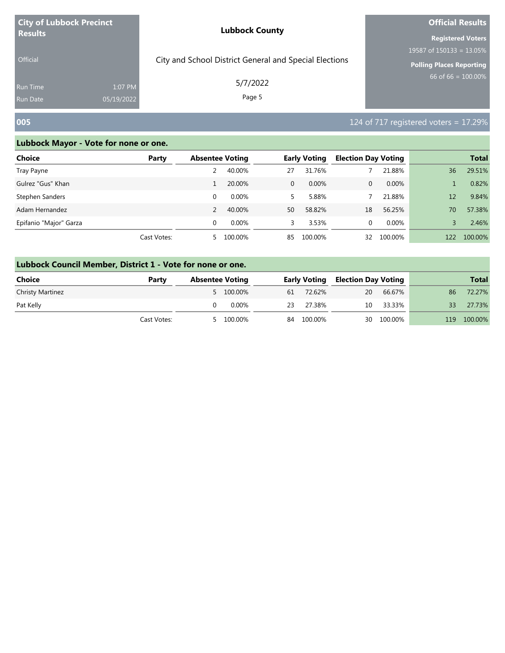| <b>City of Lubbock Precinct</b>    |                       | <b>Lubbock County</b>                                  | <b>Official Results</b>                                  |
|------------------------------------|-----------------------|--------------------------------------------------------|----------------------------------------------------------|
| <b>Results</b><br><b>Official</b>  |                       | City and School District General and Special Elections | <b>Registered Voters</b><br>19587 of $150133 = 13.05\%$  |
| <b>Run Time</b><br><b>Run Date</b> | 1:07 PM<br>05/19/2022 | 5/7/2022<br>Page 5                                     | <b>Polling Places Reporting</b><br>66 of 66 = $100.00\%$ |
| 005                                |                       |                                                        | 124 of 717 registered voters = $17.29\%$                 |

| Choice                 | Party       | <b>Absentee Voting</b> |          |              | <b>Early Voting</b> | <b>Election Day Voting</b> |         |     | <b>Total</b> |
|------------------------|-------------|------------------------|----------|--------------|---------------------|----------------------------|---------|-----|--------------|
| Tray Payne             |             |                        | 40.00%   | 27           | 31.76%              |                            | 21.88%  | 36  | 29.51%       |
| Gulrez "Gus" Khan      |             |                        | 20.00%   | $\mathbf{0}$ | $0.00\%$            | 0                          | 0.00%   |     | 0.82%        |
| Stephen Sanders        |             | 0                      | $0.00\%$ | 5.           | 5.88%               |                            | 21.88%  | 12  | 9.84%        |
| Adam Hernandez         |             |                        | 40.00%   | 50           | 58.82%              | 18                         | 56.25%  | 70  | 57.38%       |
| Epifanio "Major" Garza |             | $\Omega$               | $0.00\%$ | 3            | 3.53%               | 0                          | 0.00%   |     | 2.46%        |
|                        | Cast Votes: | 5.                     | 100.00%  | 85           | 100.00%             | 32                         | 100.00% | 122 | 100.00%      |

|                         | Lubbock Council Member, District 1 - Vote for none or one. |                        |           |    |                     |                            |         |     |              |  |  |  |  |  |
|-------------------------|------------------------------------------------------------|------------------------|-----------|----|---------------------|----------------------------|---------|-----|--------------|--|--|--|--|--|
| <b>Choice</b>           | Party                                                      | <b>Absentee Voting</b> |           |    | <b>Early Voting</b> | <b>Election Day Voting</b> |         |     | <b>Total</b> |  |  |  |  |  |
| <b>Christy Martinez</b> |                                                            |                        | 5 100.00% | 61 | 72.62%              | 20                         | 66.67%  | 86  | 72.27%       |  |  |  |  |  |
| Pat Kelly               |                                                            |                        | 0.00%     | 23 | 27.38%              | 10                         | 33.33%  | 33  | 27.73%       |  |  |  |  |  |
|                         | Cast Votes:                                                |                        | 100.00%   |    | 84 100.00%          | 30                         | 100.00% | 119 | 100.00%      |  |  |  |  |  |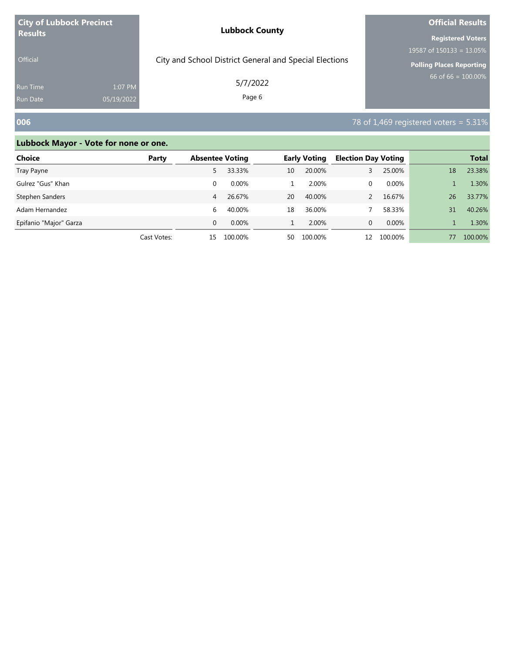| <b>City of Lubbock Precinct</b> |            | <b>Lubbock County</b>                                  | <b>Official Results</b>     |  |  |
|---------------------------------|------------|--------------------------------------------------------|-----------------------------|--|--|
| <b>Results</b>                  |            |                                                        | <b>Registered Voters</b>    |  |  |
|                                 |            |                                                        | 19587 of $150133 = 13.05\%$ |  |  |
| Official                        |            | City and School District General and Special Elections | Polling Places Reporting    |  |  |
| <b>Run Time</b>                 | 1:07 PM    | 5/7/2022<br>Page 6                                     | $66$ of 66 = 100.00%        |  |  |
| <b>Run Date</b>                 | 05/19/2022 |                                                        |                             |  |  |

### **006** 78 of 1,469 registered voters = 5.31%

| <b>Choice</b>          | Party       | <b>Absentee Voting</b> |          |    | <b>Early Voting</b> | <b>Election Day Voting</b> |          |    | <b>Total</b> |
|------------------------|-------------|------------------------|----------|----|---------------------|----------------------------|----------|----|--------------|
| Tray Payne             |             | 5.                     | 33.33%   | 10 | 20.00%              |                            | 25.00%   | 18 | 23.38%       |
| Gulrez "Gus" Khan      |             | 0                      | 0.00%    |    | 2.00%               | 0                          | 0.00%    |    | 1.30%        |
| Stephen Sanders        |             | 4                      | 26.67%   | 20 | 40.00%              |                            | 16.67%   | 26 | 33.77%       |
| Adam Hernandez         |             | 6                      | 40.00%   | 18 | 36.00%              |                            | 58.33%   | 31 | 40.26%       |
| Epifanio "Major" Garza |             | $\Omega$               | $0.00\%$ |    | 2.00%               | 0                          | $0.00\%$ |    | 1.30%        |
|                        | Cast Votes: | 15                     | 100.00%  | 50 | 100.00%             | 12                         | 100.00%  | 77 | 100.00%      |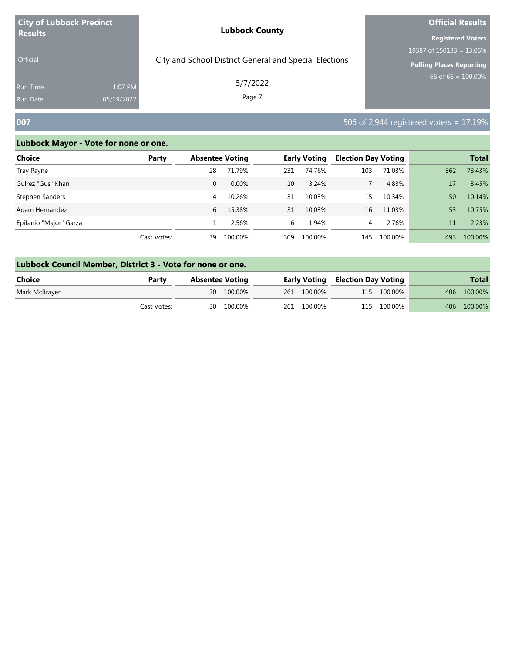| <b>City of Lubbock Precinct</b> |            | <b>Lubbock County</b>                                  | <b>Official Results</b>                |  |  |
|---------------------------------|------------|--------------------------------------------------------|----------------------------------------|--|--|
| <b>Results</b>                  |            |                                                        | <b>Registered Voters</b>               |  |  |
|                                 |            |                                                        | 19587 of $150\overline{133} = 13.05\%$ |  |  |
| <b>Official</b>                 |            | City and School District General and Special Elections | <b>Polling Places Reporting</b>        |  |  |
| Run Time                        | 1:07 PM    | 5/7/2022                                               | 66 of 66 = $100.00\%$                  |  |  |
| <b>Run Date</b>                 | 05/19/2022 | Page 7                                                 |                                        |  |  |

# **007** 506 of 2,944 registered voters = 17.19%

r.

| <b>Choice</b>          | Party       | <b>Absentee Voting</b> |          |     | <b>Early Voting</b> | <b>Election Day Voting</b> |         |     | <b>Total</b> |
|------------------------|-------------|------------------------|----------|-----|---------------------|----------------------------|---------|-----|--------------|
| Tray Payne             |             | 28                     | 71.79%   | 231 | 74.76%              | 103                        | 71.03%  | 362 | 73.43%       |
| Gulrez "Gus" Khan      |             | 0                      | $0.00\%$ | 10  | 3.24%               |                            | 4.83%   | 17  | 3.45%        |
| Stephen Sanders        |             | 4                      | 10.26%   | 31  | 10.03%              | 15                         | 10.34%  | 50  | 10.14%       |
| Adam Hernandez         |             | 6                      | 15.38%   | 31  | 10.03%              | 16                         | 11.03%  | 53  | 10.75%       |
| Epifanio "Major" Garza |             |                        | 2.56%    | 6   | 1.94%               | 4                          | 2.76%   | 11  | 2.23%        |
|                        | Cast Votes: | 39                     | 100.00%  | 309 | 100.00%             | 145                        | 100.00% | 493 | 100.00%      |

| Lubbock Council Member, District 3 - Vote for none or one. |             |                        |            |  |                                         |  |             |  |              |  |  |
|------------------------------------------------------------|-------------|------------------------|------------|--|-----------------------------------------|--|-------------|--|--------------|--|--|
| Choice                                                     | Party       | <b>Absentee Voting</b> |            |  | <b>Early Voting Election Day Voting</b> |  |             |  | <b>Total</b> |  |  |
| Mark McBrayer                                              |             |                        | 30 100.00% |  | 261 100.00%                             |  | 115 100.00% |  | 406 100.00%  |  |  |
|                                                            | Cast Votes: |                        | 30 100.00% |  | 261 100.00%                             |  | 115 100.00% |  | 406 100.00%  |  |  |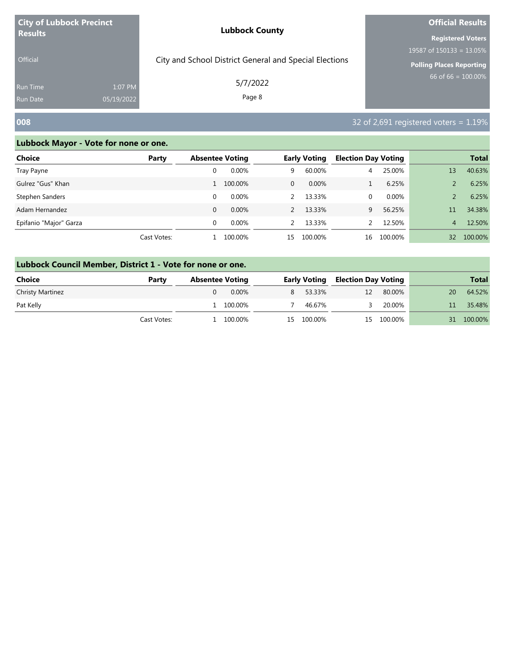| <b>City of Lubbock Precinct</b>   |                       | <b>Lubbock County</b>                                  | <b>Official Results</b>                                                                    |
|-----------------------------------|-----------------------|--------------------------------------------------------|--------------------------------------------------------------------------------------------|
| <b>Results</b><br><b>Official</b> |                       | City and School District General and Special Elections | <b>Registered Voters</b><br>19587 of $150133 = 13.05\%$<br><b>Polling Places Reporting</b> |
| <b>Run Time</b><br>Run Date       | 1:07 PM<br>05/19/2022 | 5/7/2022<br>Page 8                                     | $66$ of 66 = $100.00\%$                                                                    |
| 008                               |                       |                                                        | 32 of $2,691$ registered voters = 1.19%                                                    |

| Choice                 | Party       | <b>Absentee Voting</b> |          |                | <b>Early Voting</b> | <b>Election Day Voting</b> |         |                 | <b>Total</b> |
|------------------------|-------------|------------------------|----------|----------------|---------------------|----------------------------|---------|-----------------|--------------|
| Tray Payne             |             |                        | 0.00%    | 9              | 60.00%              | 4                          | 25.00%  | 13              | 40.63%       |
| Gulrez "Gus" Khan      |             |                        | 100.00%  | $\overline{0}$ | $0.00\%$            |                            | 6.25%   |                 | 6.25%        |
| Stephen Sanders        |             | $\Omega$               | $0.00\%$ |                | 13.33%              | 0                          | 0.00%   |                 | 6.25%        |
| Adam Hernandez         |             | $\Omega$               | $0.00\%$ |                | 13.33%              | 9                          | 56.25%  | 11              | 34.38%       |
| Epifanio "Major" Garza |             | $\Omega$               | $0.00\%$ |                | 13.33%              |                            | 12.50%  | 4               | 12.50%       |
|                        | Cast Votes: |                        | 100.00%  | 15             | 100.00%             | 16                         | 100.00% | 32 <sup>2</sup> | 100.00%      |

|                         | Lubbock Council Member, District 1 - Vote for none or one. |                        |          |   |                     |    |                            |              |         |  |  |  |  |
|-------------------------|------------------------------------------------------------|------------------------|----------|---|---------------------|----|----------------------------|--------------|---------|--|--|--|--|
| <b>Choice</b><br>Party  |                                                            | <b>Absentee Voting</b> |          |   | <b>Early Voting</b> |    | <b>Election Day Voting</b> | <b>Total</b> |         |  |  |  |  |
| <b>Christy Martinez</b> |                                                            |                        | $0.00\%$ | 8 | 53.33%              | 12 | 80.00%                     | 20           | 64.52%  |  |  |  |  |
| Pat Kelly               |                                                            |                        | 100.00%  |   | 46.67%              |    | 20.00%                     |              | 35.48%  |  |  |  |  |
|                         | Cast Votes:                                                |                        | 100.00%  |   | 15 100.00%          | 15 | 100.00%                    | 31.          | 100.00% |  |  |  |  |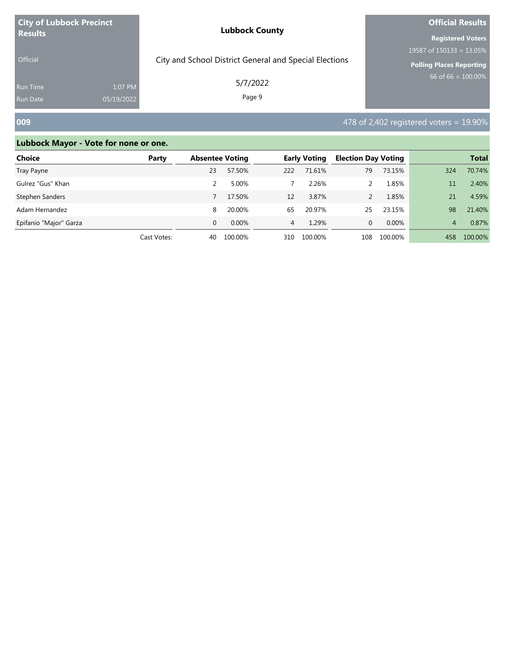| <b>City of Lubbock Precinct</b>                             | <b>Lubbock County</b>                                  | <b>Official Results</b>     |  |  |
|-------------------------------------------------------------|--------------------------------------------------------|-----------------------------|--|--|
| <b>Results</b>                                              |                                                        | <b>Registered Voters</b>    |  |  |
|                                                             |                                                        | 19587 of $150133 = 13.05\%$ |  |  |
| Official                                                    | City and School District General and Special Elections | Polling Places Reporting    |  |  |
| 1:07 PM<br><b>Run Time</b><br>05/19/2022<br><b>Run Date</b> | 5/7/2022<br>Page 9                                     | $66$ of 66 = 100.00%        |  |  |
|                                                             |                                                        |                             |  |  |

### **009** 478 of 2,402 registered voters = 19.90%

| <b>Choice</b>          | Party       |    | <b>Absentee Voting</b> |                | <b>Early Voting</b> |     | <b>Election Day Voting</b> |     | <b>Total</b> |
|------------------------|-------------|----|------------------------|----------------|---------------------|-----|----------------------------|-----|--------------|
| Tray Payne             |             | 23 | 57.50%                 | 222            | 71.61%              | 79  | 73.15%                     | 324 | 70.74%       |
| Gulrez "Gus" Khan      |             |    | 5.00%                  |                | 2.26%               |     | 1.85%                      | 11  | 2.40%        |
| Stephen Sanders        |             |    | 17.50%                 | 12             | 3.87%               |     | 1.85%                      | 21  | 4.59%        |
| Adam Hernandez         |             | 8  | 20.00%                 | 65             | 20.97%              | 25  | 23.15%                     | 98  | 21.40%       |
| Epifanio "Major" Garza |             | 0  | 0.00%                  | $\overline{4}$ | 1.29%               | 0   | $0.00\%$                   | 4   | 0.87%        |
|                        | Cast Votes: | 40 | 100.00%                | 310            | 100.00%             | 108 | 100.00%                    | 458 | 100.00%      |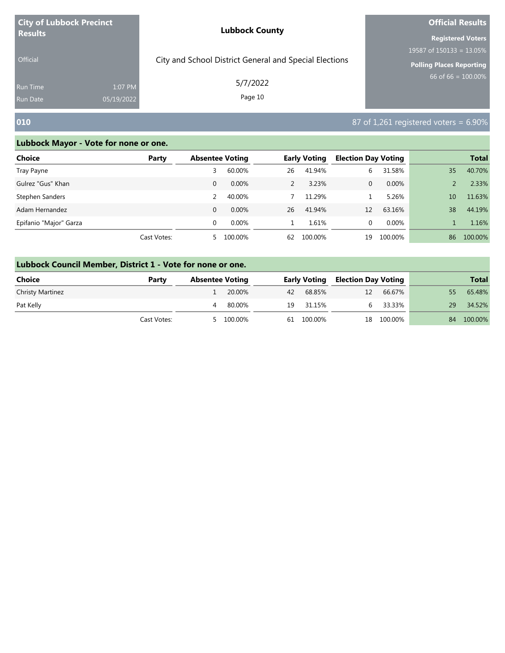| <b>City of Lubbock Precinct</b>    |                       | <b>Lubbock County</b>                                  | <b>Official Results</b>                                                                    |  |  |
|------------------------------------|-----------------------|--------------------------------------------------------|--------------------------------------------------------------------------------------------|--|--|
| <b>Results</b><br><b>Official</b>  |                       | City and School District General and Special Elections | <b>Registered Voters</b><br>19587 of $150133 = 13.05\%$<br><b>Polling Places Reporting</b> |  |  |
| <b>Run Time</b><br><b>Run Date</b> | 1:07 PM<br>05/19/2022 | 5/7/2022<br>Page 10                                    | 66 of 66 = $100.00\%$                                                                      |  |  |
| 010                                |                       |                                                        | 87 of 1,261 registered voters = $6.90\%$                                                   |  |  |

| Choice                 | Party       | <b>Absentee Voting</b> |          |    | <b>Early Voting</b> | <b>Election Day Voting</b> |         |    | <b>Total</b> |
|------------------------|-------------|------------------------|----------|----|---------------------|----------------------------|---------|----|--------------|
| Tray Payne             |             |                        | 60.00%   | 26 | 41.94%              | 6                          | 31.58%  | 35 | 40.70%       |
| Gulrez "Gus" Khan      |             | $\Omega$               | $0.00\%$ | 2  | 3.23%               | 0                          | 0.00%   |    | 2.33%        |
| Stephen Sanders        |             |                        | 40.00%   |    | 11.29%              |                            | 5.26%   | 10 | 11.63%       |
| Adam Hernandez         |             | $\Omega$               | $0.00\%$ | 26 | 41.94%              | 12                         | 63.16%  | 38 | 44.19%       |
| Epifanio "Major" Garza |             | $\Omega$               | $0.00\%$ |    | 1.61%               | 0                          | 0.00%   |    | 1.16%        |
|                        | Cast Votes: | 5.                     | 100.00%  | 62 | 100.00%             | 19                         | 100.00% | 86 | 100.00%      |

| Lubbock Council Member, District 1 - Vote for none or one. |             |                        |           |                     |            |                            |            |     |              |  |  |
|------------------------------------------------------------|-------------|------------------------|-----------|---------------------|------------|----------------------------|------------|-----|--------------|--|--|
| Choice                                                     | Party       | <b>Absentee Voting</b> |           | <b>Early Voting</b> |            | <b>Election Day Voting</b> |            |     | <b>Total</b> |  |  |
| <b>Christy Martinez</b>                                    |             |                        | 20.00%    | 42                  | 68.85%     | 12                         | 66.67%     | 55. | 65.48%       |  |  |
| Pat Kelly                                                  |             | 4                      | 80.00%    | 19                  | 31.15%     |                            | 33.33%     | 29  | 34.52%       |  |  |
|                                                            | Cast Votes: |                        | 5 100.00% |                     | 61 100.00% |                            | 18 100.00% | 84  | 100.00%      |  |  |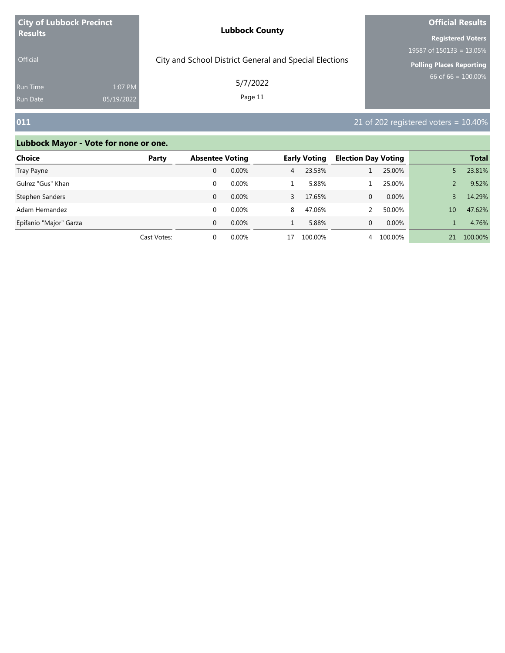| <b>City of Lubbock Precinct</b> |            | <b>Lubbock County</b>                                  | <b>Official Results</b>         |  |  |
|---------------------------------|------------|--------------------------------------------------------|---------------------------------|--|--|
| <b>Results</b>                  |            |                                                        | <b>Registered Voters</b>        |  |  |
|                                 |            |                                                        | 19587 of $150133 = 13.05\%$     |  |  |
| <b>Official</b>                 |            | City and School District General and Special Elections | <b>Polling Places Reporting</b> |  |  |
| <b>Run Time</b>                 | 1:07 PM    | 5/7/2022                                               | 66 of 66 = $100.00\%$           |  |  |
| <b>Run Date</b>                 | 05/19/2022 | Page 11                                                |                                 |  |  |

# **011 1011 21** of 202 registered voters = 10.40%

| Choice                 | Party       | <b>Absentee Voting</b> |          | <b>Early Voting</b> |         | <b>Election Day Voting</b> |          |    | <b>Total</b> |
|------------------------|-------------|------------------------|----------|---------------------|---------|----------------------------|----------|----|--------------|
| Tray Payne             |             |                        | $0.00\%$ | $\overline{4}$      | 23.53%  |                            | 25.00%   |    | 23.81%       |
| Gulrez "Gus" Khan      |             |                        | $0.00\%$ |                     | 5.88%   |                            | 25.00%   |    | 9.52%        |
| Stephen Sanders        |             | 0                      | $0.00\%$ |                     | 17.65%  | 0                          | $0.00\%$ |    | 14.29%       |
| Adam Hernandez         |             |                        | 0.00%    | 8                   | 47.06%  |                            | 50.00%   | 10 | 47.62%       |
| Epifanio "Major" Garza |             | $\Omega$               | $0.00\%$ |                     | 5.88%   | 0                          | $0.00\%$ |    | 4.76%        |
|                        | Cast Votes: |                        | $0.00\%$ | 17                  | 100.00% | 4                          | 100.00%  | 21 | 100.00%      |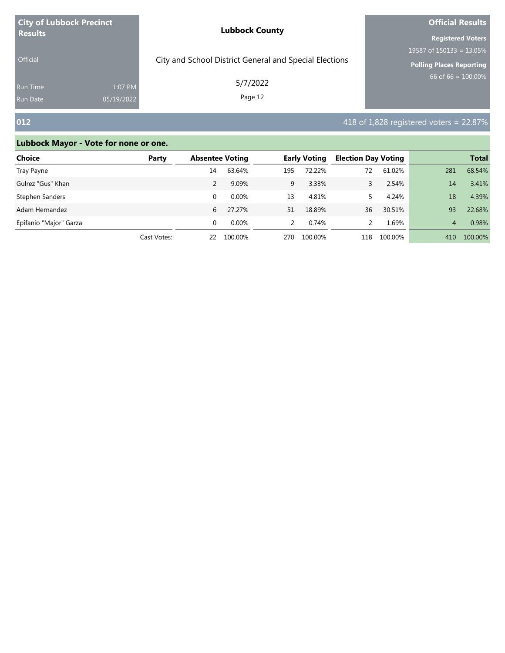| <b>City of Lubbock Precinct</b> |            | <b>Lubbock County</b>                                  | <b>Official Results</b>         |  |  |
|---------------------------------|------------|--------------------------------------------------------|---------------------------------|--|--|
| <b>Results</b>                  |            |                                                        | <b>Registered Voters</b>        |  |  |
|                                 |            |                                                        | 19587 of $150133 = 13.05\%$     |  |  |
| <b>Official</b>                 |            | City and School District General and Special Elections | <b>Polling Places Reporting</b> |  |  |
| <b>Run Time</b>                 | 1:07 PM    | 5/7/2022                                               | 66 of 66 = $100.00\%$           |  |  |
| <b>Run Date</b>                 | 05/19/2022 | Page 12                                                |                                 |  |  |

# **012** 418 of 1,828 registered voters = 22.87%

| Choice                 | Party       |          | <b>Absentee Voting</b> |               | <b>Early Voting</b> |     | <b>Election Day Voting</b> |     | <b>Total</b> |
|------------------------|-------------|----------|------------------------|---------------|---------------------|-----|----------------------------|-----|--------------|
| Tray Payne             |             | 14       | 63.64%                 | 195           | 72.22%              | 72  | 61.02%                     | 281 | 68.54%       |
| Gulrez "Gus" Khan      |             |          | 9.09%                  | 9             | 3.33%               | 3.  | 2.54%                      | 14  | 3.41%        |
| Stephen Sanders        |             |          | $0.00\%$               | 13            | 4.81%               |     | 4.24%                      | 18  | 4.39%        |
| Adam Hernandez         |             | 6        | 27.27%                 | 51            | 18.89%              | 36  | 30.51%                     | 93  | 22.68%       |
| Epifanio "Major" Garza |             | $\Omega$ | $0.00\%$               | $\mathcal{P}$ | 0.74%               |     | 1.69%                      | 4   | 0.98%        |
|                        | Cast Votes: | 22       | 100.00%                | 270           | 100.00%             | 118 | 100.00%                    | 410 | 100.00%      |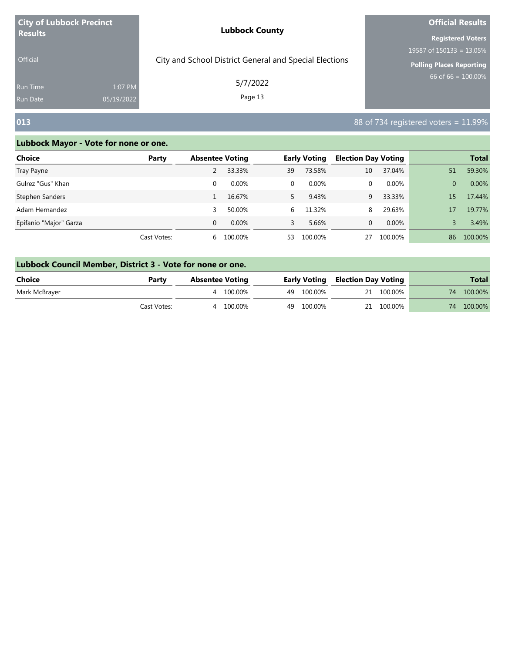| <b>City of Lubbock Precinct</b> |            | <b>Lubbock County</b>                                  | <b>Official Results</b>         |  |  |
|---------------------------------|------------|--------------------------------------------------------|---------------------------------|--|--|
| <b>Results</b>                  |            |                                                        | <b>Registered Voters</b>        |  |  |
|                                 |            |                                                        | 19587 of $150133 = 13.05\%$     |  |  |
| <b>Official</b>                 |            | City and School District General and Special Elections | <b>Polling Places Reporting</b> |  |  |
| <b>Run Time</b>                 | 1:07 PM    | 5/7/2022                                               | 66 of 66 = $100.00\%$           |  |  |
| <b>Run Date</b>                 | 05/19/2022 | Page 13                                                |                                 |  |  |

### **013** 88 of 734 registered voters = 11.99%

| Choice                 | Party       | <b>Absentee Voting</b> |          |    | <b>Early Voting</b> | <b>Election Day Voting</b> |          |    | <b>Total</b> |
|------------------------|-------------|------------------------|----------|----|---------------------|----------------------------|----------|----|--------------|
| Tray Payne             |             |                        | 33.33%   | 39 | 73.58%              | 10                         | 37.04%   | 51 | 59.30%       |
| Gulrez "Gus" Khan      |             | 0                      | $0.00\%$ | 0  | 0.00%               | 0                          | $0.00\%$ | 0  | 0.00%        |
| Stephen Sanders        |             |                        | 16.67%   | 5  | 9.43%               | 9                          | 33.33%   | 15 | 17.44%       |
| Adam Hernandez         |             | 3                      | 50.00%   | 6  | 11.32%              | 8                          | 29.63%   | 17 | 19.77%       |
| Epifanio "Major" Garza |             | $\Omega$               | 0.00%    | 3  | 5.66%               | 0                          | $0.00\%$ |    | 3.49%        |
|                        | Cast Votes: | 6                      | 100.00%  | 53 | 100.00%             | 27                         | 100.00%  | 86 | 100.00%      |

| Lubbock Council Member, District 3 - Vote for none or one. |             |  |                 |  |            |                                         |            |    |              |  |
|------------------------------------------------------------|-------------|--|-----------------|--|------------|-----------------------------------------|------------|----|--------------|--|
| Choice                                                     | Party       |  | Absentee Voting |  |            | <b>Early Voting Election Day Voting</b> |            |    | <b>Total</b> |  |
| Mark McBrayer                                              |             |  | 4 100.00%       |  | 49 100.00% |                                         | 21 100.00% |    | 74 100,00%   |  |
|                                                            | Cast Votes: |  | 4 100.00%       |  | 49 100.00% |                                         | 21 100.00% | 74 | 100.00%      |  |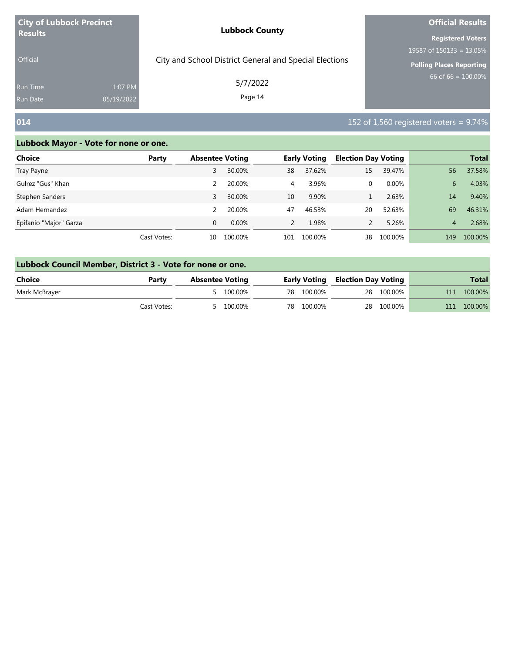| <b>City of Lubbock Precinct</b> |            | <b>Lubbock County</b>                                  | <b>Official Results</b>         |  |  |
|---------------------------------|------------|--------------------------------------------------------|---------------------------------|--|--|
| <b>Results</b>                  |            |                                                        | <b>Registered Voters</b>        |  |  |
|                                 |            |                                                        | 19587 of $150133 = 13.05\%$     |  |  |
| <b>Official</b>                 |            | City and School District General and Special Elections | <b>Polling Places Reporting</b> |  |  |
| <b>Run Time</b>                 | 1:07 PM    | 5/7/2022                                               | 66 of 66 = $100.00\%$           |  |  |
| <b>Run Date</b>                 | 05/19/2022 | Page 14                                                |                                 |  |  |

# **014 152** of 1,560 registered voters = 9.74%

| Choice                 | Party       | <b>Absentee Voting</b> |          |               | <b>Early Voting</b> | <b>Election Day Voting</b> |          |     | <b>Total</b> |
|------------------------|-------------|------------------------|----------|---------------|---------------------|----------------------------|----------|-----|--------------|
| Tray Payne             |             |                        | 30.00%   | 38            | 37.62%              | 15                         | 39.47%   | 56  | 37.58%       |
| Gulrez "Gus" Khan      |             |                        | 20.00%   | 4             | 3.96%               | $\Omega$                   | $0.00\%$ | 6   | 4.03%        |
| Stephen Sanders        |             | 3                      | 30.00%   | 10            | 9.90%               |                            | 2.63%    | 14  | 9.40%        |
| Adam Hernandez         |             |                        | 20.00%   | 47            | 46.53%              | 20                         | 52.63%   | 69  | 46.31%       |
| Epifanio "Major" Garza |             | $\Omega$               | $0.00\%$ | $\mathcal{P}$ | 1.98%               |                            | 5.26%    | 4   | 2.68%        |
|                        | Cast Votes: | 10                     | 100.00%  | 101           | 100.00%             | 38                         | 100.00%  | 149 | 100.00%      |

| Lubbock Council Member, District 3 - Vote for none or one. |             |                        |  |            |                                         |            |     |              |  |  |  |
|------------------------------------------------------------|-------------|------------------------|--|------------|-----------------------------------------|------------|-----|--------------|--|--|--|
| Choice                                                     | Party       | <b>Absentee Voting</b> |  |            | <b>Early Voting Election Day Voting</b> |            |     | <b>Total</b> |  |  |  |
| Mark McBrayer                                              |             | 5 100.00%              |  | 78 100.00% |                                         | 28 100.00% | 111 | 100.00%      |  |  |  |
|                                                            | Cast Votes: | 100.00%                |  | 78 100.00% |                                         | 28 100.00% | 111 | 100.00%      |  |  |  |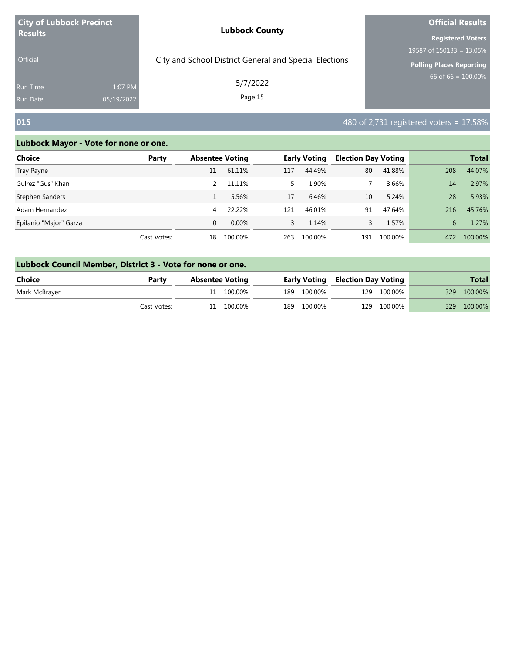| <b>City of Lubbock Precinct</b> |            | <b>Lubbock County</b>                                  | <b>Official Results</b>         |  |  |
|---------------------------------|------------|--------------------------------------------------------|---------------------------------|--|--|
| <b>Results</b>                  |            |                                                        | <b>Registered Voters</b>        |  |  |
|                                 |            |                                                        | 19587 of $150133 = 13.05\%$     |  |  |
| <b>Official</b>                 |            | City and School District General and Special Elections | <b>Polling Places Reporting</b> |  |  |
| <b>Run Time</b>                 | 1:07 PM    | 5/7/2022                                               | 66 of 66 = $100.00\%$           |  |  |
| <b>Run Date</b>                 | 05/19/2022 | Page 15                                                |                                 |  |  |

### **015** 480 of 2,731 registered voters = 17.58%

| Choice                 | Party       | <b>Absentee Voting</b> |          |     | <b>Early Voting</b> | <b>Election Day Voting</b> |         |     | <b>Total</b> |
|------------------------|-------------|------------------------|----------|-----|---------------------|----------------------------|---------|-----|--------------|
| Tray Payne             |             | 11                     | 61.11%   | 117 | 44.49%              | 80                         | 41.88%  | 208 | 44.07%       |
| Gulrez "Gus" Khan      |             |                        | 11.11%   | 5.  | 1.90%               |                            | 3.66%   | 14  | 2.97%        |
| Stephen Sanders        |             |                        | 5.56%    | 17  | 6.46%               | 10                         | 5.24%   | 28  | 5.93%        |
| Adam Hernandez         |             | 4                      | 22.22%   | 121 | 46.01%              | 91                         | 47.64%  | 216 | 45.76%       |
| Epifanio "Major" Garza |             | $\Omega$               | $0.00\%$ | 3   | 1.14%               | 3.                         | 1.57%   | 6   | 1.27%        |
|                        | Cast Votes: | 18                     | 100.00%  | 263 | 100.00%             | 191                        | 100.00% | 472 | 100.00%      |

| Lubbock Council Member, District 3 - Vote for none or one. |       |                 |  |                                         |              |  |  |  |  |  |  |
|------------------------------------------------------------|-------|-----------------|--|-----------------------------------------|--------------|--|--|--|--|--|--|
| <b>Choice</b>                                              | Party | Absentee Voting |  | <b>Early Voting Election Day Voting</b> | <b>Total</b> |  |  |  |  |  |  |

| <b>Choice</b><br>rartv |             | <b>Absentee voting</b> |         |  |             | Early voting Election Day voting |             | Total |             |
|------------------------|-------------|------------------------|---------|--|-------------|----------------------------------|-------------|-------|-------------|
| Mark McBrayer          |             |                        | 100.00% |  | 189 100.00% |                                  | 129 100.00% |       | 329 100.00% |
|                        | Cast Votes: |                        | 100.00% |  | 189 100.00% | 129                              | 100.00%     | 329   | 100.00%     |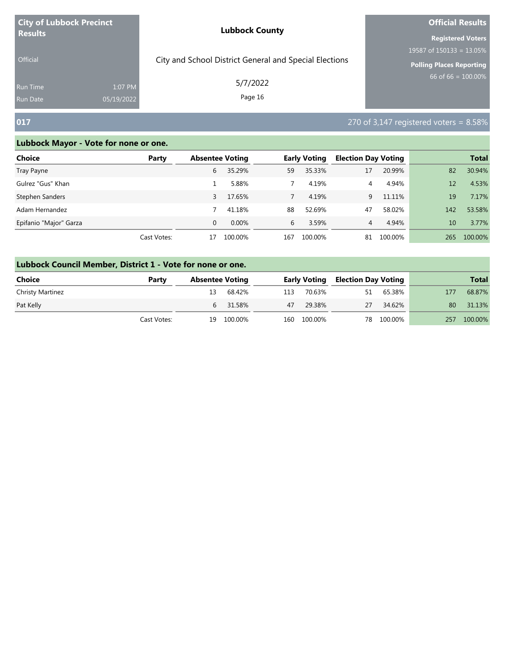| <b>City of Lubbock Precinct</b> |            | <b>Lubbock County</b>                                  | <b>Official Results</b>                   |  |  |
|---------------------------------|------------|--------------------------------------------------------|-------------------------------------------|--|--|
| <b>Results</b>                  |            |                                                        | <b>Registered Voters</b>                  |  |  |
| <b>Official</b>                 |            | City and School District General and Special Elections | $19587$ of 150133 = 13.05%                |  |  |
|                                 |            |                                                        | <b>Polling Places Reporting</b>           |  |  |
| <b>Run Time</b>                 | 1:07 PM    | 5/7/2022                                               | 66 of 66 = $100.00\%$                     |  |  |
| <b>Run Date</b>                 | 05/19/2022 | Page 16                                                |                                           |  |  |
| 017                             |            |                                                        | 270 of 3,147 registered voters = $8.58\%$ |  |  |

| Choice                 | Party       | <b>Absentee Voting</b> |          |     | <b>Early Voting</b> | <b>Election Day Voting</b> |         |     | <b>Total</b> |
|------------------------|-------------|------------------------|----------|-----|---------------------|----------------------------|---------|-----|--------------|
| Tray Payne             |             | 6                      | 35.29%   | 59  | 35.33%              | 17                         | 20.99%  | 82  | 30.94%       |
| Gulrez "Gus" Khan      |             |                        | 5.88%    |     | 4.19%               | 4                          | 4.94%   | 12  | 4.53%        |
| Stephen Sanders        |             | 3                      | 17.65%   |     | 4.19%               | q                          | 11.11%  | 19  | 7.17%        |
| Adam Hernandez         |             |                        | 41.18%   | 88  | 52.69%              | 47                         | 58.02%  | 142 | 53.58%       |
| Epifanio "Major" Garza |             | 0                      | $0.00\%$ | 6   | 3.59%               | 4                          | 4.94%   | 10  | 3.77%        |
|                        | Cast Votes: | 17                     | 100.00%  | 167 | 100.00%             | 81                         | 100.00% | 265 | 100.00%      |

| Lubbock Council Member, District 1 - Vote for none or one. |             |                        |         |                     |             |                            |         |              |         |  |  |
|------------------------------------------------------------|-------------|------------------------|---------|---------------------|-------------|----------------------------|---------|--------------|---------|--|--|
| <b>Choice</b><br>Party                                     |             | <b>Absentee Voting</b> |         | <b>Early Voting</b> |             | <b>Election Day Voting</b> |         | <b>Total</b> |         |  |  |
| Christy Martinez                                           |             | 13                     | 68.42%  | 113                 | 70.63%      | 51                         | 65.38%  | 177          | 68.87%  |  |  |
| Pat Kelly                                                  |             | $6 \quad$              | 31.58%  | 47                  | 29.38%      | 27                         | 34.62%  | 80           | 31.13%  |  |  |
|                                                            | Cast Votes: | 19.                    | 100.00% |                     | 160 100.00% | 78.                        | 100.00% | 257          | 100.00% |  |  |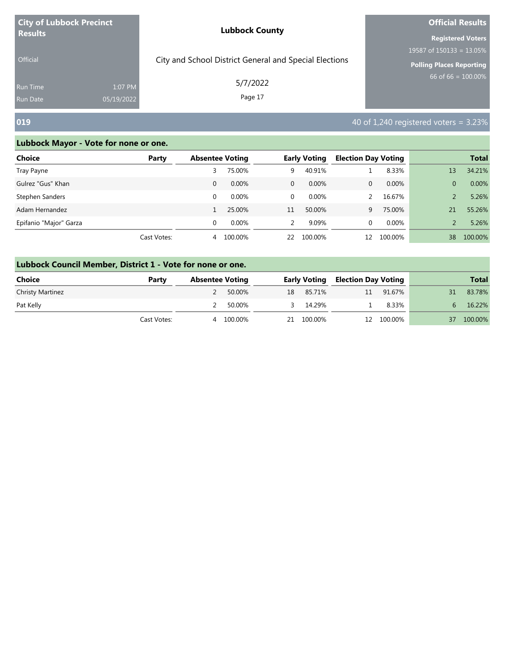| <b>City of Lubbock Precinct</b> |            | <b>Lubbock County</b>                                  | <b>Official Results</b>     |  |  |
|---------------------------------|------------|--------------------------------------------------------|-----------------------------|--|--|
| <b>Results</b>                  |            |                                                        | <b>Registered Voters</b>    |  |  |
|                                 |            |                                                        | 19587 of $150133 = 13.05\%$ |  |  |
| <b>Official</b>                 |            | City and School District General and Special Elections | Polling Places Reporting    |  |  |
| <b>Run Time</b>                 | 1:07 PM    | 5/7/2022                                               | 66 of 66 = $100.00\%$       |  |  |
| Run Date                        | 05/19/2022 | Page 17                                                |                             |  |  |

### **019 1019 1019 1019 1019 1019 1019 1019 1019 1019 1019 1019 1019 1019 1019 1019 1019 1019 1019 1019 1019 1019 1019 1019 1019 1019 1019 1019 1019 1019 1019 1019**

| Choice                 | Party       | <b>Absentee Voting</b> |          |              | <b>Early Voting</b> | <b>Election Day Voting</b> |         |                | <b>Total</b> |
|------------------------|-------------|------------------------|----------|--------------|---------------------|----------------------------|---------|----------------|--------------|
| Tray Payne             |             |                        | 75.00%   | 9            | 40.91%              |                            | 8.33%   | 13             | 34.21%       |
| Gulrez "Gus" Khan      |             | 0                      | $0.00\%$ | $\mathbf{0}$ | $0.00\%$            | 0                          | 0.00%   | $\overline{0}$ | 0.00%        |
| Stephen Sanders        |             | $\Omega$               | $0.00\%$ | $\mathbf 0$  | $0.00\%$            |                            | 16.67%  |                | 5.26%        |
| Adam Hernandez         |             |                        | 25.00%   | 11           | 50.00%              | q                          | 75.00%  | 21             | 55.26%       |
| Epifanio "Major" Garza |             | $\Omega$               | $0.00\%$ | 2            | 9.09%               | 0                          | 0.00%   |                | 5.26%        |
|                        | Cast Votes: | 4                      | 100.00%  | 22           | 100.00%             | 12                         | 100.00% | 38             | 100.00%      |

| Lubbock Council Member, District 1 - Vote for none or one. |             |                        |         |        |                     |                            |            |    |              |  |  |
|------------------------------------------------------------|-------------|------------------------|---------|--------|---------------------|----------------------------|------------|----|--------------|--|--|
| <b>Choice</b>                                              | Party       | <b>Absentee Voting</b> |         |        | <b>Early Voting</b> | <b>Election Day Voting</b> |            |    | <b>Total</b> |  |  |
| <b>Christy Martinez</b>                                    |             |                        | 50.00%  | 18     | 85.71%              | 11                         | 91.67%     | 31 | 83.78%       |  |  |
| Pat Kelly                                                  |             |                        | 50.00%  | $\sim$ | 14.29%              |                            | 8.33%      | 6. | 16.22%       |  |  |
|                                                            | Cast Votes: | 4                      | 100.00% |        | 21 100.00%          |                            | 12 100.00% | 37 | 100.00%      |  |  |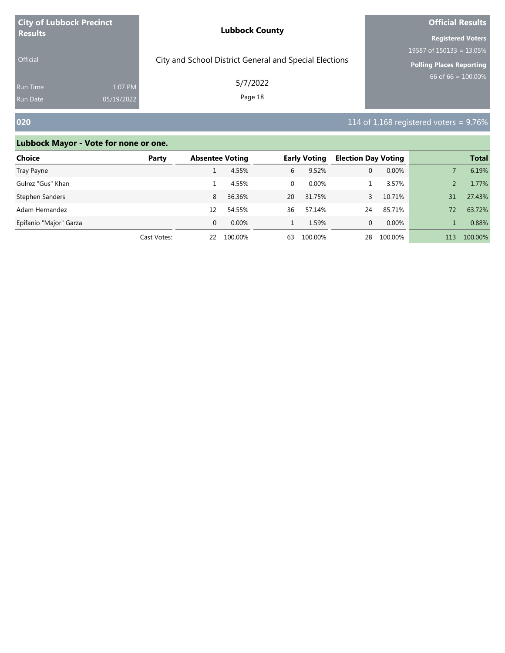| <b>City of Lubbock Precinct</b><br><b>Results</b> |            | <b>Lubbock County</b>                                  | <b>Official Results</b>         |  |  |
|---------------------------------------------------|------------|--------------------------------------------------------|---------------------------------|--|--|
|                                                   |            |                                                        | <b>Registered Voters</b>        |  |  |
|                                                   |            |                                                        | 19587 of $150133 = 13.05\%$     |  |  |
| <b>Official</b>                                   |            | City and School District General and Special Elections | <b>Polling Places Reporting</b> |  |  |
| <b>Run Time</b>                                   | 1:07 PM    | 5/7/2022                                               | 66 of 66 = $100.00\%$           |  |  |
| <b>Run Date</b>                                   | 05/19/2022 | Page 18                                                |                                 |  |  |

# **020 114** of 1,168 registered voters = 9.76%

| <b>Choice</b>          | Party       | <b>Absentee Voting</b> |          |    | <b>Early Voting</b> | <b>Election Day Voting</b> |         |     | <b>Total</b> |
|------------------------|-------------|------------------------|----------|----|---------------------|----------------------------|---------|-----|--------------|
| Tray Payne             |             |                        | 4.55%    | 6  | 9.52%               | 0                          | 0.00%   |     | 6.19%        |
| Gulrez "Gus" Khan      |             |                        | 4.55%    | 0  | $0.00\%$            |                            | 3.57%   |     | 1.77%        |
| Stephen Sanders        |             | 8                      | 36.36%   | 20 | 31.75%              |                            | 10.71%  | 31  | 27.43%       |
| Adam Hernandez         |             | 12                     | 54.55%   | 36 | 57.14%              | 24                         | 85.71%  | 72  | 63.72%       |
| Epifanio "Major" Garza |             | $\Omega$               | $0.00\%$ |    | 1.59%               | 0                          | 0.00%   |     | 0.88%        |
|                        | Cast Votes: | 22                     | 100.00%  | 63 | 100.00%             | 28                         | 100.00% | 113 | 100.00%      |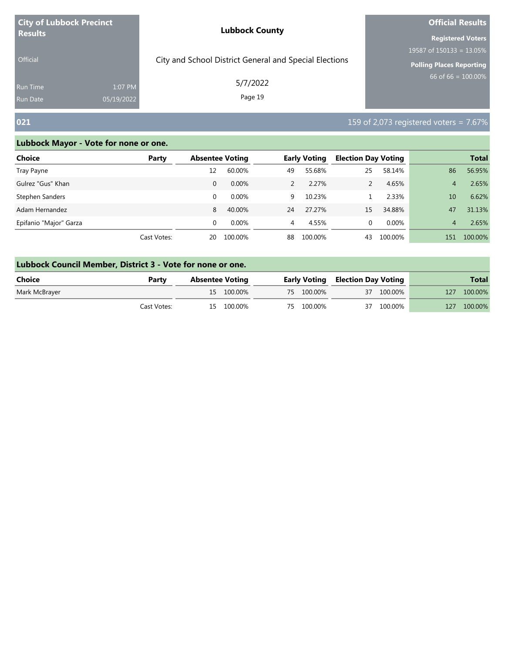| <b>City of Lubbock Precinct</b> |            | <b>Lubbock County</b>                                  | <b>Official Results</b>         |  |  |
|---------------------------------|------------|--------------------------------------------------------|---------------------------------|--|--|
| <b>Results</b>                  |            |                                                        | <b>Registered Voters</b>        |  |  |
|                                 |            |                                                        | 19587 of $150133 = 13.05\%$     |  |  |
| <b>Official</b>                 |            | City and School District General and Special Elections | <b>Polling Places Reporting</b> |  |  |
| Run Time                        | 1:07 PM    | 5/7/2022                                               | 66 of 66 = $100.00\%$           |  |  |
| <b>Run Date</b>                 | 05/19/2022 | Page 19                                                |                                 |  |  |

# **021 159 of 2,073 registered voters = 7.67%**

m.

| Choice                 | Party       | <b>Absentee Voting</b> |          |               | <b>Early Voting</b> | <b>Election Day Voting</b> |         |     | <b>Total</b> |
|------------------------|-------------|------------------------|----------|---------------|---------------------|----------------------------|---------|-----|--------------|
| Tray Payne             |             | 12                     | 60.00%   | 49            | 55.68%              | 25                         | 58.14%  | 86  | 56.95%       |
| Gulrez "Gus" Khan      |             | 0                      | $0.00\%$ | $\mathcal{P}$ | 2.27%               |                            | 4.65%   | 4   | 2.65%        |
| Stephen Sanders        |             | 0                      | $0.00\%$ | 9             | 10.23%              |                            | 2.33%   | 10  | 6.62%        |
| Adam Hernandez         |             | 8                      | 40.00%   | 24            | 27.27%              | 15                         | 34.88%  | 47  | 31.13%       |
| Epifanio "Major" Garza |             | 0                      | $0.00\%$ | 4             | 4.55%               | $\Omega$                   | 0.00%   | 4   | 2.65%        |
|                        | Cast Votes: | 20                     | 100.00%  | 88            | 100.00%             | 43                         | 100.00% | 151 | 100.00%      |

| Lubbock Council Member, District 3 - Vote for none or one. |             |  |                        |  |                                         |  |            |     |              |  |
|------------------------------------------------------------|-------------|--|------------------------|--|-----------------------------------------|--|------------|-----|--------------|--|
| Choice                                                     | Party       |  | <b>Absentee Voting</b> |  | <b>Early Voting Election Day Voting</b> |  |            |     | <b>Total</b> |  |
| Mark McBrayer                                              |             |  | 15 100.00%             |  | 75 100.00%                              |  | 37 100.00% | 127 | 100.00%      |  |
|                                                            | Cast Votes: |  | 15 100.00%             |  | 75 100.00%                              |  | 37 100.00% | 127 | 100.00%      |  |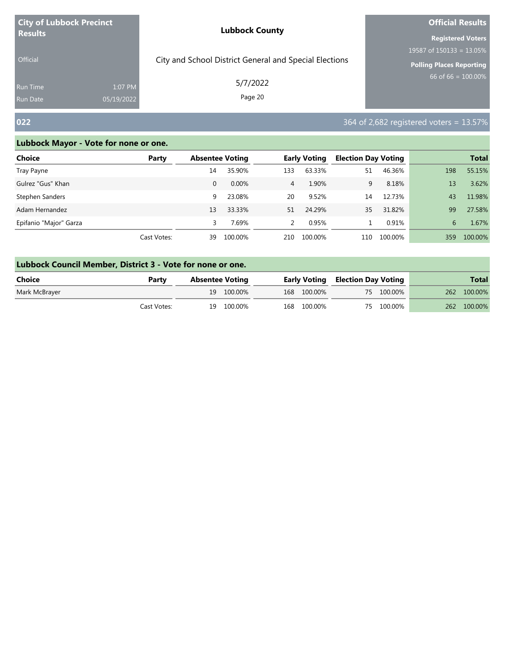| <b>City of Lubbock Precinct</b> |            | <b>Lubbock County</b>                                  | <b>Official Results</b>         |  |  |
|---------------------------------|------------|--------------------------------------------------------|---------------------------------|--|--|
| <b>Results</b>                  |            |                                                        | <b>Registered Voters</b>        |  |  |
|                                 |            |                                                        | 19587 of $150133 = 13.05\%$     |  |  |
| <b>Official</b>                 |            | City and School District General and Special Elections | <b>Polling Places Reporting</b> |  |  |
| <b>Run Time</b>                 | 1:07 PM    | 5/7/2022                                               | $66$ of 66 = 100.00%            |  |  |
| <b>Run Date</b>                 | 05/19/2022 | Page 20                                                |                                 |  |  |

# **022** 364 of 2,682 registered voters = 13.57%

r.

| Choice                 | Party       | <b>Absentee Voting</b> |          |     | <b>Early Voting</b> | <b>Election Day Voting</b> |         |     | <b>Total</b> |
|------------------------|-------------|------------------------|----------|-----|---------------------|----------------------------|---------|-----|--------------|
| Tray Payne             |             | 14                     | 35.90%   | 133 | 63.33%              | 51                         | 46.36%  | 198 | 55.15%       |
| Gulrez "Gus" Khan      |             | 0                      | $0.00\%$ | 4   | 1.90%               | 9                          | 8.18%   | 13  | 3.62%        |
| Stephen Sanders        |             | 9                      | 23.08%   | 20  | 9.52%               | 14                         | 12.73%  | 43  | 11.98%       |
| Adam Hernandez         |             | 13                     | 33.33%   | 51  | 24.29%              | 35                         | 31.82%  | 99  | 27.58%       |
| Epifanio "Major" Garza |             |                        | 7.69%    | 2   | 0.95%               |                            | 0.91%   | 6   | 1.67%        |
|                        | Cast Votes: | 39                     | 100.00%  | 210 | 100.00%             | 110                        | 100.00% | 359 | 100.00%      |

| Lubbock Council Member, District 3 - Vote for none or one. |             |  |                                                                   |  |             |  |            |              |         |  |  |
|------------------------------------------------------------|-------------|--|-------------------------------------------------------------------|--|-------------|--|------------|--------------|---------|--|--|
| Choice                                                     | Party       |  | <b>Early Voting Election Day Voting</b><br><b>Absentee Voting</b> |  |             |  |            | <b>Total</b> |         |  |  |
| Mark McBrayer                                              |             |  | 19 100.00%                                                        |  | 168 100.00% |  | 75 100.00% | 262          | 100.00% |  |  |
|                                                            | Cast Votes: |  | 19 100.00%                                                        |  | 168 100.00% |  | 75 100.00% | <b>262</b>   | 100.00% |  |  |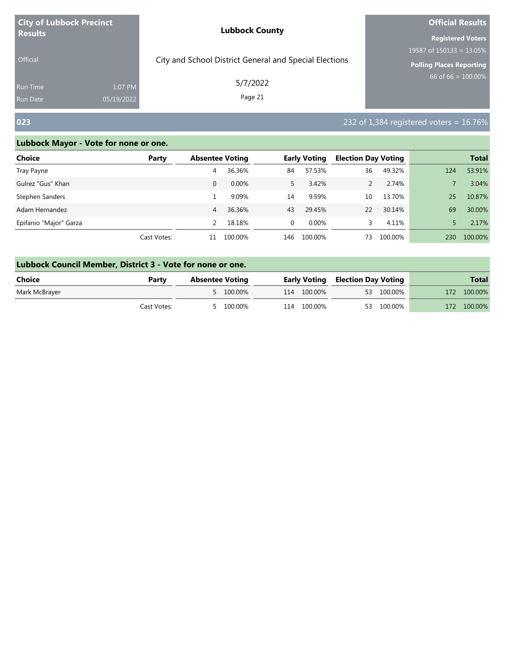| <b>City of Lubbock Precinct</b> |            | <b>Lubbock County</b>                                  | <b>Official Results</b>         |  |  |
|---------------------------------|------------|--------------------------------------------------------|---------------------------------|--|--|
| <b>Results</b>                  |            |                                                        | <b>Registered Voters</b>        |  |  |
|                                 |            |                                                        | 19587 of $150133 = 13.05\%$     |  |  |
| <b>Official</b>                 |            | City and School District General and Special Elections | <b>Polling Places Reporting</b> |  |  |
| <b>Run Time</b>                 | 1:07 PM    | 5/7/2022                                               | 66 of 66 = $100.00\%$           |  |  |
| <b>Run Date</b>                 | 05/19/2022 | Page 21                                                |                                 |  |  |

### **023** 232 of 1,384 registered voters = 16.76%

| Choice                 | Party       | <b>Absentee Voting</b> |          |             | <b>Early Voting</b> | <b>Election Day Voting</b> |         |     | <b>Total</b> |
|------------------------|-------------|------------------------|----------|-------------|---------------------|----------------------------|---------|-----|--------------|
| Tray Payne             |             | 4                      | 36.36%   | 84          | 57.53%              | 36                         | 49.32%  | 124 | 53.91%       |
| Gulrez "Gus" Khan      |             | 0                      | $0.00\%$ | 5.          | 3.42%               |                            | 2.74%   |     | 3.04%        |
| Stephen Sanders        |             |                        | 9.09%    | 14          | 9.59%               | 10                         | 13.70%  | 25  | 10.87%       |
| Adam Hernandez         |             | 4                      | 36.36%   | 43          | 29.45%              | 22                         | 30.14%  | 69  | 30.00%       |
| Epifanio "Major" Garza |             |                        | 18.18%   | $\mathbf 0$ | $0.00\%$            |                            | 4.11%   |     | 2.17%        |
|                        | Cast Votes: | 11                     | 100.00%  | 146         | 100.00%             | 73                         | 100.00% | 230 | 100.00%      |

| Lubbock Council Member, District 3 - Vote for none or one. |             |                        |           |  |             |                                         |            |     |              |  |  |
|------------------------------------------------------------|-------------|------------------------|-----------|--|-------------|-----------------------------------------|------------|-----|--------------|--|--|
| Choice                                                     | Party       | <b>Absentee Voting</b> |           |  |             | <b>Early Voting Election Day Voting</b> |            |     | <b>Total</b> |  |  |
| Mark McBrayer                                              |             |                        | 5 100.00% |  | 114 100.00% |                                         | 53 100.00% |     | 172 100.00%  |  |  |
|                                                            | Cast Votes: |                        | 5 100.00% |  | 114 100.00% |                                         | 53 100.00% | 172 | 100.00%      |  |  |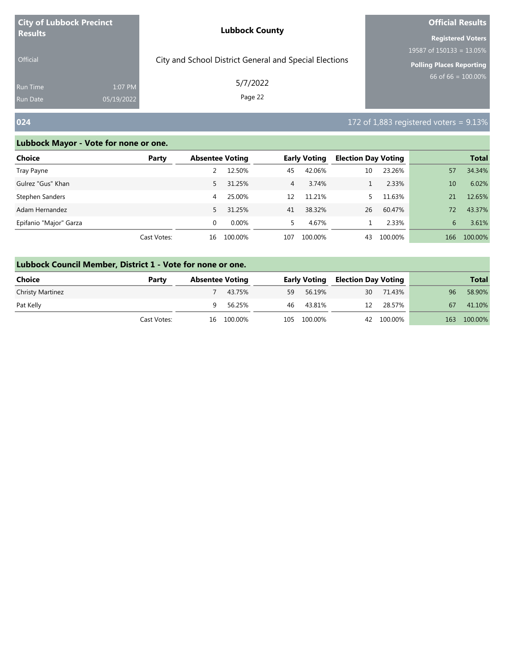| <b>City of Lubbock Precinct</b> |                       | <b>Lubbock County</b>                                  | <b>Official Results</b>     |  |  |
|---------------------------------|-----------------------|--------------------------------------------------------|-----------------------------|--|--|
| <b>Results</b>                  |                       |                                                        | <b>Registered Voters</b>    |  |  |
|                                 |                       |                                                        | 19587 of $150133 = 13.05\%$ |  |  |
| <b>Official</b>                 |                       | City and School District General and Special Elections | Polling Places Reporting    |  |  |
| <b>Run Time</b><br>Run Date     | 1:07 PM<br>05/19/2022 | 5/7/2022<br>Page 22                                    | 66 of 66 = $100.00\%$       |  |  |
|                                 |                       |                                                        |                             |  |  |

# **024** 172 of 1,883 registered voters = 9.13%

| Choice                 | Party       | <b>Absentee Voting</b> |          |                | <b>Early Voting</b> | <b>Election Day Voting</b> |         |     | <b>Total</b> |
|------------------------|-------------|------------------------|----------|----------------|---------------------|----------------------------|---------|-----|--------------|
| Tray Payne             |             |                        | 12.50%   | 45             | 42.06%              | 10                         | 23.26%  | 57  | 34.34%       |
| Gulrez "Gus" Khan      |             | 5.                     | 31.25%   | $\overline{4}$ | 3.74%               |                            | 2.33%   | 10  | 6.02%        |
| Stephen Sanders        |             | 4                      | 25.00%   | 12             | 11.21%              |                            | 11.63%  | 21  | 12.65%       |
| Adam Hernandez         |             | 5.                     | 31.25%   | 41             | 38.32%              | 26                         | 60.47%  | 72. | 43.37%       |
| Epifanio "Major" Garza |             | 0                      | $0.00\%$ | 5.             | 4.67%               |                            | 2.33%   | 6   | 3.61%        |
|                        | Cast Votes: | 16                     | 100.00%  | 107            | 100.00%             | 43                         | 100.00% | 166 | 100.00%      |

| Lubbock Council Member, District 1 - Vote for none or one. |             |    |                        |    |              |                            |            |     |              |
|------------------------------------------------------------|-------------|----|------------------------|----|--------------|----------------------------|------------|-----|--------------|
| <b>Choice</b>                                              | Party       |    | <b>Absentee Voting</b> |    | Early Voting | <b>Election Day Voting</b> |            |     | <b>Total</b> |
| <b>Christy Martinez</b>                                    |             |    | 43.75%                 | 59 | 56.19%       | 30                         | 71.43%     | 96  | 58.90%       |
| Pat Kelly                                                  |             | 9. | 56.25%                 | 46 | 43.81%       | 12                         | 28.57%     | 67  | 41.10%       |
|                                                            | Cast Votes: |    | 16 100.00%             |    | 105 100.00%  |                            | 42 100.00% | 163 | 100.00%      |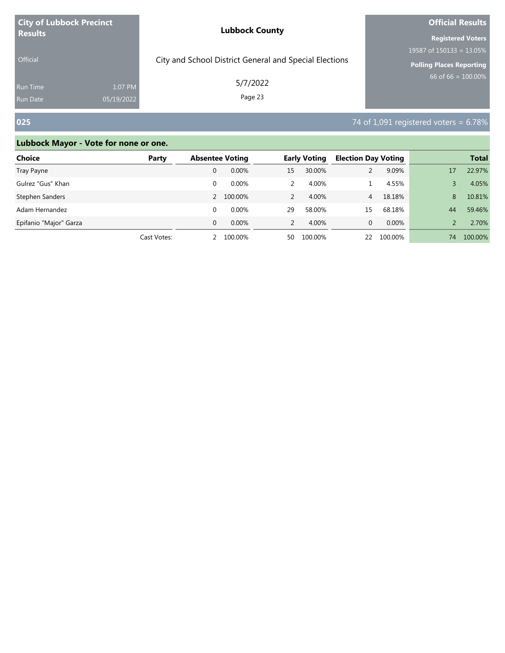| <b>City of Lubbock Precinct</b> |            | <b>Lubbock County</b>                                  | <b>Official Results</b>         |  |  |
|---------------------------------|------------|--------------------------------------------------------|---------------------------------|--|--|
| <b>Results</b>                  |            |                                                        | <b>Registered Voters</b>        |  |  |
|                                 |            |                                                        | 19587 of $150133 = 13.05\%$     |  |  |
| <b>Official</b>                 |            | City and School District General and Special Elections | <b>Polling Places Reporting</b> |  |  |
| <b>Run Time</b>                 | 1:07 PM    | 5/7/2022                                               | 66 of 66 = $100.00\%$           |  |  |
| Run Date                        | 05/19/2022 | Page 23                                                |                                 |  |  |

# **025** 74 of 1,091 registered voters = 6.78%

| <b>Choice</b>          | Party       | <b>Absentee Voting</b> |          |               | <b>Early Voting</b> | <b>Election Day Voting</b> |         |    | <b>Total</b> |
|------------------------|-------------|------------------------|----------|---------------|---------------------|----------------------------|---------|----|--------------|
| Tray Payne             |             | 0                      | $0.00\%$ | 15            | 30.00%              |                            | 9.09%   | 17 | 22.97%       |
| Gulrez "Gus" Khan      |             | 0                      | $0.00\%$ | 2             | 4.00%               |                            | 4.55%   |    | 4.05%        |
| Stephen Sanders        |             | $\mathcal{P}$          | 100.00%  | 2             | 4.00%               | 4                          | 18.18%  | 8  | 10.81%       |
| Adam Hernandez         |             | 0                      | 0.00%    | 29            | 58.00%              | 15                         | 68.18%  | 44 | 59.46%       |
| Epifanio "Major" Garza |             | $\Omega$               | $0.00\%$ | $\mathcal{P}$ | 4.00%               | 0                          | 0.00%   |    | 2.70%        |
|                        | Cast Votes: |                        | 100.00%  | 50            | 100.00%             | 22                         | 100.00% | 74 | 100.00%      |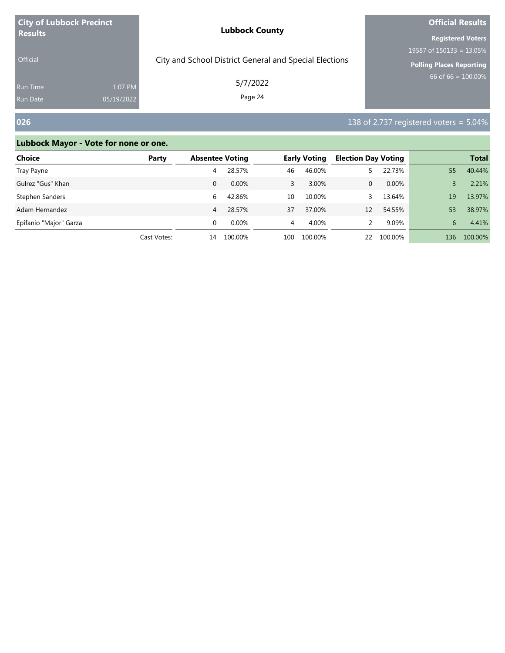| <b>City of Lubbock Precinct</b> |            | <b>Lubbock County</b>                                  | <b>Official Results</b>     |  |  |
|---------------------------------|------------|--------------------------------------------------------|-----------------------------|--|--|
| <b>Results</b>                  |            |                                                        | <b>Registered Voters</b>    |  |  |
|                                 |            |                                                        | 19587 of $150133 = 13.05\%$ |  |  |
| <b>Official</b>                 |            | City and School District General and Special Elections | Polling Places Reporting    |  |  |
| Run Time                        | 1:07 PM    | 5/7/2022                                               | 66 of 66 = $100.00\%$       |  |  |
| <b>Run Date</b>                 | 05/19/2022 | Page 24                                                |                             |  |  |

# **026 138 of 2,737 registered voters = 5.04%**

| Choice                 | Party       | <b>Absentee Voting</b> |          |     | <b>Early Voting</b> | <b>Election Day Voting</b> |         |     | <b>Total</b> |
|------------------------|-------------|------------------------|----------|-----|---------------------|----------------------------|---------|-----|--------------|
| Tray Payne             |             | 4                      | 28.57%   | 46  | 46.00%              |                            | 22.73%  | 55  | 40.44%       |
| Gulrez "Gus" Khan      |             | 0                      | $0.00\%$ | 3   | 3.00%               | 0                          | 0.00%   |     | 2.21%        |
| Stephen Sanders        |             | 6                      | 42.86%   | 10  | 10.00%              |                            | 13.64%  | 19  | 13.97%       |
| Adam Hernandez         |             | 4                      | 28.57%   | 37  | 37.00%              | 12                         | 54.55%  | 53  | 38.97%       |
| Epifanio "Major" Garza |             |                        | $0.00\%$ | 4   | 4.00%               |                            | 9.09%   | 6   | 4.41%        |
|                        | Cast Votes: | 14                     | 100.00%  | 100 | 100.00%             | 22                         | 100.00% | 136 | 100.00%      |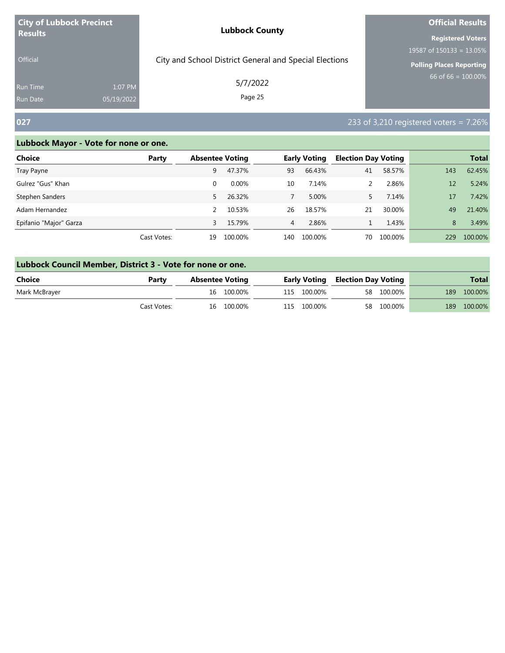| <b>City of Lubbock Precinct</b> |            | <b>Lubbock County</b>                                  | <b>Official Results</b>         |  |  |
|---------------------------------|------------|--------------------------------------------------------|---------------------------------|--|--|
| <b>Results</b>                  |            |                                                        | <b>Registered Voters</b>        |  |  |
|                                 |            |                                                        | 19587 of $150133 = 13.05\%$     |  |  |
| <b>Official</b>                 |            | City and School District General and Special Elections | <b>Polling Places Reporting</b> |  |  |
| <b>Run Time</b>                 | 1:07 PM    | 5/7/2022                                               | 66 of 66 = $100.00\%$           |  |  |
| <b>Run Date</b>                 | 05/19/2022 | Page 25                                                |                                 |  |  |

# **027 233** of 3,210 registered voters = 7.26%

| Choice                 | Party       | <b>Absentee Voting</b> |         |     | <b>Early Voting</b> | <b>Election Day Voting</b> |         |     | <b>Total</b> |
|------------------------|-------------|------------------------|---------|-----|---------------------|----------------------------|---------|-----|--------------|
| Tray Payne             |             | 9                      | 47.37%  | 93  | 66.43%              | 41                         | 58.57%  | 143 | 62.45%       |
| Gulrez "Gus" Khan      |             | 0                      | 0.00%   | 10  | 7.14%               |                            | 2.86%   | 12  | 5.24%        |
| Stephen Sanders        |             | 5                      | 26.32%  |     | 5.00%               |                            | 7.14%   | 17  | 7.42%        |
| Adam Hernandez         |             |                        | 10.53%  | 26  | 18.57%              | 21                         | 30.00%  | 49  | 21.40%       |
| Epifanio "Major" Garza |             |                        | 15.79%  | 4   | 2.86%               |                            | 1.43%   | 8   | 3.49%        |
|                        | Cast Votes: | 19                     | 100.00% | 140 | 100.00%             | 70                         | 100.00% | 229 | 100.00%      |

|  | Lubbock Council Member, District 3 - Vote for none or one. |
|--|------------------------------------------------------------|
|--|------------------------------------------------------------|

| Choice        | Party       | Absentee Voting |            |             | <b>Early Voting Election Day Voting</b> |            |     | <b>Total</b> |
|---------------|-------------|-----------------|------------|-------------|-----------------------------------------|------------|-----|--------------|
| Mark McBrayer |             |                 | 16 100.00% | 115 100.00% |                                         | 58 100.00% |     | 189 100.00%  |
|               | Cast Votes: |                 | 16 100.00% | 115 100.00% |                                         | 58 100.00% | 189 | 100.00%      |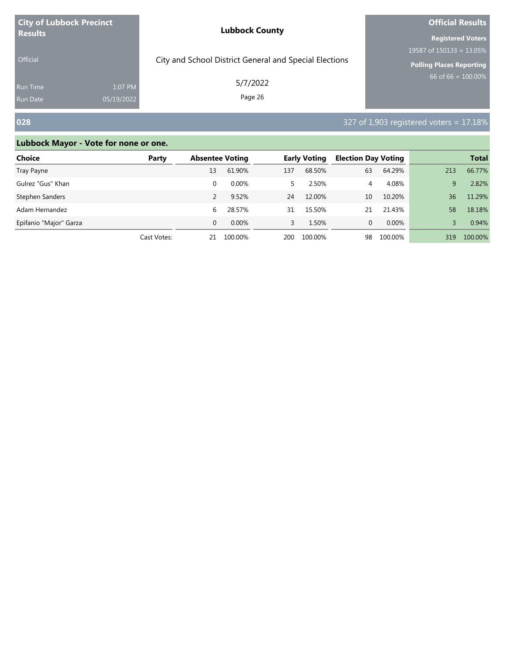| <b>City of Lubbock Precinct</b> |            | <b>Lubbock County</b>                                  | <b>Official Results</b>     |  |  |
|---------------------------------|------------|--------------------------------------------------------|-----------------------------|--|--|
| <b>Results</b>                  |            |                                                        | <b>Registered Voters</b>    |  |  |
|                                 |            |                                                        | 19587 of $150133 = 13.05\%$ |  |  |
| <b>Official</b>                 |            | City and School District General and Special Elections | Polling Places Reporting    |  |  |
| <b>Run Time</b>                 | 1:07 PM    | 5/7/2022                                               | 66 of 66 = $100.00\%$       |  |  |
| <b>Run Date</b>                 | 05/19/2022 | Page 26                                                |                             |  |  |

# **028** 327 of 1,903 registered voters = 17.18%

| Choice                 | Party       | <b>Absentee Voting</b> |          | <b>Early Voting</b> |         | <b>Election Day Voting</b> |         |     | <b>Total</b> |
|------------------------|-------------|------------------------|----------|---------------------|---------|----------------------------|---------|-----|--------------|
| Tray Payne             |             | 13                     | 61.90%   | 137                 | 68.50%  | 63                         | 64.29%  | 213 | 66.77%       |
| Gulrez "Gus" Khan      |             |                        | $0.00\%$ |                     | 2.50%   | 4                          | 4.08%   | 9   | 2.82%        |
| Stephen Sanders        |             |                        | 9.52%    | 24                  | 12.00%  | 10                         | 10.20%  | 36  | 11.29%       |
| Adam Hernandez         |             | 6                      | 28.57%   | 31                  | 15.50%  | 21                         | 21.43%  | 58  | 18.18%       |
| Epifanio "Major" Garza |             | 0                      | $0.00\%$ | 3                   | 1.50%   | 0                          | 0.00%   |     | 0.94%        |
|                        | Cast Votes: | 21                     | 100.00%  | 200                 | 100.00% | 98                         | 100.00% | 319 | 100.00%      |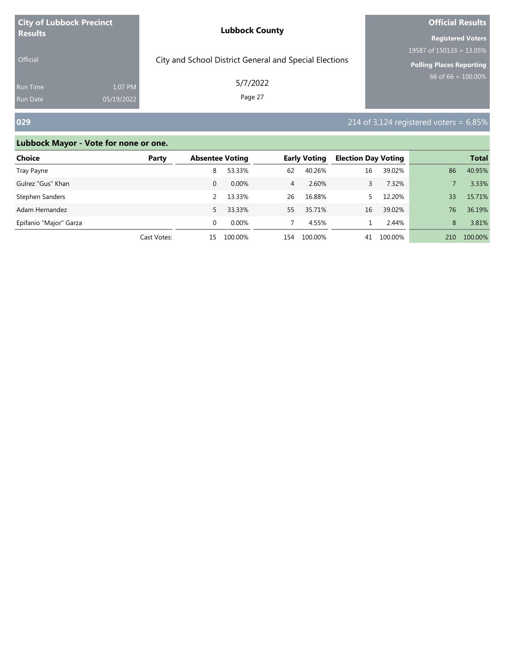| <b>City of Lubbock Precinct</b> |            | <b>Lubbock County</b>                                  | <b>Official Results</b>         |  |  |
|---------------------------------|------------|--------------------------------------------------------|---------------------------------|--|--|
| <b>Results</b>                  |            |                                                        | <b>Registered Voters</b>        |  |  |
|                                 |            |                                                        | 19587 of $150133 = 13.05\%$     |  |  |
| <b>Official</b>                 |            | City and School District General and Special Elections | <b>Polling Places Reporting</b> |  |  |
| <b>Run Time</b>                 | 1:07 PM    | 5/7/2022                                               | 66 of 66 = $100.00\%$           |  |  |
| <b>Run Date</b>                 | 05/19/2022 | Page 27                                                |                                 |  |  |

# **029** 214 of 3,124 registered voters = 6.85%

| Choice                 | Party       | <b>Absentee Voting</b> |          |                | <b>Early Voting</b> | <b>Election Day Voting</b> |         |     | <b>Total</b> |
|------------------------|-------------|------------------------|----------|----------------|---------------------|----------------------------|---------|-----|--------------|
| Tray Payne             |             | 8                      | 53.33%   | 62             | 40.26%              | 16                         | 39.02%  | 86  | 40.95%       |
| Gulrez "Gus" Khan      |             | 0                      | $0.00\%$ | $\overline{4}$ | 2.60%               |                            | 7.32%   |     | 3.33%        |
| Stephen Sanders        |             |                        | 13.33%   | 26             | 16.88%              |                            | 12.20%  | 33  | 15.71%       |
| Adam Hernandez         |             | 5.                     | 33.33%   | 55             | 35.71%              | 16                         | 39.02%  | 76  | 36.19%       |
| Epifanio "Major" Garza |             | $\Omega$               | $0.00\%$ |                | 4.55%               |                            | 2.44%   | 8   | 3.81%        |
|                        | Cast Votes: | 15                     | 100.00%  | 154            | 100.00%             | 41                         | 100.00% | 210 | 100.00%      |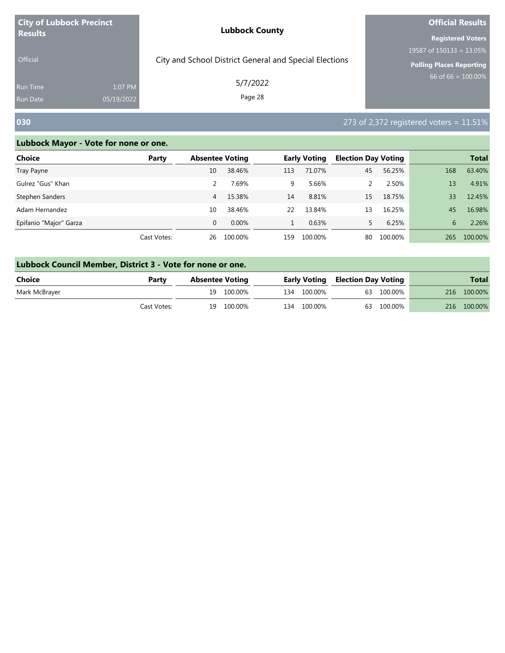| <b>City of Lubbock Precinct</b>    |                       | <b>Lubbock County</b>                                  | <b>Official Results</b>     |  |  |
|------------------------------------|-----------------------|--------------------------------------------------------|-----------------------------|--|--|
| <b>Results</b>                     |                       |                                                        | <b>Registered Voters</b>    |  |  |
|                                    |                       |                                                        | 19587 of $150133 = 13.05\%$ |  |  |
| <b>Official</b>                    |                       | City and School District General and Special Elections | Polling Places Reporting    |  |  |
| <b>Run Time</b><br><b>Run Date</b> | 1:07 PM<br>05/19/2022 | 5/7/2022<br>Page 28                                    | $66$ of 66 = 100.00%        |  |  |

### **030** 273 of 2,372 registered voters = 11.51%

| Choice                 | Party       | <b>Absentee Voting</b> |          |     | <b>Early Voting</b> | <b>Election Day Voting</b> |         |     | <b>Total</b> |
|------------------------|-------------|------------------------|----------|-----|---------------------|----------------------------|---------|-----|--------------|
| Tray Payne             |             | 10                     | 38.46%   | 113 | 71.07%              | 45                         | 56.25%  | 168 | 63.40%       |
| Gulrez "Gus" Khan      |             |                        | 7.69%    | 9   | 5.66%               |                            | 2.50%   | 13  | 4.91%        |
| Stephen Sanders        |             | 4                      | 15.38%   | 14  | 8.81%               | 15                         | 18.75%  | 33  | 12.45%       |
| Adam Hernandez         |             | 10                     | 38.46%   | 22  | 13.84%              | 13                         | 16.25%  | 45  | 16.98%       |
| Epifanio "Major" Garza |             | 0                      | $0.00\%$ |     | 0.63%               |                            | 6.25%   | 6   | 2.26%        |
|                        | Cast Votes: | 26                     | 100.00%  | 159 | 100.00%             | 80                         | 100.00% | 265 | 100.00%      |

| Lubbock Council Member, District 3 - Vote for none or one. |       |                 |                     |  |  |  |  |
|------------------------------------------------------------|-------|-----------------|---------------------|--|--|--|--|
| Choice                                                     | Darty | Ahcantag Voting | <b>Farly Voting</b> |  |  |  |  |

| <b>Choice</b> | Partv       | <b>Absentee Voting</b> |             | <b>Early Voting Election Day Voting</b> |            |                            | <b>Total</b> |
|---------------|-------------|------------------------|-------------|-----------------------------------------|------------|----------------------------|--------------|
| Mark McBrayer |             | 19 100.00%             | 134 100.00% |                                         | 63 100.00% | 216 100.00%<br>216 100.00% |              |
|               | Cast Votes: | 19 100.00%             | 134 100.00% |                                         | 63 100.00% |                            |              |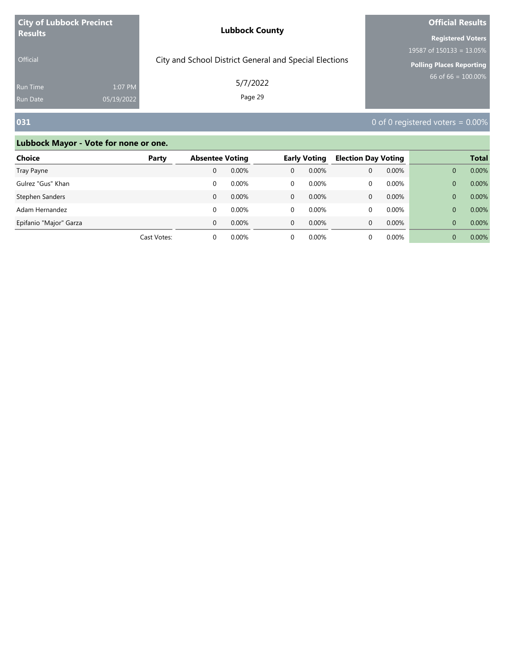| <b>City of Lubbock Precinct</b> |            | <b>Lubbock County</b>                                  | <b>Official Results</b>     |  |  |
|---------------------------------|------------|--------------------------------------------------------|-----------------------------|--|--|
| <b>Results</b>                  |            |                                                        | <b>Registered Voters</b>    |  |  |
|                                 |            |                                                        | 19587 of $150133 = 13.05\%$ |  |  |
| <b>Official</b>                 |            | City and School District General and Special Elections | Polling Places Reporting    |  |  |
| <b>Run Time</b>                 | 1:07 PM    | 5/7/2022                                               | 66 of 66 = $100.00\%$       |  |  |
| <b>Run Date</b>                 | 05/19/2022 | Page 29                                                |                             |  |  |

# **031** 0 of 0 registered voters = 0.00%

| <b>Choice</b>          | Party       | <b>Absentee Voting</b> |          | <b>Early Voting</b> |       | <b>Election Day Voting</b> |       |          | <b>Total</b> |
|------------------------|-------------|------------------------|----------|---------------------|-------|----------------------------|-------|----------|--------------|
| Tray Payne             |             | 0                      | 0.00%    | $\Omega$            | 0.00% | 0                          | 0.00% | 0        | 0.00%        |
| Gulrez "Gus" Khan      |             | 0                      | 0.00%    | 0                   | 0.00% | 0                          | 0.00% | 0        | 0.00%        |
| Stephen Sanders        |             | 0                      | 0.00%    | $\Omega$            | 0.00% | 0                          | 0.00% | 0        | 0.00%        |
| Adam Hernandez         |             | $\Omega$               | 0.00%    | 0                   | 0.00% |                            | 0.00% | 0        | 0.00%        |
| Epifanio "Major" Garza |             | $\Omega$               | 0.00%    | $\Omega$            | 0.00% | $\Omega$                   | 0.00% | $\Omega$ | 0.00%        |
|                        | Cast Votes: |                        | $0.00\%$ |                     | 0.00% |                            | 0.00% | 0        | 0.00%        |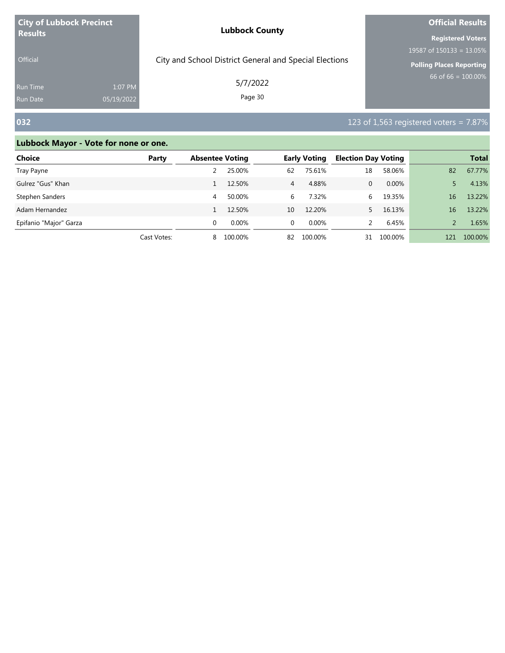| <b>City of Lubbock Precinct</b> |            | <b>Lubbock County</b>                                  | <b>Official Results</b>         |  |  |
|---------------------------------|------------|--------------------------------------------------------|---------------------------------|--|--|
| <b>Results</b>                  |            |                                                        | <b>Registered Voters</b>        |  |  |
|                                 |            |                                                        | 19587 of $150133 = 13.05\%$     |  |  |
| <b>Official</b>                 |            | City and School District General and Special Elections | <b>Polling Places Reporting</b> |  |  |
| <b>Run Time</b>                 | 1:07 PM    | 5/7/2022                                               | $66$ of 66 = 100.00%            |  |  |
| <b>Run Date</b>                 | 05/19/2022 | Page 30                                                |                                 |  |  |

# **032 123** of 1,563 registered voters = 7.87%

| <b>Choice</b>          | Party       | <b>Absentee Voting</b> |         |                | <b>Early Voting</b> | <b>Election Day Voting</b> |         |     | <b>Total</b> |
|------------------------|-------------|------------------------|---------|----------------|---------------------|----------------------------|---------|-----|--------------|
| Tray Payne             |             |                        | 25.00%  | 62             | 75.61%              | 18                         | 58.06%  | 82  | 67.77%       |
| Gulrez "Gus" Khan      |             |                        | 12.50%  | $\overline{4}$ | 4.88%               | 0                          | 0.00%   |     | 4.13%        |
| Stephen Sanders        |             | 4                      | 50.00%  | 6              | 7.32%               | 6                          | 19.35%  | 16  | 13.22%       |
| Adam Hernandez         |             |                        | 12.50%  | 10             | 12.20%              |                            | 16.13%  | 16  | 13.22%       |
| Epifanio "Major" Garza |             | 0                      | 0.00%   | $\Omega$       | $0.00\%$            |                            | 6.45%   |     | 1.65%        |
|                        | Cast Votes: | 8                      | 100.00% | 82             | 100.00%             | 31                         | 100.00% | 121 | 100.00%      |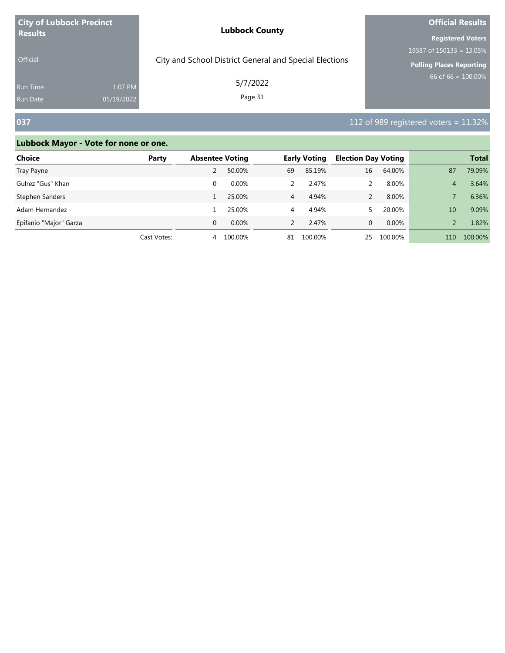| <b>City of Lubbock Precinct</b> |            | <b>Lubbock County</b>                                  | <b>Official Results</b>         |  |  |
|---------------------------------|------------|--------------------------------------------------------|---------------------------------|--|--|
| <b>Results</b>                  |            |                                                        | <b>Registered Voters</b>        |  |  |
|                                 |            |                                                        | 19587 of $150133 = 13.05\%$     |  |  |
| <b>Official</b>                 |            | City and School District General and Special Elections | <b>Polling Places Reporting</b> |  |  |
| <b>Run Time</b>                 | 1:07 PM    | 5/7/2022                                               | 66 of 66 = $100.00\%$           |  |  |
| <b>Run Date</b>                 | 05/19/2022 | Page 31                                                |                                 |  |  |

# **037 112** of 989 registered voters = 11.32%

| Choice                 | Party       | <b>Absentee Voting</b> |          |               | <b>Early Voting</b> | <b>Election Day Voting</b> |         |     | <b>Total</b> |
|------------------------|-------------|------------------------|----------|---------------|---------------------|----------------------------|---------|-----|--------------|
| Tray Payne             |             |                        | 50.00%   | 69            | 85.19%              | 16                         | 64.00%  | 87  | 79.09%       |
| Gulrez "Gus" Khan      |             |                        | $0.00\%$ |               | 2.47%               |                            | 8.00%   | 4   | 3.64%        |
| Stephen Sanders        |             |                        | 25.00%   | 4             | 4.94%               |                            | 8.00%   |     | 6.36%        |
| Adam Hernandez         |             |                        | 25.00%   | 4             | 4.94%               |                            | 20.00%  | 10  | 9.09%        |
| Epifanio "Major" Garza |             | 0                      | $0.00\%$ | $\mathcal{P}$ | 2.47%               | 0                          | 0.00%   |     | 1.82%        |
|                        | Cast Votes: | 4                      | 100.00%  | 81            | 100.00%             | 25                         | 100.00% | 110 | 100.00%      |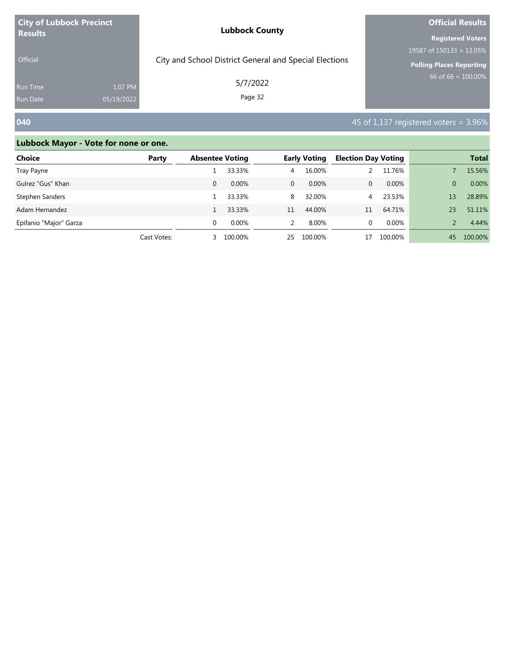| <b>City of Lubbock Precinct</b>    |                       | <b>Lubbock County</b>                                  | <b>Official Results</b>     |  |  |
|------------------------------------|-----------------------|--------------------------------------------------------|-----------------------------|--|--|
| <b>Results</b>                     |                       |                                                        | <b>Registered Voters</b>    |  |  |
|                                    |                       |                                                        | 19587 of $150133 = 13.05\%$ |  |  |
| <b>Official</b>                    |                       | City and School District General and Special Elections | Polling Places Reporting    |  |  |
| <b>Run Time</b><br><b>Run Date</b> | 1:07 PM<br>05/19/2022 | 5/7/2022<br>Page 32                                    | 66 of 66 = $100.00\%$       |  |  |
|                                    |                       |                                                        |                             |  |  |

# **040 1,137** registered voters = 3.96%

| Choice                 | Party       | <b>Absentee Voting</b> |          |              | <b>Early Voting</b> | <b>Election Day Voting</b> |         |               | <b>Total</b> |
|------------------------|-------------|------------------------|----------|--------------|---------------------|----------------------------|---------|---------------|--------------|
| Tray Payne             |             |                        | 33.33%   | 4            | 16.00%              |                            | 11.76%  |               | 15.56%       |
| Gulrez "Gus" Khan      |             | 0                      | $0.00\%$ | $\mathbf{0}$ | 0.00%               | 0                          | 0.00%   | $\Omega$      | 0.00%        |
| Stephen Sanders        |             |                        | 33.33%   | 8            | 32.00%              | $\overline{4}$             | 23.53%  | 13            | 28.89%       |
| Adam Hernandez         |             |                        | 33.33%   | 11           | 44.00%              | 11                         | 64.71%  | 23            | 51.11%       |
| Epifanio "Major" Garza |             |                        | $0.00\%$ | 2            | 8.00%               | 0                          | 0.00%   | $\mathcal{P}$ | 4.44%        |
|                        | Cast Votes: | 3                      | 100.00%  | 25           | 100.00%             |                            | 100.00% | 45            | 100.00%      |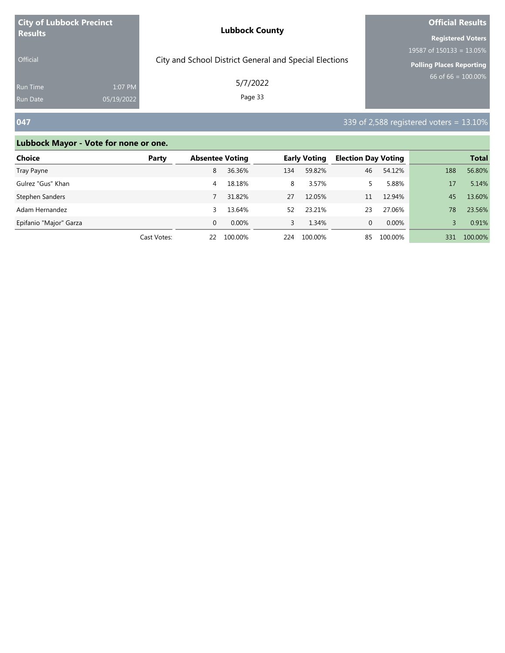| <b>City of Lubbock Precinct</b> |            | <b>Lubbock County</b>                                  | <b>Official Results</b>         |  |  |
|---------------------------------|------------|--------------------------------------------------------|---------------------------------|--|--|
| <b>Results</b>                  |            |                                                        | <b>Registered Voters</b>        |  |  |
|                                 |            |                                                        | 19587 of $150133 = 13.05\%$     |  |  |
| <b>Official</b>                 |            | City and School District General and Special Elections | <b>Polling Places Reporting</b> |  |  |
| <b>Run Time</b>                 | 1:07 PM    | 5/7/2022                                               | 66 of 66 = $100.00\%$           |  |  |
| <b>Run Date</b>                 | 05/19/2022 | Page 33                                                |                                 |  |  |

# **047** 339 of 2,588 registered voters = 13.10%

| Choice                 | Party       | <b>Absentee Voting</b> |          |     | <b>Early Voting</b> | <b>Election Day Voting</b> |         |     | <b>Total</b> |
|------------------------|-------------|------------------------|----------|-----|---------------------|----------------------------|---------|-----|--------------|
| Tray Payne             |             | 8                      | 36.36%   | 134 | 59.82%              | 46                         | 54.12%  | 188 | 56.80%       |
| Gulrez "Gus" Khan      |             | 4                      | 18.18%   | 8   | 3.57%               | 5.                         | 5.88%   | 17  | 5.14%        |
| Stephen Sanders        |             |                        | 31.82%   | 27  | 12.05%              | 11                         | 12.94%  | 45  | 13.60%       |
| Adam Hernandez         |             | 3                      | 13.64%   | 52  | 23.21%              | 23                         | 27.06%  | 78  | 23.56%       |
| Epifanio "Major" Garza |             | $\Omega$               | $0.00\%$ |     | 1.34%               | 0                          | 0.00%   |     | 0.91%        |
|                        | Cast Votes: | 22                     | 100.00%  | 224 | 100.00%             | 85                         | 100.00% | 331 | 100.00%      |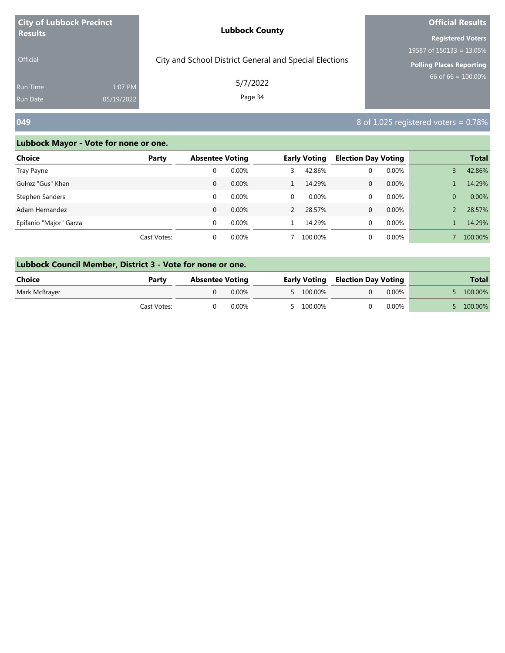| <b>City of Lubbock Precinct</b> |            | <b>Lubbock County</b>                                  | <b>Official Results</b>     |  |  |
|---------------------------------|------------|--------------------------------------------------------|-----------------------------|--|--|
| <b>Results</b>                  |            |                                                        | <b>Registered Voters</b>    |  |  |
|                                 |            |                                                        | 19587 of $150133 = 13.05\%$ |  |  |
| <b>Official</b>                 |            | City and School District General and Special Elections | Polling Places Reporting    |  |  |
| <b>Run Time</b>                 | 1:07 PM    | 5/7/2022<br>Page 34                                    | 66 of 66 = $100.00\%$       |  |  |
| Run Date                        | 05/19/2022 |                                                        |                             |  |  |

### **049** 8 of 1,025 registered voters = 0.78%

| <b>Choice</b>          | Party       | <b>Absentee Voting</b> |       |   | <b>Early Voting</b> | <b>Election Day Voting</b> |          |                | <b>Total</b> |
|------------------------|-------------|------------------------|-------|---|---------------------|----------------------------|----------|----------------|--------------|
| Tray Payne             |             | 0                      | 0.00% | 3 | 42.86%              | 0                          | 0.00%    |                | 42.86%       |
| Gulrez "Gus" Khan      |             | 0                      | 0.00% |   | 14.29%              | 0                          | 0.00%    |                | 14.29%       |
| Stephen Sanders        |             | 0                      | 0.00% | 0 | $0.00\%$            | 0                          | 0.00%    | $\overline{0}$ | 0.00%        |
| Adam Hernandez         |             | $\Omega$               | 0.00% |   | 28.57%              | 0                          | 0.00%    |                | 28.57%       |
| Epifanio "Major" Garza |             | 0                      | 0.00% |   | 14.29%              | 0                          | 0.00%    |                | 14.29%       |
|                        | Cast Votes: | 0                      | 0.00% |   | 100.00%             |                            | $0.00\%$ |                | 100.00%      |

| Lubbock Council Member, District 3 - Vote for none or one. |             |                        |       |  |           |                                         |       |  |            |  |
|------------------------------------------------------------|-------------|------------------------|-------|--|-----------|-----------------------------------------|-------|--|------------|--|
| Choice                                                     | Party       | <b>Absentee Voting</b> |       |  |           | <b>Early Voting Election Day Voting</b> |       |  | Total      |  |
| Mark McBrayer                                              |             |                        | 0.00% |  | 5 100.00% |                                         | 0.00% |  | $100.00\%$ |  |
|                                                            | Cast Votes: |                        | 0.00% |  | 5 100.00% |                                         | 0.00% |  | 100.00%    |  |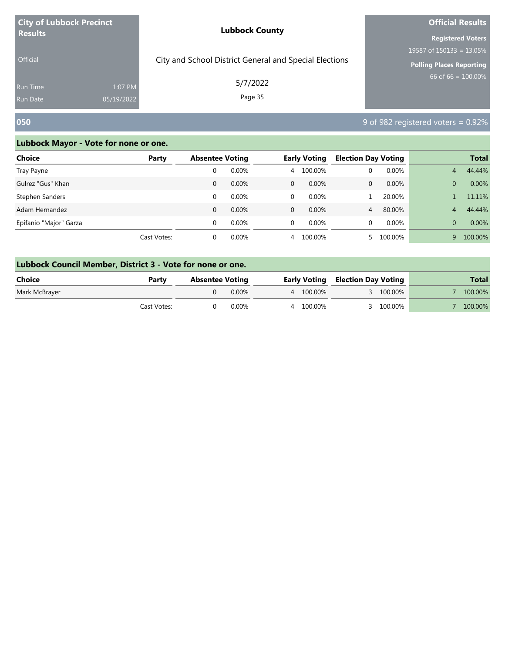| <b>City of Lubbock Precinct</b> |            | <b>Lubbock County</b>                                  | <b>Official Results</b>         |  |  |
|---------------------------------|------------|--------------------------------------------------------|---------------------------------|--|--|
| <b>Results</b>                  |            |                                                        | <b>Registered Voters</b>        |  |  |
|                                 |            |                                                        | 19587 of $150133 = 13.05\%$     |  |  |
| <b>Official</b>                 |            | City and School District General and Special Elections | <b>Polling Places Reporting</b> |  |  |
| <b>Run Time</b>                 | 1:07 PM    | 5/7/2022                                               | 66 of 66 = $100.00\%$           |  |  |
| <b>Run Date</b>                 | 05/19/2022 | Page 35                                                |                                 |  |  |

### **050** 9 of 982 registered voters = 0.92%

| <b>Choice</b>          | Party       | <b>Absentee Voting</b> |       |              | <b>Early Voting</b> | <b>Election Day Voting</b> |          |          | <b>Total</b> |
|------------------------|-------------|------------------------|-------|--------------|---------------------|----------------------------|----------|----------|--------------|
| Tray Payne             |             | 0                      | 0.00% |              | 4 100.00%           | 0                          | $0.00\%$ | 4        | 44.44%       |
| Gulrez "Gus" Khan      |             | 0                      | 0.00% | $\mathbf{0}$ | $0.00\%$            | 0                          | $0.00\%$ | $\Omega$ | 0.00%        |
| Stephen Sanders        |             | 0                      | 0.00% | 0            | $0.00\%$            |                            | 20.00%   |          | 11.11%       |
| Adam Hernandez         |             | $\Omega$               | 0.00% | $\Omega$     | $0.00\%$            | $\overline{4}$             | 80.00%   | 4        | 44.44%       |
| Epifanio "Major" Garza |             | 0                      | 0.00% | 0            | $0.00\%$            | 0                          | 0.00%    | $\Omega$ | 0.00%        |
|                        | Cast Votes: | 0                      | 0.00% | 4            | 100.00%             |                            | 100.00%  | 9        | 100.00%      |

| Lubbock Council Member, District 3 - Vote for none or one. |             |                        |       |  |           |  |           |  |                                         |  |              |
|------------------------------------------------------------|-------------|------------------------|-------|--|-----------|--|-----------|--|-----------------------------------------|--|--------------|
| Choice                                                     | Party       | <b>Absentee Voting</b> |       |  |           |  |           |  | <b>Early Voting Election Day Voting</b> |  | <b>Total</b> |
| Mark McBrayer                                              |             |                        | 0.00% |  | 4 100.00% |  | 3 100.00% |  | 100.00%                                 |  |              |
|                                                            | Cast Votes: |                        | 0.00% |  | 4 100.00% |  | 100.00%   |  | 100.00%                                 |  |              |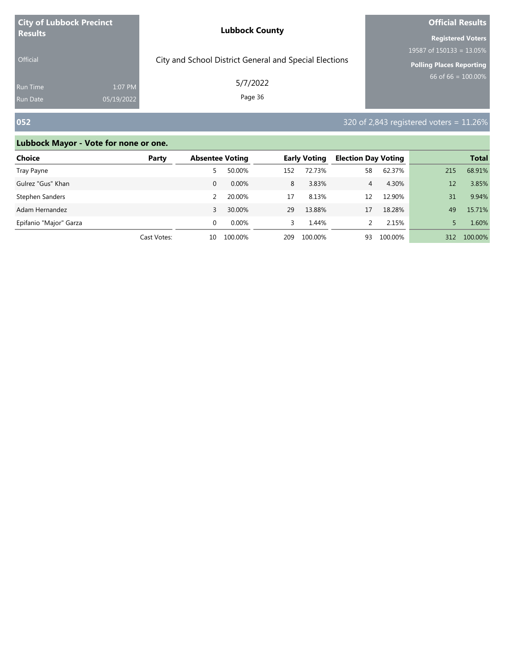| <b>City of Lubbock Precinct</b> |            | <b>Lubbock County</b>                                  | <b>Official Results</b>         |  |  |
|---------------------------------|------------|--------------------------------------------------------|---------------------------------|--|--|
| <b>Results</b>                  |            |                                                        | <b>Registered Voters</b>        |  |  |
|                                 |            |                                                        | 19587 of $150133 = 13.05\%$     |  |  |
| <b>Official</b>                 |            | City and School District General and Special Elections | <b>Polling Places Reporting</b> |  |  |
| <b>Run Time</b>                 | 1:07 PM    | 5/7/2022                                               | $66$ of 66 = 100.00%            |  |  |
| <b>Run Date</b>                 | 05/19/2022 | Page 36                                                |                                 |  |  |

# **052** 320 of 2,843 registered voters = 11.26%

| Choice                 | Party       | <b>Absentee Voting</b> |          | <b>Early Voting</b> |         | <b>Election Day Voting</b> |         |     | <b>Total</b> |
|------------------------|-------------|------------------------|----------|---------------------|---------|----------------------------|---------|-----|--------------|
| Tray Payne             |             | 5                      | 50.00%   | 152                 | 72.73%  | 58                         | 62.37%  | 215 | 68.91%       |
| Gulrez "Gus" Khan      |             | 0                      | $0.00\%$ | 8                   | 3.83%   | 4                          | 4.30%   | 12  | 3.85%        |
| Stephen Sanders        |             |                        | 20.00%   | 17                  | 8.13%   | 12                         | 12.90%  | 31  | 9.94%        |
| Adam Hernandez         |             | 3                      | 30.00%   | 29                  | 13.88%  | 17                         | 18.28%  | 49  | 15.71%       |
| Epifanio "Major" Garza |             | $\Omega$               | $0.00\%$ | 3                   | 1.44%   |                            | 2.15%   |     | 1.60%        |
|                        | Cast Votes: | 10                     | 100.00%  | 209                 | 100.00% | 93                         | 100.00% | 312 | 100.00%      |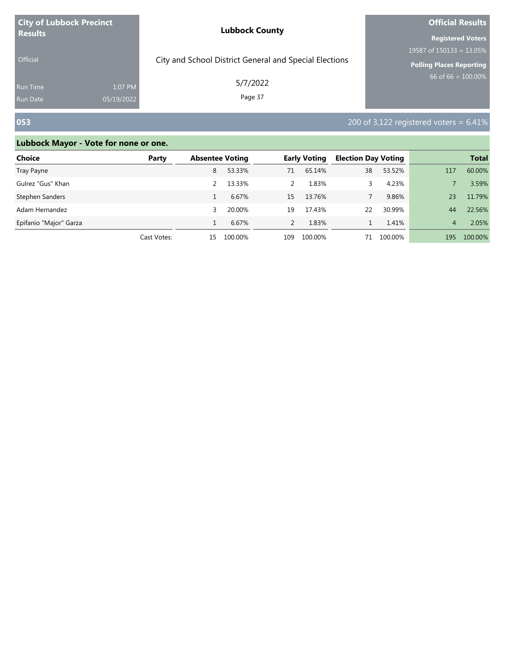| <b>City of Lubbock Precinct</b><br><b>Results</b> |            | <b>Lubbock County</b>                                  | <b>Official Results</b>         |  |  |
|---------------------------------------------------|------------|--------------------------------------------------------|---------------------------------|--|--|
|                                                   |            |                                                        | <b>Registered Voters</b>        |  |  |
|                                                   |            |                                                        | 19587 of $150133 = 13.05\%$     |  |  |
| <b>Official</b>                                   |            | City and School District General and Special Elections | <b>Polling Places Reporting</b> |  |  |
| <b>Run Time</b>                                   | 1:07 PM    | 5/7/2022                                               | 66 of 66 = $100.00\%$           |  |  |
| <b>Run Date</b>                                   | 05/19/2022 | Page 37                                                |                                 |  |  |

# **053** 200 of 3,122 registered voters = 6.41%

| Choice                 | Party       | <b>Absentee Voting</b> |         |               | <b>Early Voting</b> | <b>Election Day Voting</b> |         |                | <b>Total</b> |
|------------------------|-------------|------------------------|---------|---------------|---------------------|----------------------------|---------|----------------|--------------|
| Tray Payne             |             | 8                      | 53.33%  | 71            | 65.14%              | 38                         | 53.52%  | 117            | 60.00%       |
| Gulrez "Gus" Khan      |             |                        | 13.33%  | $\mathcal{P}$ | 1.83%               |                            | 4.23%   |                | 3.59%        |
| Stephen Sanders        |             |                        | 6.67%   | 15            | 13.76%              |                            | 9.86%   | 23             | 11.79%       |
| Adam Hernandez         |             | 3                      | 20.00%  | 19            | 17.43%              | 22                         | 30.99%  | 44             | 22.56%       |
| Epifanio "Major" Garza |             |                        | 6.67%   | $\mathcal{P}$ | 1.83%               |                            | 1.41%   | $\overline{4}$ | 2.05%        |
|                        | Cast Votes: | 15.                    | 100.00% | 109           | 100.00%             | 71                         | 100.00% | 195            | 100.00%      |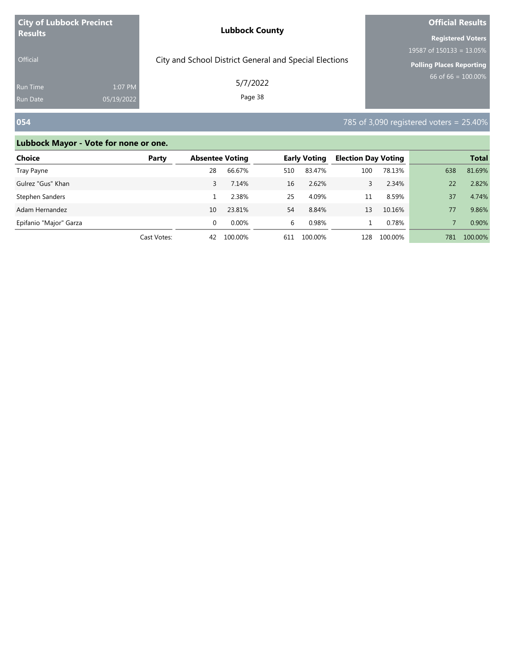| <b>City of Lubbock Precinct</b> |            | <b>Lubbock County</b>                                  | <b>Official Results</b>         |  |  |
|---------------------------------|------------|--------------------------------------------------------|---------------------------------|--|--|
| <b>Results</b>                  |            |                                                        | <b>Registered Voters</b>        |  |  |
|                                 |            |                                                        | 19587 of $150133 = 13.05\%$     |  |  |
| <b>Official</b>                 |            | City and School District General and Special Elections | <b>Polling Places Reporting</b> |  |  |
| <b>Run Time</b>                 | 1:07 PM    | 5/7/2022                                               | $66$ of 66 = 100.00%            |  |  |
| <b>Run Date</b>                 | 05/19/2022 | Page 38                                                |                                 |  |  |

# **054** 785 of 3,090 registered voters = 25.40%

| <b>Choice</b>          | Party       | <b>Absentee Voting</b> |          |     | <b>Election Day Voting</b><br><b>Early Voting</b> |     |         |     | <b>Total</b> |
|------------------------|-------------|------------------------|----------|-----|---------------------------------------------------|-----|---------|-----|--------------|
| Tray Payne             |             | 28                     | 66.67%   | 510 | 83.47%                                            | 100 | 78.13%  | 638 | 81.69%       |
| Gulrez "Gus" Khan      |             |                        | 7.14%    | 16  | 2.62%                                             |     | 2.34%   | 22  | 2.82%        |
| Stephen Sanders        |             |                        | 2.38%    | 25  | 4.09%                                             | 11  | 8.59%   | 37  | 4.74%        |
| Adam Hernandez         |             | 10                     | 23.81%   | 54  | 8.84%                                             | 13  | 10.16%  | 77  | 9.86%        |
| Epifanio "Major" Garza |             | 0                      | $0.00\%$ | 6   | 0.98%                                             |     | 0.78%   |     | 0.90%        |
|                        | Cast Votes: | 42                     | 100.00%  | 611 | 100.00%                                           | 128 | 100.00% | 781 | 100.00%      |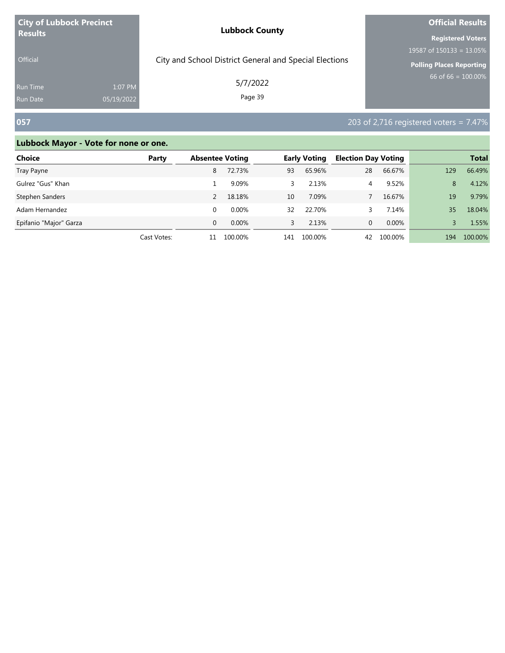| <b>City of Lubbock Precinct</b><br><b>Results</b> |            | <b>Lubbock County</b>                                  | <b>Official Results</b>     |  |  |
|---------------------------------------------------|------------|--------------------------------------------------------|-----------------------------|--|--|
|                                                   |            |                                                        | <b>Registered Voters</b>    |  |  |
|                                                   |            |                                                        | 19587 of $150133 = 13.05\%$ |  |  |
| <b>Official</b>                                   |            | City and School District General and Special Elections | Polling Places Reporting    |  |  |
| Run Time                                          | 1:07 PM    | 5/7/2022                                               | 66 of 66 = $100.00\%$       |  |  |
| <b>Run Date</b>                                   | 05/19/2022 | Page 39                                                |                             |  |  |

# **057 203** of 2,716 registered voters = 7.47%

| <b>Choice</b>          | Party       | <b>Absentee Voting</b> |          |     | <b>Early Voting</b> | <b>Election Day Voting</b> |         |     | <b>Total</b> |
|------------------------|-------------|------------------------|----------|-----|---------------------|----------------------------|---------|-----|--------------|
| Tray Payne             |             | 8                      | 72.73%   | 93  | 65.96%              | 28                         | 66.67%  | 129 | 66.49%       |
| Gulrez "Gus" Khan      |             |                        | 9.09%    | 3   | 2.13%               | 4                          | 9.52%   | 8   | 4.12%        |
| Stephen Sanders        |             |                        | 18.18%   | 10  | 7.09%               |                            | 16.67%  | 19  | 9.79%        |
| Adam Hernandez         |             | 0                      | 0.00%    | 32  | 22.70%              |                            | 7.14%   | 35  | 18.04%       |
| Epifanio "Major" Garza |             | $\Omega$               | $0.00\%$ | 3   | 2.13%               | 0                          | 0.00%   |     | 1.55%        |
|                        | Cast Votes: | 11                     | 100.00%  | 141 | 100.00%             | 42                         | 100.00% | 194 | 100.00%      |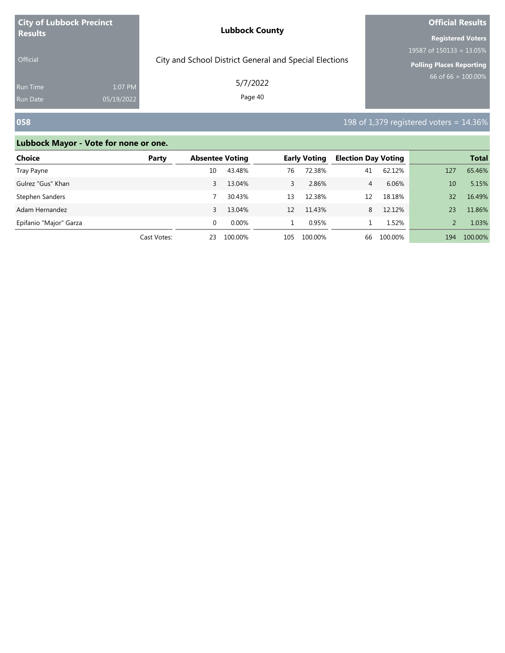| <b>City of Lubbock Precinct</b> |            | <b>Lubbock County</b>                                  | <b>Official Results</b>         |  |  |
|---------------------------------|------------|--------------------------------------------------------|---------------------------------|--|--|
| <b>Results</b>                  |            |                                                        | <b>Registered Voters</b>        |  |  |
|                                 |            |                                                        | 19587 of $150133 = 13.05\%$     |  |  |
| <b>Official</b>                 |            | City and School District General and Special Elections | <b>Polling Places Reporting</b> |  |  |
| <b>Run Time</b>                 | 1:07 PM    | 5/7/2022                                               | 66 of 66 = $100.00\%$           |  |  |
| <b>Run Date</b>                 | 05/19/2022 | Page 40                                                |                                 |  |  |

# **058 1**98 of 1,379 registered voters = 14.36%

| <b>Choice</b>          | Party       | <b>Absentee Voting</b> |          |     | <b>Early Voting</b> | <b>Election Day Voting</b> |         |     | <b>Total</b> |
|------------------------|-------------|------------------------|----------|-----|---------------------|----------------------------|---------|-----|--------------|
| Tray Payne             |             | 10                     | 43.48%   | 76  | 72.38%              | 41                         | 62.12%  | 127 | 65.46%       |
| Gulrez "Gus" Khan      |             | 3                      | 13.04%   | 3   | 2.86%               | 4                          | 6.06%   | 10  | 5.15%        |
| Stephen Sanders        |             |                        | 30.43%   | 13  | 12.38%              | 12                         | 18.18%  | 32  | 16.49%       |
| Adam Hernandez         |             | 3                      | 13.04%   | 12  | 11.43%              | 8                          | 12.12%  | 23  | 11.86%       |
| Epifanio "Major" Garza |             | $\Omega$               | $0.00\%$ |     | 0.95%               |                            | 1.52%   |     | 1.03%        |
|                        | Cast Votes: | 23                     | 100.00%  | 105 | 100.00%             | 66                         | 100.00% | 194 | 100.00%      |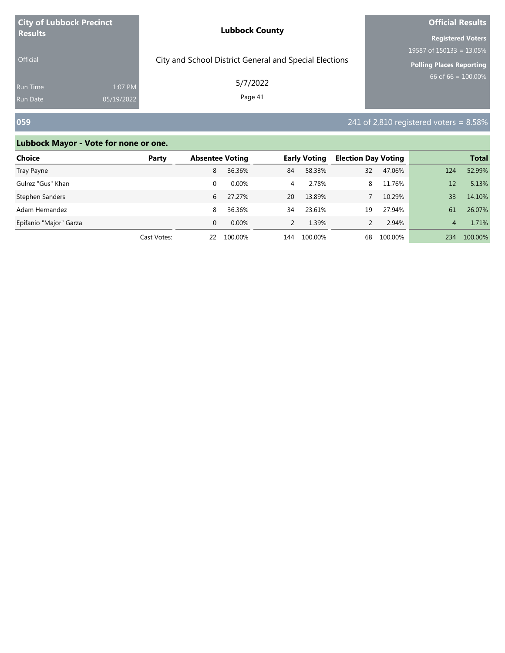| <b>City of Lubbock Precinct</b><br><b>Results</b> |            | <b>Lubbock County</b>                                  | <b>Official Results</b>     |  |  |
|---------------------------------------------------|------------|--------------------------------------------------------|-----------------------------|--|--|
|                                                   |            |                                                        | <b>Registered Voters</b>    |  |  |
|                                                   |            |                                                        | 19587 of $150133 = 13.05\%$ |  |  |
| <b>Official</b>                                   |            | City and School District General and Special Elections | Polling Places Reporting    |  |  |
| <b>Run Time</b>                                   | 1:07 PM    | 5/7/2022                                               | 66 of 66 = $100.00\%$       |  |  |
| <b>Run Date</b>                                   | 05/19/2022 | Page 41                                                |                             |  |  |

# **059** 241 of 2,810 registered voters = 8.58%

| <b>Choice</b>          | Party       | <b>Absentee Voting</b> |         |     | <b>Early Voting</b> | <b>Election Day Voting</b> |         |     | <b>Total</b> |
|------------------------|-------------|------------------------|---------|-----|---------------------|----------------------------|---------|-----|--------------|
| Tray Payne             |             | 8                      | 36.36%  | 84  | 58.33%              | 32                         | 47.06%  | 124 | 52.99%       |
| Gulrez "Gus" Khan      |             | $\Omega$               | 0.00%   | 4   | 2.78%               | 8                          | 11.76%  | 12  | 5.13%        |
| Stephen Sanders        |             | 6                      | 27.27%  | 20  | 13.89%              |                            | 10.29%  | 33  | 14.10%       |
| Adam Hernandez         |             | 8                      | 36.36%  | 34  | 23.61%              | 19                         | 27.94%  | 61  | 26.07%       |
| Epifanio "Major" Garza |             | $\Omega$               | 0.00%   |     | 1.39%               |                            | 2.94%   | 4   | 1.71%        |
|                        | Cast Votes: | 22                     | 100.00% | 144 | 100.00%             | 68                         | 100.00% | 234 | 100.00%      |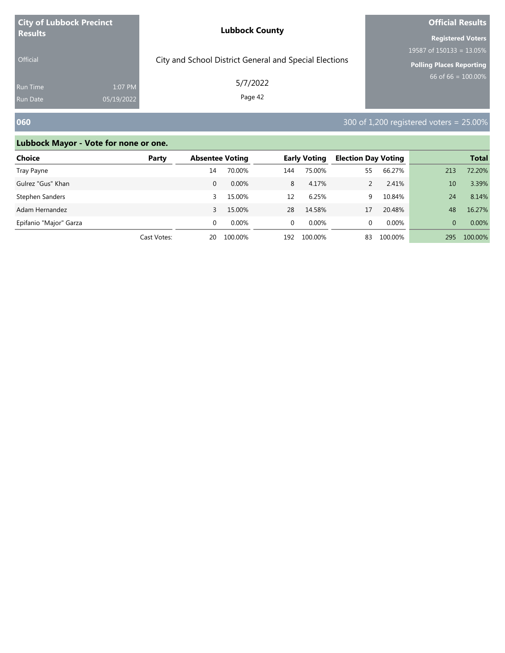| <b>City of Lubbock Precinct</b><br><b>Results</b> |            | <b>Lubbock County</b>                                  | <b>Official Results</b>         |  |  |
|---------------------------------------------------|------------|--------------------------------------------------------|---------------------------------|--|--|
|                                                   |            |                                                        | <b>Registered Voters</b>        |  |  |
|                                                   |            |                                                        | 19587 of $150133 = 13.05\%$     |  |  |
| <b>Official</b>                                   |            | City and School District General and Special Elections | <b>Polling Places Reporting</b> |  |  |
| <b>Run Time</b>                                   | 1:07 PM    | 5/7/2022                                               | $66$ of 66 = 100.00%            |  |  |
| <b>Run Date</b>                                   | 05/19/2022 | Page 42                                                |                                 |  |  |

# **060** 300 of 1,200 registered voters = 25.00%

| <b>Choice</b>          | Party       | <b>Absentee Voting</b> |          |          | <b>Early Voting</b> | <b>Election Day Voting</b> |         |          | <b>Total</b> |
|------------------------|-------------|------------------------|----------|----------|---------------------|----------------------------|---------|----------|--------------|
| Tray Payne             |             | 14                     | 70.00%   | 144      | 75.00%              | 55                         | 66.27%  | 213      | 72.20%       |
| Gulrez "Gus" Khan      |             | 0                      | 0.00%    | 8        | 4.17%               |                            | 2.41%   | 10       | 3.39%        |
| Stephen Sanders        |             | 3                      | 15.00%   | 12       | 6.25%               | 9                          | 10.84%  | 24       | 8.14%        |
| Adam Hernandez         |             | 3                      | 15.00%   | 28       | 14.58%              | 17                         | 20.48%  | 48       | 16.27%       |
| Epifanio "Major" Garza |             | 0                      | $0.00\%$ | $\Omega$ | $0.00\%$            | 0                          | 0.00%   | $\Omega$ | 0.00%        |
|                        | Cast Votes: | 20                     | 100.00%  | 192      | 100.00%             | 83                         | 100.00% | 295      | 100.00%      |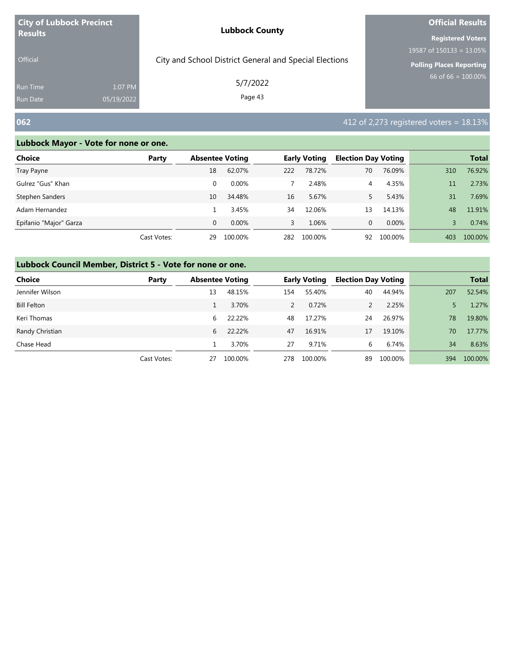| <b>City of Lubbock Precinct</b>    |                       | <b>Lubbock County</b>                                  | <b>Official Results</b>         |  |  |
|------------------------------------|-----------------------|--------------------------------------------------------|---------------------------------|--|--|
| <b>Results</b>                     |                       |                                                        | <b>Registered Voters</b>        |  |  |
|                                    |                       |                                                        | 19587 of $150133 = 13.05\%$     |  |  |
| <b>Official</b>                    |                       | City and School District General and Special Elections | <b>Polling Places Reporting</b> |  |  |
| <b>Run Time</b><br><b>Run Date</b> | 1:07 PM<br>05/19/2022 | 5/7/2022<br>Page 43                                    | $66$ of 66 = 100.00%            |  |  |

# **062** 412 of 2,273 registered voters = 18.13%

### **Lubbock Mayor - Vote for none or one.**

| Choice                 | Party       | <b>Absentee Voting</b> |          |     | <b>Early Voting</b> | <b>Election Day Voting</b> |         |     | <b>Total</b> |
|------------------------|-------------|------------------------|----------|-----|---------------------|----------------------------|---------|-----|--------------|
| Tray Payne             |             | 18                     | 62.07%   | 222 | 78.72%              | 70                         | 76.09%  | 310 | 76.92%       |
| Gulrez "Gus" Khan      |             | $\Omega$               | $0.00\%$ |     | 2.48%               | 4                          | 4.35%   | 11  | 2.73%        |
| Stephen Sanders        |             | 10                     | 34.48%   | 16  | 5.67%               |                            | 5.43%   | 31  | 7.69%        |
| Adam Hernandez         |             |                        | 3.45%    | 34  | 12.06%              | 13                         | 14.13%  | 48  | 11.91%       |
| Epifanio "Major" Garza |             | $\Omega$               | $0.00\%$ | 3   | 1.06%               | 0                          | 0.00%   |     | 0.74%        |
|                        | Cast Votes: | 29                     | 100.00%  | 282 | 100.00%             | 92                         | 100.00% | 403 | 100.00%      |

| <b>Choice</b>      | Party       | <b>Absentee Voting</b> |         |     | <b>Early Voting</b> | <b>Election Day Voting</b> |         |     | <b>Total</b> |
|--------------------|-------------|------------------------|---------|-----|---------------------|----------------------------|---------|-----|--------------|
| Jennifer Wilson    |             | 13                     | 48.15%  | 154 | 55.40%              | 40                         | 44.94%  | 207 | 52.54%       |
| <b>Bill Felton</b> |             |                        | 3.70%   | 2   | 0.72%               |                            | 2.25%   |     | 1.27%        |
| Keri Thomas        |             | 6                      | 22.22%  | 48  | 17.27%              | 24                         | 26.97%  | 78  | 19.80%       |
| Randy Christian    |             | 6                      | 22.22%  | 47  | 16.91%              | 17                         | 19.10%  | 70  | 17.77%       |
| Chase Head         |             |                        | 3.70%   | 27  | 9.71%               | 6                          | 6.74%   | 34  | 8.63%        |
|                    | Cast Votes: | 27                     | 100.00% | 278 | 100.00%             | 89                         | 100.00% | 394 | 100.00%      |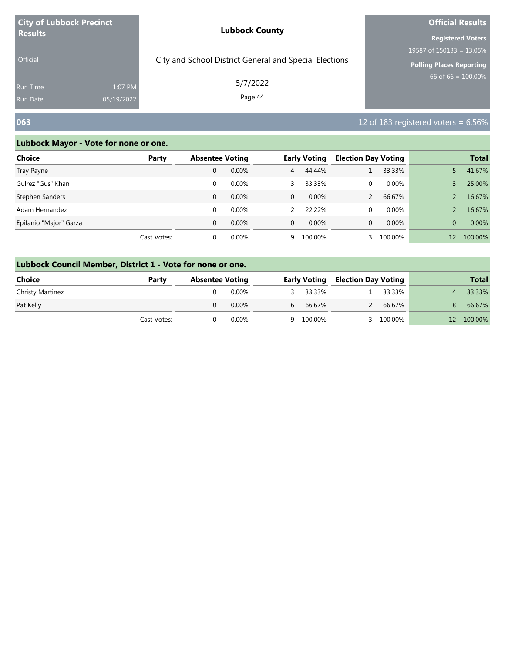| <b>City of Lubbock Precinct</b>                             | <b>Lubbock County</b>                                  | <b>Official Results</b>     |  |
|-------------------------------------------------------------|--------------------------------------------------------|-----------------------------|--|
| <b>Results</b>                                              |                                                        | <b>Registered Voters</b>    |  |
|                                                             |                                                        | 19587 of $150133 = 13.05\%$ |  |
| <b>Official</b>                                             | City and School District General and Special Elections | Polling Places Reporting    |  |
| 1:07 PM<br><b>Run Time</b><br>05/19/2022<br><b>Run Date</b> | 5/7/2022<br>Page 44                                    | $66$ of 66 = 100.00%        |  |

# **063** 12 of 183 registered voters = 6.56%

| Choice                 | Party       | <b>Absentee Voting</b> |       |                | <b>Early Voting</b> | <b>Election Day Voting</b> |         |          | <b>Total</b> |
|------------------------|-------------|------------------------|-------|----------------|---------------------|----------------------------|---------|----------|--------------|
| Tray Payne             |             | 0                      | 0.00% | $\overline{4}$ | 44.44%              |                            | 33.33%  |          | 41.67%       |
| Gulrez "Gus" Khan      |             | 0                      | 0.00% | 3.             | 33.33%              | 0                          | 0.00%   |          | 25.00%       |
| Stephen Sanders        |             | 0                      | 0.00% | $\mathbf{0}$   | $0.00\%$            |                            | 66.67%  |          | 16.67%       |
| Adam Hernandez         |             | $\Omega$               | 0.00% |                | 22.22%              | 0                          | 0.00%   |          | 16.67%       |
| Epifanio "Major" Garza |             | $\Omega$               | 0.00% | $\Omega$       | $0.00\%$            | 0                          | 0.00%   | $\Omega$ | 0.00%        |
|                        | Cast Votes: | 0                      | 0.00% | 9              | 100.00%             |                            | 100.00% | 12       | 100.00%      |

| Lubbock Council Member, District 1 - Vote for none or one. |  |  |  |  |  |
|------------------------------------------------------------|--|--|--|--|--|
|------------------------------------------------------------|--|--|--|--|--|

| Choice           | Party       | <b>Absentee Voting</b> |          |     |           | <b>Early Voting Election Day Voting</b> |           |    | <b>Total</b> |
|------------------|-------------|------------------------|----------|-----|-----------|-----------------------------------------|-----------|----|--------------|
| Christy Martinez |             |                        | 0.00%    | ≺ ∴ | 33.33%    |                                         | 33.33%    |    | 33.33%       |
| Pat Kelly        |             |                        | $0.00\%$ | 6   | 66.67%    |                                         | 66.67%    | 8. | 66.67%       |
|                  | Cast Votes: |                        | $0.00\%$ |     | 9 100.00% |                                         | 3 100.00% |    | 12 100.00%   |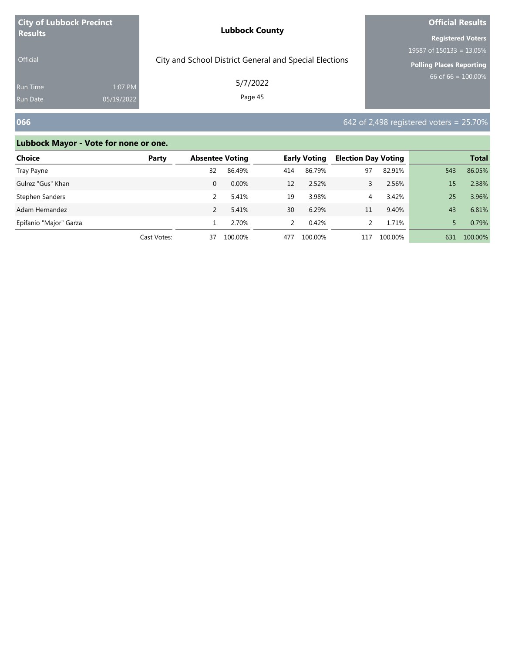| <b>City of Lubbock Precinct</b> |            | <b>Lubbock County</b>                                  | <b>Official Results</b>         |  |  |
|---------------------------------|------------|--------------------------------------------------------|---------------------------------|--|--|
| <b>Results</b>                  |            |                                                        | <b>Registered Voters</b>        |  |  |
|                                 |            |                                                        | 19587 of $150133 = 13.05\%$     |  |  |
| <b>Official</b>                 |            | City and School District General and Special Elections | <b>Polling Places Reporting</b> |  |  |
| <b>Run Time</b>                 | 1:07 PM    | 5/7/2022                                               | $66$ of 66 = 100.00%            |  |  |
| <b>Run Date</b>                 | 05/19/2022 | Page 45                                                |                                 |  |  |

# **066 12.13 of 2,498 registered voters = 25.70%**

| <b>Choice</b>          | Party       | <b>Absentee Voting</b> |         |     | <b>Early Voting</b> | <b>Election Day Voting</b> |         |     | <b>Total</b> |
|------------------------|-------------|------------------------|---------|-----|---------------------|----------------------------|---------|-----|--------------|
| Tray Payne             |             | 32                     | 86.49%  | 414 | 86.79%              | 97                         | 82.91%  | 543 | 86.05%       |
| Gulrez "Gus" Khan      |             | 0                      | 0.00%   | 12  | 2.52%               |                            | 2.56%   | 15  | 2.38%        |
| Stephen Sanders        |             |                        | 5.41%   | 19  | 3.98%               | 4                          | 3.42%   | 25  | 3.96%        |
| Adam Hernandez         |             |                        | 5.41%   | 30  | 6.29%               | 11                         | 9.40%   | 43  | 6.81%        |
| Epifanio "Major" Garza |             |                        | 2.70%   |     | 0.42%               |                            | 1.71%   |     | 0.79%        |
|                        | Cast Votes: | 37                     | 100.00% | 477 | 100.00%             | 117                        | 100.00% | 631 | 100.00%      |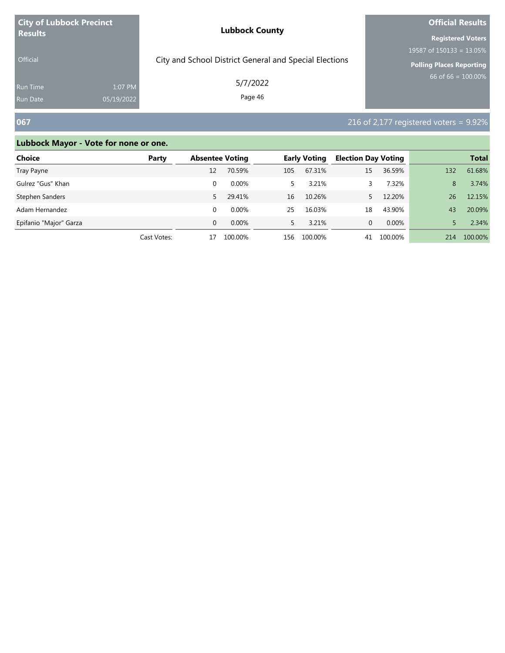| <b>City of Lubbock Precinct</b> |            | <b>Lubbock County</b>                                  | <b>Official Results</b>         |  |  |
|---------------------------------|------------|--------------------------------------------------------|---------------------------------|--|--|
| <b>Results</b>                  |            |                                                        | <b>Registered Voters</b>        |  |  |
|                                 |            |                                                        | 19587 of $150133 = 13.05\%$     |  |  |
| <b>Official</b>                 |            | City and School District General and Special Elections | <b>Polling Places Reporting</b> |  |  |
| <b>Run Time</b>                 | 1:07 PM    | 5/7/2022                                               | $66$ of 66 = 100.00%            |  |  |
| <b>Run Date</b>                 | 05/19/2022 | Page 46                                                |                                 |  |  |

# **067 216** of 2,177 registered voters = 9.92%

| Choice                 | Party       | <b>Absentee Voting</b> |          |     | <b>Early Voting</b> | <b>Election Day Voting</b> |         |     | <b>Total</b> |
|------------------------|-------------|------------------------|----------|-----|---------------------|----------------------------|---------|-----|--------------|
| Tray Payne             |             | 12                     | 70.59%   | 105 | 67.31%              | 15                         | 36.59%  | 132 | 61.68%       |
| Gulrez "Gus" Khan      |             |                        | $0.00\%$ |     | 3.21%               |                            | 7.32%   | 8   | 3.74%        |
| Stephen Sanders        |             | 5.                     | 29.41%   | 16  | 10.26%              |                            | 12.20%  | 26  | 12.15%       |
| Adam Hernandez         |             |                        | $0.00\%$ | 25  | 16.03%              | 18                         | 43.90%  | 43  | 20.09%       |
| Epifanio "Major" Garza |             | 0                      | $0.00\%$ | 5.  | 3.21%               | 0                          | 0.00%   |     | 2.34%        |
|                        | Cast Votes: | 17                     | 100.00%  | 156 | 100.00%             | 41                         | 100.00% | 214 | 100.00%      |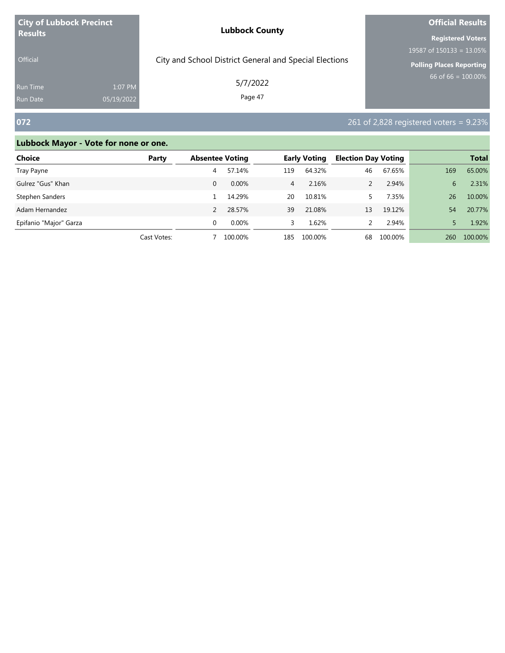| <b>City of Lubbock Precinct</b> |            | <b>Lubbock County</b>                                  | <b>Official Results</b>     |  |  |
|---------------------------------|------------|--------------------------------------------------------|-----------------------------|--|--|
| <b>Results</b>                  |            |                                                        | <b>Registered Voters</b>    |  |  |
|                                 |            |                                                        | 19587 of $150133 = 13.05\%$ |  |  |
| <b>Official</b>                 |            | City and School District General and Special Elections | Polling Places Reporting    |  |  |
| <b>Run Time</b>                 | 1:07 PM    | 5/7/2022                                               | 66 of 66 = $100.00\%$       |  |  |
| <b>Run Date</b>                 | 05/19/2022 | Page 47                                                |                             |  |  |

# **072 261** of 2,828 registered voters = 9.23%

| Choice                 | Party       | <b>Absentee Voting</b> |          | <b>Early Voting</b> |         | <b>Election Day Voting</b> |         |     | <b>Total</b> |
|------------------------|-------------|------------------------|----------|---------------------|---------|----------------------------|---------|-----|--------------|
| Tray Payne             |             | 4                      | 57.14%   | 119                 | 64.32%  | 46                         | 67.65%  | 169 | 65.00%       |
| Gulrez "Gus" Khan      |             | 0                      | $0.00\%$ | $\overline{4}$      | 2.16%   |                            | 2.94%   | 6   | 2.31%        |
| Stephen Sanders        |             |                        | 14.29%   | 20                  | 10.81%  |                            | 7.35%   | 26  | 10.00%       |
| Adam Hernandez         |             |                        | 28.57%   | 39                  | 21.08%  | 13                         | 19.12%  | 54  | 20.77%       |
| Epifanio "Major" Garza |             | $\Omega$               | $0.00\%$ | 3                   | 1.62%   |                            | 2.94%   |     | 1.92%        |
|                        | Cast Votes: |                        | 100.00%  | 185                 | 100.00% | 68                         | 100.00% | 260 | 100.00%      |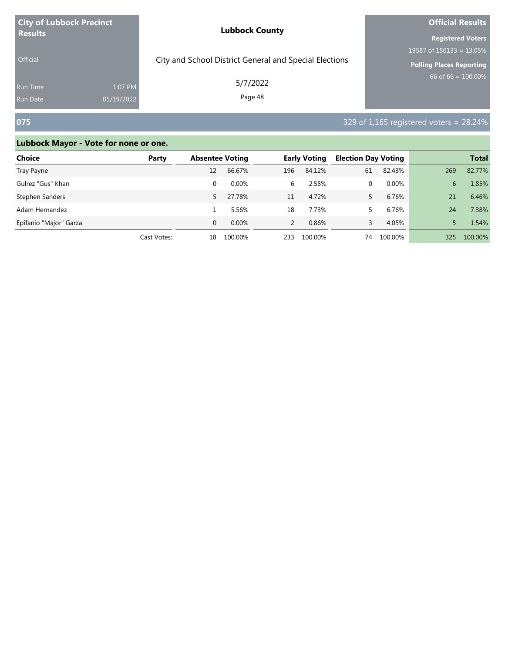| <b>City of Lubbock Precinct</b> |            | <b>Lubbock County</b>                                  | <b>Official Results</b>         |  |  |
|---------------------------------|------------|--------------------------------------------------------|---------------------------------|--|--|
| <b>Results</b>                  |            |                                                        | <b>Registered Voters</b>        |  |  |
|                                 |            |                                                        | 19587 of $150133 = 13.05\%$     |  |  |
| <b>Official</b>                 |            | City and School District General and Special Elections | <b>Polling Places Reporting</b> |  |  |
| <b>Run Time</b>                 | 1:07 PM    | 5/7/2022                                               | $66$ of 66 = 100.00%            |  |  |
| <b>Run Date</b>                 | 05/19/2022 | Page 48                                                |                                 |  |  |

# **075** 329 of 1,165 registered voters = 28.24%

| <b>Choice</b>          | Party       | <b>Absentee Voting</b> |          | <b>Early Voting</b> |         | <b>Election Day Voting</b> |         |     | <b>Total</b> |
|------------------------|-------------|------------------------|----------|---------------------|---------|----------------------------|---------|-----|--------------|
| Tray Payne             |             | 12                     | 66.67%   | 196                 | 84.12%  | 61                         | 82.43%  | 269 | 82.77%       |
| Gulrez "Gus" Khan      |             | 0                      | $0.00\%$ | 6                   | 2.58%   | 0                          | 0.00%   | 6   | 1.85%        |
| Stephen Sanders        |             | 5.                     | 27.78%   | 11                  | 4.72%   |                            | 6.76%   | 21  | 6.46%        |
| Adam Hernandez         |             |                        | 5.56%    | 18                  | 7.73%   |                            | 6.76%   | 24  | 7.38%        |
| Epifanio "Major" Garza |             | $\Omega$               | 0.00%    | $\mathcal{P}$       | 0.86%   | 3                          | 4.05%   |     | 1.54%        |
|                        | Cast Votes: | 18                     | 100.00%  | 233                 | 100.00% | 74                         | 100.00% | 325 | 100.00%      |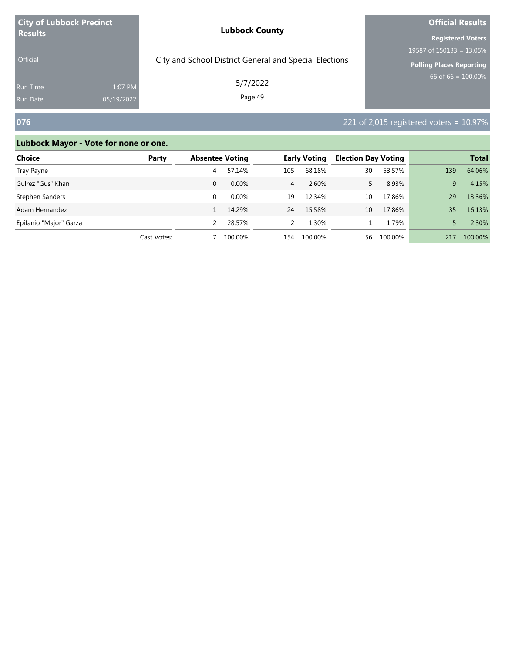| <b>City of Lubbock Precinct</b> |            | <b>Lubbock County</b>                                  | <b>Official Results</b>     |  |  |
|---------------------------------|------------|--------------------------------------------------------|-----------------------------|--|--|
| <b>Results</b>                  |            |                                                        | <b>Registered Voters</b>    |  |  |
|                                 |            |                                                        | 19587 of $150133 = 13.05\%$ |  |  |
| <b>Official</b>                 |            | City and School District General and Special Elections | Polling Places Reporting    |  |  |
| <b>Run Time</b>                 | 1:07 PM    | 5/7/2022                                               | $66$ of 66 = 100.00%        |  |  |
| <b>Run Date</b>                 | 05/19/2022 | Page 49                                                |                             |  |  |

# **076** 221 of 2,015 registered voters = 10.97%

| Choice                 | Party       | <b>Absentee Voting</b> |          | <b>Early Voting</b> |         | <b>Election Day Voting</b> |         | <b>Total</b> |         |
|------------------------|-------------|------------------------|----------|---------------------|---------|----------------------------|---------|--------------|---------|
| Tray Payne             |             | 4                      | 57.14%   | 105                 | 68.18%  | 30                         | 53.57%  | 139          | 64.06%  |
| Gulrez "Gus" Khan      |             | 0                      | $0.00\%$ | $\overline{4}$      | 2.60%   |                            | 8.93%   | 9            | 4.15%   |
| Stephen Sanders        |             |                        | $0.00\%$ | 19                  | 12.34%  | 10                         | 17.86%  | 29           | 13.36%  |
| Adam Hernandez         |             |                        | 14.29%   | 24                  | 15.58%  | 10                         | 17.86%  | 35           | 16.13%  |
| Epifanio "Major" Garza |             |                        | 28.57%   | $\mathcal{P}$       | 1.30%   |                            | 1.79%   |              | 2.30%   |
|                        | Cast Votes: |                        | 100.00%  | 154                 | 100.00% | 56                         | 100.00% | 217          | 100.00% |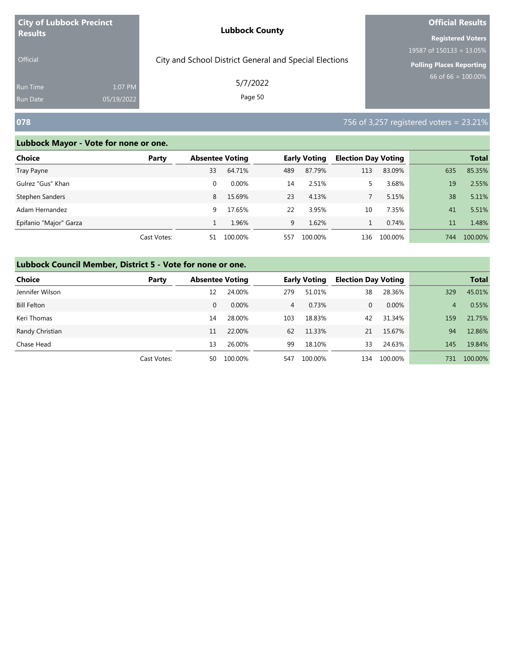| <b>City of Lubbock Precinct</b>   |                       | <b>Lubbock County</b>                                  | <b>Official Results</b>                                                                    |
|-----------------------------------|-----------------------|--------------------------------------------------------|--------------------------------------------------------------------------------------------|
| <b>Results</b><br><b>Official</b> |                       | City and School District General and Special Elections | <b>Registered Voters</b><br>19587 of $150133 = 13.05\%$<br><b>Polling Places Reporting</b> |
| <b>Run Time</b><br>Run Date       | 1:07 PM<br>05/19/2022 | 5/7/2022<br>Page 50                                    | 66 of 66 = $100.00\%$                                                                      |
| 078                               |                       |                                                        | 756 of 3,257 registered voters = 23.21%                                                    |

| Choice                 | Party       | <b>Absentee Voting</b> |          |     | <b>Early Voting</b> | <b>Election Day Voting</b> |         |     | <b>Total</b> |
|------------------------|-------------|------------------------|----------|-----|---------------------|----------------------------|---------|-----|--------------|
| Tray Payne             |             | 33                     | 64.71%   | 489 | 87.79%              | 113                        | 83.09%  | 635 | 85.35%       |
| Gulrez "Gus" Khan      |             | $\Omega$               | $0.00\%$ | 14  | 2.51%               |                            | 3.68%   | 19  | 2.55%        |
| Stephen Sanders        |             | 8                      | 15.69%   | 23  | 4.13%               |                            | 5.15%   | 38  | 5.11%        |
| Adam Hernandez         |             | 9                      | 17.65%   | 22  | 3.95%               | 10                         | 7.35%   | 41  | 5.51%        |
| Epifanio "Major" Garza |             |                        | 1.96%    | 9   | 1.62%               |                            | 0.74%   | 11  | 1.48%        |
|                        | Cast Votes: | 51                     | 100.00%  | 557 | 100.00%             | 136                        | 100.00% | 744 | 100.00%      |

| <b>Choice</b>      | Party       | <b>Absentee Voting</b> |         |                | <b>Early Voting</b> | <b>Election Day Voting</b> |          |     | <b>Total</b> |
|--------------------|-------------|------------------------|---------|----------------|---------------------|----------------------------|----------|-----|--------------|
| Jennifer Wilson    |             | 12                     | 24.00%  | 279            | 51.01%              | 38                         | 28.36%   | 329 | 45.01%       |
| <b>Bill Felton</b> |             | 0                      | 0.00%   | $\overline{4}$ | 0.73%               | 0                          | $0.00\%$ | 4   | 0.55%        |
| Keri Thomas        |             | 14                     | 28.00%  | 103            | 18.83%              | 42                         | 31.34%   | 159 | 21.75%       |
| Randy Christian    |             | 11                     | 22.00%  | 62             | 11.33%              | 21                         | 15.67%   | 94  | 12.86%       |
| Chase Head         |             | 13                     | 26.00%  | 99             | 18.10%              | 33                         | 24.63%   | 145 | 19.84%       |
|                    | Cast Votes: | 50                     | 100.00% | 547            | 100.00%             | 134                        | 100.00%  | 731 | 100.00%      |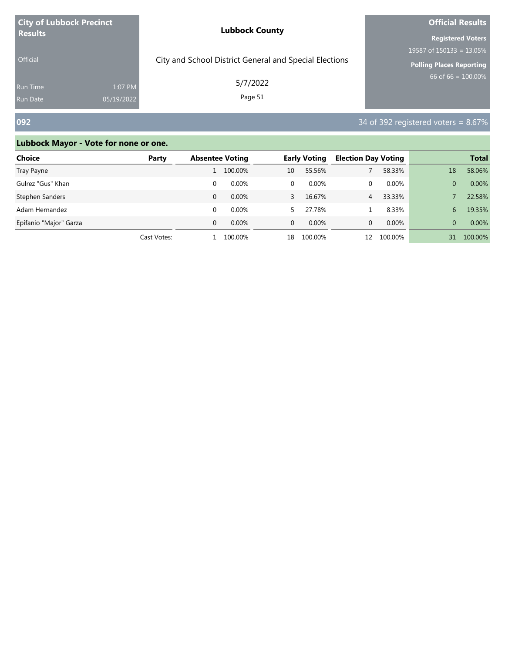| <b>City of Lubbock Precinct</b> | <b>Lubbock County</b>                                  | <b>Official Results</b>         |  |  |
|---------------------------------|--------------------------------------------------------|---------------------------------|--|--|
| <b>Results</b>                  |                                                        | <b>Registered Voters</b>        |  |  |
|                                 |                                                        | 19587 of 150133 = 13.05%        |  |  |
| <b>Official</b>                 | City and School District General and Special Elections | <b>Polling Places Reporting</b> |  |  |
| <b>Run Time</b><br>1:07 PM      | 5/7/2022                                               | 66 of 66 = $100.00\%$           |  |  |
| 05/19/2022<br><b>Run Date</b>   | Page 51                                                |                                 |  |  |

# **092** 34 of 392 registered voters = 8.67%

| <b>Choice</b>          | Party       | <b>Absentee Voting</b> |          |              | <b>Early Voting</b> | <b>Election Day Voting</b> |         |          | <b>Total</b> |
|------------------------|-------------|------------------------|----------|--------------|---------------------|----------------------------|---------|----------|--------------|
| Tray Payne             |             |                        | 100.00%  | 10           | 55.56%              |                            | 58.33%  | 18       | 58.06%       |
| Gulrez "Gus" Khan      |             | $\Omega$               | $0.00\%$ | 0            | 0.00%               | 0                          | 0.00%   | 0        | 0.00%        |
| Stephen Sanders        |             | $\Omega$               | $0.00\%$ | 3            | 16.67%              | $\overline{4}$             | 33.33%  |          | 22.58%       |
| Adam Hernandez         |             | $\Omega$               | $0.00\%$ |              | 27.78%              |                            | 8.33%   | 6        | 19.35%       |
| Epifanio "Major" Garza |             | $\Omega$               | $0.00\%$ | $\mathbf{0}$ | $0.00\%$            | 0                          | 0.00%   | $\Omega$ | 0.00%        |
|                        | Cast Votes: |                        | 100.00%  | 18           | 100.00%             | 12                         | 100.00% | 31       | 100.00%      |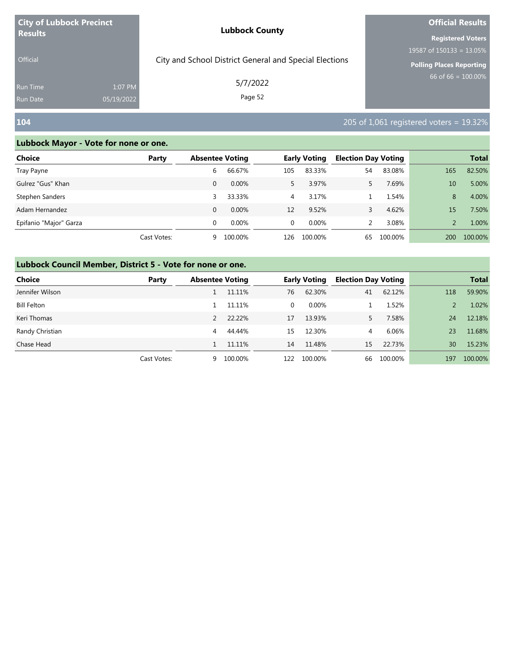| <b>City of Lubbock Precinct</b>                      | <b>Lubbock County</b>                                  | <b>Official Results</b>         |  |  |
|------------------------------------------------------|--------------------------------------------------------|---------------------------------|--|--|
| <b>Results</b>                                       |                                                        | <b>Registered Voters</b>        |  |  |
|                                                      |                                                        | 19587 of $150133 = 13.05\%$     |  |  |
| <b>Official</b>                                      | City and School District General and Special Elections | <b>Polling Places Reporting</b> |  |  |
| 1:07 PM<br>Run Time<br>05/19/2022<br><b>Run Date</b> | 5/7/2022<br>Page 52                                    | $66$ of 66 = $100.00\%$         |  |  |

# **104** 205 of 1,061 registered voters = 19.32%

# **Lubbock Mayor - Vote for none or one.**

| Choice                 | Party       | <b>Absentee Voting</b> |          |                | <b>Early Voting</b> | <b>Election Day Voting</b> |         |            | <b>Total</b> |
|------------------------|-------------|------------------------|----------|----------------|---------------------|----------------------------|---------|------------|--------------|
| Tray Payne             |             | 6                      | 66.67%   | 105            | 83.33%              | 54                         | 83.08%  | 165        | 82.50%       |
| Gulrez "Gus" Khan      |             | 0                      | $0.00\%$ | 5.             | 3.97%               |                            | 7.69%   | 10         | 5.00%        |
| Stephen Sanders        |             | 3                      | 33.33%   | $\overline{4}$ | 3.17%               |                            | 1.54%   | 8          | 4.00%        |
| Adam Hernandez         |             | 0                      | $0.00\%$ | 12             | 9.52%               | 3                          | 4.62%   | 15         | 7.50%        |
| Epifanio "Major" Garza |             | 0                      | $0.00\%$ | $\Omega$       | 0.00%               |                            | 3.08%   |            | 1.00%        |
|                        | Cast Votes: | 9                      | 100.00%  | 126            | 100.00%             | 65                         | 100.00% | <b>200</b> | 100.00%      |

| <b>Choice</b>      | Party       | <b>Absentee Voting</b> |         |              | <b>Early Voting</b> | <b>Election Day Voting</b> |         |     | <b>Total</b> |
|--------------------|-------------|------------------------|---------|--------------|---------------------|----------------------------|---------|-----|--------------|
| Jennifer Wilson    |             |                        | 11.11%  | 76           | 62.30%              | 41                         | 62.12%  | 118 | 59.90%       |
| <b>Bill Felton</b> |             |                        | 11.11%  | $\mathbf{0}$ | 0.00%               |                            | 1.52%   |     | 1.02%        |
| Keri Thomas        |             |                        | 22.22%  | 17           | 13.93%              |                            | 7.58%   | 24  | 12.18%       |
| Randy Christian    |             | 4                      | 44.44%  | 15           | 12.30%              | 4                          | 6.06%   | 23  | 11.68%       |
| Chase Head         |             |                        | 11.11%  | 14           | 11.48%              | 15                         | 22.73%  | 30  | 15.23%       |
|                    | Cast Votes: | 9                      | 100.00% | 122          | 100.00%             | 66                         | 100.00% | 197 | 100.00%      |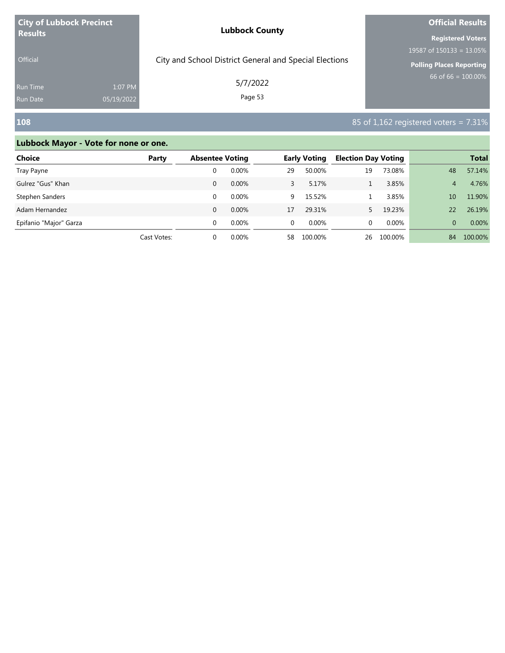| <b>City of Lubbock Precinct</b> |            | <b>Lubbock County</b>                                  | <b>Official Results</b>         |  |  |
|---------------------------------|------------|--------------------------------------------------------|---------------------------------|--|--|
| <b>Results</b>                  |            |                                                        | <b>Registered Voters</b>        |  |  |
|                                 |            |                                                        | 19587 of $150133 = 13.05\%$     |  |  |
| <b>Official</b>                 |            | City and School District General and Special Elections | <b>Polling Places Reporting</b> |  |  |
| <b>Run Time</b>                 | 1:07 PM    | 5/7/2022                                               | 66 of 66 = $100.00\%$           |  |  |
| <b>Run Date</b>                 | 05/19/2022 | Page 53                                                |                                 |  |  |

# **108** 85 of 1,162 registered voters = 7.31%

| <b>Choice</b>          | Party       | <b>Absentee Voting</b> |          |          | <b>Early Voting</b> | <b>Election Day Voting</b> |         |          | <b>Total</b> |
|------------------------|-------------|------------------------|----------|----------|---------------------|----------------------------|---------|----------|--------------|
| Tray Payne             |             | 0                      | 0.00%    | 29       | 50.00%              | 19                         | 73.08%  | 48       | 57.14%       |
| Gulrez "Gus" Khan      |             | 0                      | 0.00%    | 3.       | 5.17%               |                            | 3.85%   | 4        | 4.76%        |
| Stephen Sanders        |             | 0                      | 0.00%    | 9.       | 15.52%              |                            | 3.85%   | 10       | 11.90%       |
| Adam Hernandez         |             | 0                      | 0.00%    | 17       | 29.31%              |                            | 19.23%  | 22       | 26.19%       |
| Epifanio "Major" Garza |             | $\Omega$               | $0.00\%$ | $\Omega$ | $0.00\%$            | 0                          | 0.00%   | $\Omega$ | 0.00%        |
|                        | Cast Votes: | 0                      | 0.00%    | 58       | 100.00%             | 26                         | 100.00% | 84       | 100.00%      |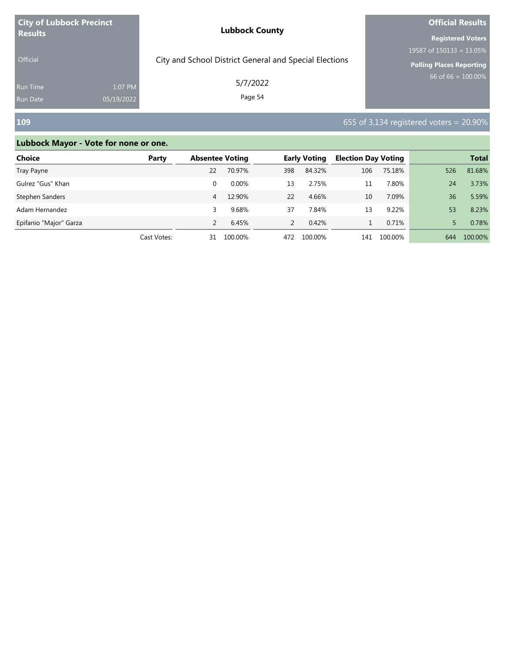| <b>City of Lubbock Precinct</b> |            | <b>Lubbock County</b>                                  | <b>Official Results</b>     |  |  |
|---------------------------------|------------|--------------------------------------------------------|-----------------------------|--|--|
| <b>Results</b>                  |            |                                                        | <b>Registered Voters</b>    |  |  |
|                                 |            |                                                        | 19587 of $150133 = 13.05\%$ |  |  |
| <b>Official</b>                 |            | City and School District General and Special Elections | Polling Places Reporting    |  |  |
| <b>Run Time</b>                 | 1:07 PM    | 5/7/2022                                               | 66 of 66 = $100.00\%$       |  |  |
| <b>Run Date</b>                 | 05/19/2022 | Page 54                                                |                             |  |  |

# **109** 655 of 3,134 registered voters = 20.90%

| <b>Choice</b>          | Party       | <b>Absentee Voting</b> |         |               | <b>Early Voting</b> | <b>Election Day Voting</b> |         |     | <b>Total</b> |
|------------------------|-------------|------------------------|---------|---------------|---------------------|----------------------------|---------|-----|--------------|
| Tray Payne             |             | 22                     | 70.97%  | 398           | 84.32%              | 106                        | 75.18%  | 526 | 81.68%       |
| Gulrez "Gus" Khan      |             | 0                      | 0.00%   | 13            | 2.75%               | 11                         | 7.80%   | 24  | 3.73%        |
| Stephen Sanders        |             | 4                      | 12.90%  | 22            | 4.66%               | 10                         | 7.09%   | 36  | 5.59%        |
| Adam Hernandez         |             |                        | 9.68%   | 37            | 7.84%               | 13                         | 9.22%   | 53  | 8.23%        |
| Epifanio "Major" Garza |             |                        | 6.45%   | $\mathcal{P}$ | 0.42%               |                            | 0.71%   |     | 0.78%        |
|                        | Cast Votes: | 31                     | 100.00% | 472           | 100.00%             | 141                        | 100.00% | 644 | 100.00%      |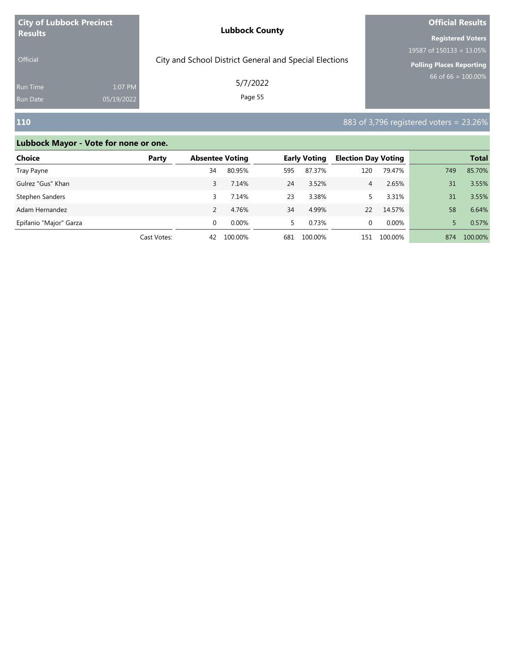| <b>City of Lubbock Precinct</b> |            | <b>Lubbock County</b>                                  | <b>Official Results</b>     |  |  |
|---------------------------------|------------|--------------------------------------------------------|-----------------------------|--|--|
| <b>Results</b>                  |            |                                                        | <b>Registered Voters</b>    |  |  |
|                                 |            |                                                        | 19587 of $150133 = 13.05\%$ |  |  |
| <b>Official</b>                 |            | City and School District General and Special Elections | Polling Places Reporting    |  |  |
| <b>Run Time</b>                 | 1:07 PM    | 5/7/2022<br>Page 55                                    | 66 of 66 = $100.00\%$       |  |  |
| <b>Run Date</b>                 | 05/19/2022 |                                                        |                             |  |  |

# **110** 883 of 3,796 registered voters = 23.26%

| <b>Choice</b>          | Party       | <b>Absentee Voting</b> |          |     | <b>Early Voting</b> | <b>Election Day Voting</b> |          |     | <b>Total</b> |
|------------------------|-------------|------------------------|----------|-----|---------------------|----------------------------|----------|-----|--------------|
| Tray Payne             |             | 34                     | 80.95%   | 595 | 87.37%              | 120                        | 79.47%   | 749 | 85.70%       |
| Gulrez "Gus" Khan      |             | 3                      | 7.14%    | 24  | 3.52%               | 4                          | 2.65%    | 31  | 3.55%        |
| Stephen Sanders        |             |                        | 7.14%    | 23  | 3.38%               |                            | 3.31%    | 31  | 3.55%        |
| Adam Hernandez         |             |                        | 4.76%    | 34  | 4.99%               | 22                         | 14.57%   | 58  | 6.64%        |
| Epifanio "Major" Garza |             | $\Omega$               | $0.00\%$ | 5.  | 0.73%               | 0                          | $0.00\%$ |     | 0.57%        |
|                        | Cast Votes: | 42                     | 100.00%  | 681 | 100.00%             | 151                        | 100.00%  | 874 | 100.00%      |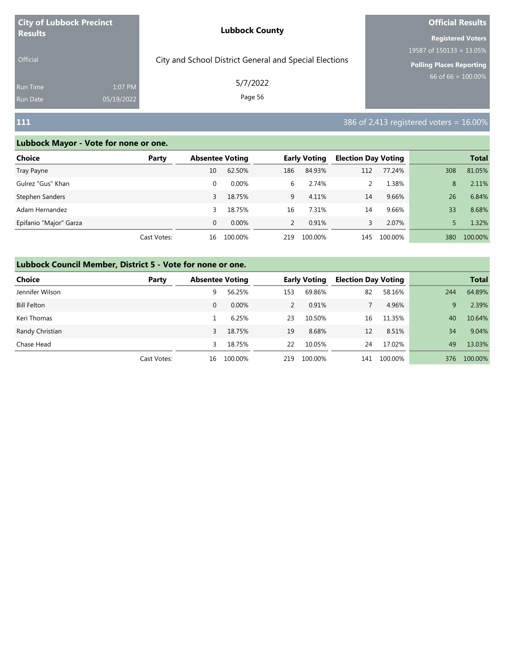| <b>City of Lubbock Precinct</b> |            | <b>Lubbock County</b>                                  | <b>Official Results</b>                                    |  |  |
|---------------------------------|------------|--------------------------------------------------------|------------------------------------------------------------|--|--|
| <b>Results</b>                  |            |                                                        | <b>Registered Voters</b><br>19587 of $150133 = 13.05\%$    |  |  |
| <b>Official</b>                 |            | City and School District General and Special Elections | <b>Polling Places Reporting</b><br>$66$ of 66 = $100.00\%$ |  |  |
| <b>Run Time</b>                 | 1:07 PM    | 5/7/2022                                               |                                                            |  |  |
| Run Date                        | 05/19/2022 | Page 56                                                |                                                            |  |  |
| 111                             |            |                                                        | $386$ of 2,413 registered voters $= 16.00\%$               |  |  |

| Choice                 | Party       | <b>Absentee Voting</b> |          |               | <b>Early Voting</b> | <b>Election Day Voting</b> |         |     | <b>Total</b> |
|------------------------|-------------|------------------------|----------|---------------|---------------------|----------------------------|---------|-----|--------------|
| Tray Payne             |             | 10                     | 62.50%   | 186           | 84.93%              | 112                        | 77.24%  | 308 | 81.05%       |
| Gulrez "Gus" Khan      |             | 0                      | $0.00\%$ | 6             | 2.74%               |                            | 1.38%   | 8   | 2.11%        |
| Stephen Sanders        |             | 3                      | 18.75%   | 9             | 4.11%               | 14                         | 9.66%   | 26  | 6.84%        |
| Adam Hernandez         |             | 3                      | 18.75%   | 16            | 7.31%               | 14                         | 9.66%   | 33  | 8.68%        |
| Epifanio "Major" Garza |             | $\Omega$               | $0.00\%$ | $\mathcal{P}$ | 0.91%               | 3.                         | 2.07%   |     | 1.32%        |
|                        | Cast Votes: | 16                     | 100.00%  | 219           | 100.00%             | 145                        | 100.00% | 380 | 100.00%      |

| <b>Choice</b>      | Party       | <b>Absentee Voting</b> |         |     | <b>Early Voting</b> | <b>Election Day Voting</b> |         |     | <b>Total</b> |
|--------------------|-------------|------------------------|---------|-----|---------------------|----------------------------|---------|-----|--------------|
| Jennifer Wilson    |             | 9                      | 56.25%  | 153 | 69.86%              | 82                         | 58.16%  | 244 | 64.89%       |
| <b>Bill Felton</b> |             | 0                      | 0.00%   |     | 0.91%               |                            | 4.96%   | 9   | 2.39%        |
| Keri Thomas        |             |                        | 6.25%   | 23  | 10.50%              | 16                         | 11.35%  | 40  | 10.64%       |
| Randy Christian    |             | 3                      | 18.75%  | 19  | 8.68%               | 12                         | 8.51%   | 34  | 9.04%        |
| Chase Head         |             | 3                      | 18.75%  | 22  | 10.05%              | 24                         | 17.02%  | 49  | 13.03%       |
|                    | Cast Votes: | 16                     | 100.00% | 219 | 100.00%             | 141                        | 100.00% | 376 | 100.00%      |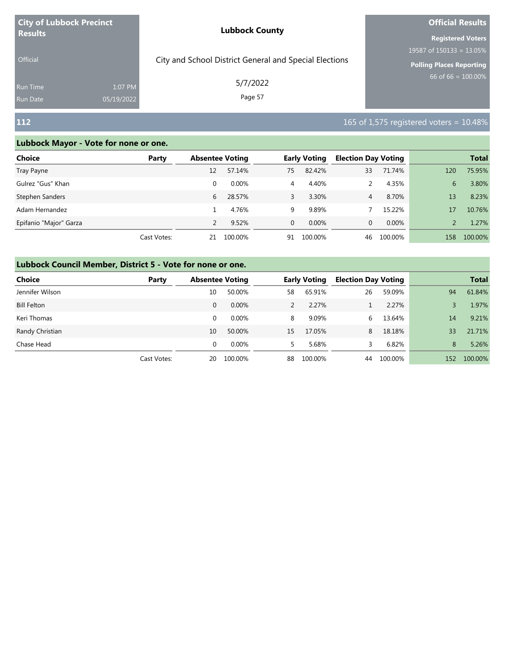| <b>City of Lubbock Precinct</b>    |                       | <b>Lubbock County</b>                                  | <b>Official Results</b>                                                                    |  |  |
|------------------------------------|-----------------------|--------------------------------------------------------|--------------------------------------------------------------------------------------------|--|--|
| <b>Results</b><br><b>Official</b>  |                       | City and School District General and Special Elections | <b>Registered Voters</b><br>19587 of $150133 = 13.05\%$<br><b>Polling Places Reporting</b> |  |  |
| <b>Run Time</b><br><b>Run Date</b> | 1:07 PM<br>05/19/2022 | 5/7/2022<br>Page 57                                    | 66 of $66 = 100.00\%$                                                                      |  |  |
| <b>112</b>                         |                       |                                                        | 165 of 1,575 registered voters $= 10.48\%$                                                 |  |  |

| Choice                 | Party       | <b>Absentee Voting</b> |          |              | <b>Early Voting</b> | <b>Election Day Voting</b> |         |     | <b>Total</b> |
|------------------------|-------------|------------------------|----------|--------------|---------------------|----------------------------|---------|-----|--------------|
| Tray Payne             |             | 12                     | 57.14%   | 75           | 82.42%              | 33                         | 71.74%  | 120 | 75.95%       |
| Gulrez "Gus" Khan      |             | 0                      | $0.00\%$ | 4            | 4.40%               |                            | 4.35%   | 6   | 3.80%        |
| Stephen Sanders        |             | 6                      | 28.57%   | 3            | 3.30%               | 4                          | 8.70%   | 13  | 8.23%        |
| Adam Hernandez         |             |                        | 4.76%    | 9            | 9.89%               |                            | 15.22%  | 17  | 10.76%       |
| Epifanio "Major" Garza |             |                        | 9.52%    | $\mathbf{0}$ | 0.00%               | 0                          | 0.00%   |     | 1.27%        |
|                        | Cast Votes: | 21                     | 100.00%  | 91           | 100.00%             | 46                         | 100.00% | 158 | 100.00%      |

| <b>Choice</b>      | Party       | <b>Absentee Voting</b> |          |    | <b>Early Voting</b> | <b>Election Day Voting</b> |         |     | <b>Total</b> |
|--------------------|-------------|------------------------|----------|----|---------------------|----------------------------|---------|-----|--------------|
| Jennifer Wilson    |             | 10                     | 50.00%   | 58 | 65.91%              | 26                         | 59.09%  | 94  | 61.84%       |
| <b>Bill Felton</b> |             | $\mathbf{0}$           | 0.00%    |    | 2.27%               |                            | 2.27%   |     | 1.97%        |
| Keri Thomas        |             | 0                      | $0.00\%$ | 8  | 9.09%               | 6.                         | 13.64%  | 14  | 9.21%        |
| Randy Christian    |             | 10                     | 50.00%   | 15 | 17.05%              | 8                          | 18.18%  | 33  | 21.71%       |
| Chase Head         |             | $\Omega$               | $0.00\%$ | 5. | 5.68%               |                            | 6.82%   | 8   | 5.26%        |
|                    | Cast Votes: | 20                     | 100.00%  | 88 | 100.00%             | 44                         | 100.00% | 152 | 100.00%      |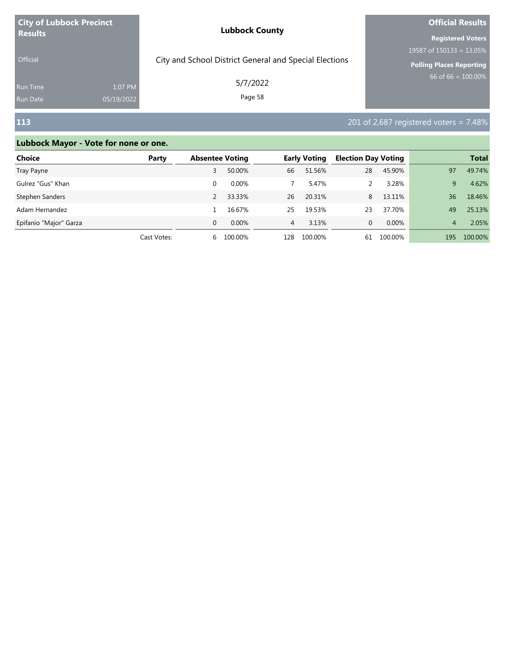| <b>City of Lubbock Precinct</b><br><b>Results</b> |            | <b>Lubbock County</b>                                  | <b>Official Results</b>         |  |  |
|---------------------------------------------------|------------|--------------------------------------------------------|---------------------------------|--|--|
|                                                   |            |                                                        | <b>Registered Voters</b>        |  |  |
|                                                   |            |                                                        | 19587 of $150133 = 13.05\%$     |  |  |
| <b>Official</b>                                   |            | City and School District General and Special Elections | <b>Polling Places Reporting</b> |  |  |
| <b>Run Time</b>                                   | 1:07 PM    | 5/7/2022                                               | 66 of 66 = $100.00\%$           |  |  |
| <b>Run Date</b>                                   | 05/19/2022 | Page 58                                                |                                 |  |  |

# **113** 201 of 2,687 registered voters = 7.48%

| Choice                 | Party       |          | <b>Absentee Voting</b> |     | <b>Early Voting</b> |    | <b>Election Day Voting</b> |                | <b>Total</b> |
|------------------------|-------------|----------|------------------------|-----|---------------------|----|----------------------------|----------------|--------------|
| Tray Payne             |             |          | 50.00%                 | 66  | 51.56%              | 28 | 45.90%                     | 97             | 49.74%       |
| Gulrez "Gus" Khan      |             | 0        | $0.00\%$               |     | 5.47%               |    | 3.28%                      | 9              | 4.62%        |
| Stephen Sanders        |             |          | 33.33%                 | 26  | 20.31%              | 8  | 13.11%                     | 36             | 18.46%       |
| Adam Hernandez         |             |          | 16.67%                 | 25  | 19.53%              | 23 | 37.70%                     | 49             | 25.13%       |
| Epifanio "Major" Garza |             | $\Omega$ | $0.00\%$               | 4   | 3.13%               | 0  | $0.00\%$                   | $\overline{4}$ | 2.05%        |
|                        | Cast Votes: | 6.       | 100.00%                | 128 | 100.00%             | 61 | 100.00%                    | 195            | 100.00%      |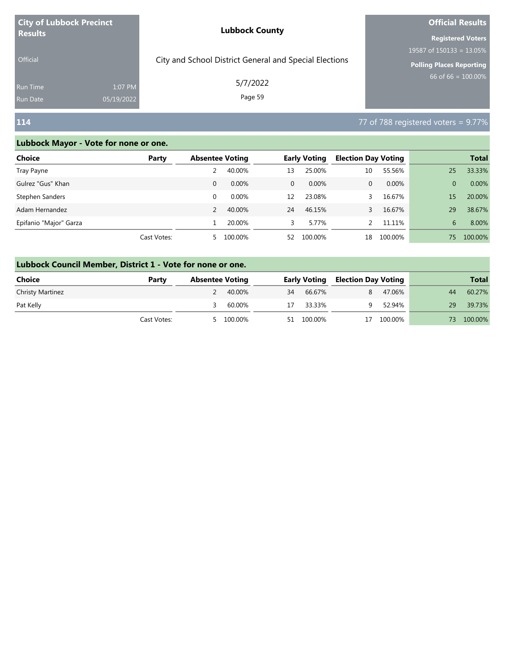| <b>City of Lubbock Precinct</b> |            | <b>Lubbock County</b>                                  | <b>Official Results</b>     |  |  |
|---------------------------------|------------|--------------------------------------------------------|-----------------------------|--|--|
| <b>Results</b>                  |            |                                                        | <b>Registered Voters</b>    |  |  |
|                                 |            |                                                        | 19587 of $150133 = 13.05\%$ |  |  |
| <b>Official</b>                 |            | City and School District General and Special Elections | Polling Places Reporting    |  |  |
| <b>Run Time</b>                 | 1:07 PM    | 5/7/2022                                               | 66 of 66 = $100.00\%$       |  |  |
| Run Date                        | 05/19/2022 | Page 59                                                |                             |  |  |

# **114** 77 of 788 registered voters = 9.77%

| <b>Choice</b>          | Party       | <b>Absentee Voting</b> |          |              | <b>Early Voting</b> | <b>Election Day Voting</b> |         |                | <b>Total</b> |
|------------------------|-------------|------------------------|----------|--------------|---------------------|----------------------------|---------|----------------|--------------|
| Tray Payne             |             |                        | 40.00%   | 13           | 25.00%              | 10                         | 55.56%  | 25             | 33.33%       |
| Gulrez "Gus" Khan      |             | $\mathbf{0}$           | 0.00%    | $\mathbf{0}$ | $0.00\%$            | 0                          | 0.00%   | $\overline{0}$ | 0.00%        |
| Stephen Sanders        |             | 0                      | $0.00\%$ | 12           | 23.08%              |                            | 16.67%  | 15             | 20.00%       |
| Adam Hernandez         |             |                        | 40.00%   | 24           | 46.15%              |                            | 16.67%  | 29             | 38.67%       |
| Epifanio "Major" Garza |             |                        | 20.00%   | 3.           | 5.77%               |                            | 11.11%  | 6              | 8.00%        |
|                        | Cast Votes: | 5.                     | 100.00%  | 52           | 100.00%             | 18                         | 100.00% | 75.            | 100.00%      |

|                         | Lubbock Council Member, District 1 - Vote for none or one. |                        |         |    |                     |   |                            |     |              |  |  |  |  |
|-------------------------|------------------------------------------------------------|------------------------|---------|----|---------------------|---|----------------------------|-----|--------------|--|--|--|--|
| <b>Choice</b><br>Party  |                                                            | <b>Absentee Voting</b> |         |    | <b>Early Voting</b> |   | <b>Election Day Voting</b> |     | <b>Total</b> |  |  |  |  |
| <b>Christy Martinez</b> |                                                            |                        | 40.00%  | 34 | 66.67%              | 8 | 47.06%                     | 44  | 60.27%       |  |  |  |  |
| Pat Kelly               |                                                            |                        | 60.00%  | 17 | 33.33%              |   | 52.94%                     | 29  | 39.73%       |  |  |  |  |
|                         | Cast Votes:                                                |                        | 100.00% |    | 51 100.00%          |   | 100.00%                    | 73. | 100.00%      |  |  |  |  |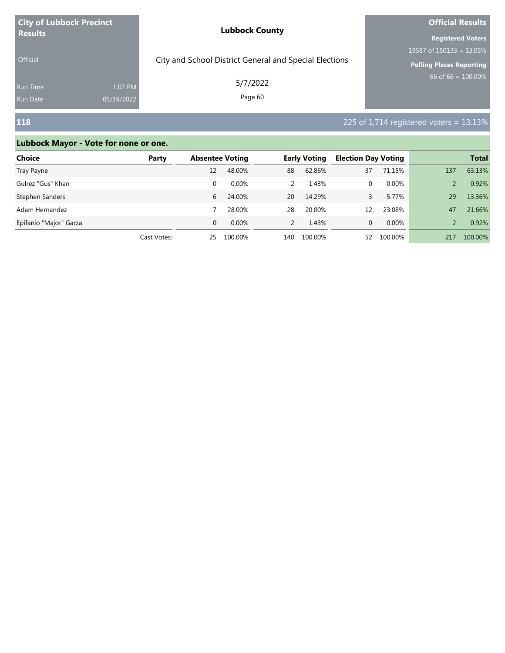| <b>City of Lubbock Precinct</b> |            | <b>Lubbock County</b>                                  | <b>Official Results</b>         |  |  |
|---------------------------------|------------|--------------------------------------------------------|---------------------------------|--|--|
| <b>Results</b>                  |            |                                                        | <b>Registered Voters</b>        |  |  |
|                                 |            |                                                        | 19587 of $150133 = 13.05\%$     |  |  |
| <b>Official</b>                 |            | City and School District General and Special Elections | <b>Polling Places Reporting</b> |  |  |
| <b>Run Time</b>                 | 1:07 PM    | 5/7/2022                                               | $66$ of 66 = 100.00%            |  |  |
| <b>Run Date</b>                 | 05/19/2022 | Page 60                                                |                                 |  |  |

# **118** 225 of 1,714 registered voters = 13.13%

| Choice                 | Party       |          | <b>Absentee Voting</b> |               | <b>Early Voting</b> |    | <b>Election Day Voting</b> |     | <b>Total</b> |
|------------------------|-------------|----------|------------------------|---------------|---------------------|----|----------------------------|-----|--------------|
| Tray Payne             |             | 12       | 48.00%                 | 88            | 62.86%              | 37 | 71.15%                     | 137 | 63.13%       |
| Gulrez "Gus" Khan      |             | 0        | $0.00\%$               | 2             | 1.43%               | 0  | 0.00%                      |     | 0.92%        |
| Stephen Sanders        |             | 6        | 24.00%                 | 20            | 14.29%              |    | 5.77%                      | 29  | 13.36%       |
| Adam Hernandez         |             |          | 28.00%                 | 28            | 20.00%              | 12 | 23.08%                     | 47  | 21.66%       |
| Epifanio "Major" Garza |             | $\Omega$ | $0.00\%$               | $\mathcal{P}$ | 1.43%               | 0  | 0.00%                      |     | 0.92%        |
|                        | Cast Votes: | 25       | 100.00%                | 140           | 100.00%             | 52 | 100.00%                    | 217 | 100.00%      |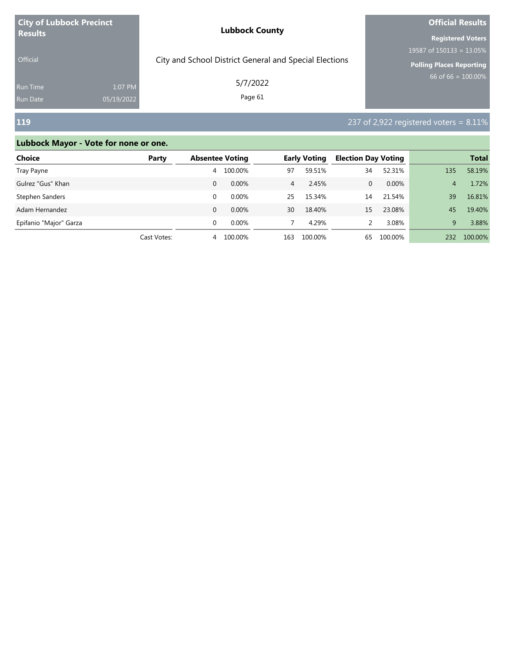| <b>City of Lubbock Precinct</b> |            | <b>Lubbock County</b>                                  | <b>Official Results</b>         |  |  |
|---------------------------------|------------|--------------------------------------------------------|---------------------------------|--|--|
| <b>Results</b>                  |            |                                                        | <b>Registered Voters</b>        |  |  |
|                                 |            |                                                        | 19587 of $150133 = 13.05\%$     |  |  |
| <b>Official</b>                 |            | City and School District General and Special Elections | <b>Polling Places Reporting</b> |  |  |
| <b>Run Time</b>                 | 1:07 PM    | 5/7/2022                                               | $66$ of 66 = 100.00%            |  |  |
| <b>Run Date</b>                 | 05/19/2022 | Page 61                                                |                                 |  |  |

# **119 119 237** of 2,922 registered voters = 8.11%

| <b>Choice</b>          | Party       | <b>Absentee Voting</b> |          |                | <b>Early Voting</b> | <b>Election Day Voting</b> |         |     | <b>Total</b> |
|------------------------|-------------|------------------------|----------|----------------|---------------------|----------------------------|---------|-----|--------------|
| Tray Payne             |             | 4                      | 100.00%  | 97             | 59.51%              | 34                         | 52.31%  | 135 | 58.19%       |
| Gulrez "Gus" Khan      |             | 0                      | 0.00%    | $\overline{4}$ | 2.45%               | 0                          | 0.00%   | 4   | 1.72%        |
| Stephen Sanders        |             | 0                      | 0.00%    | 25             | 15.34%              | 14                         | 21.54%  | 39  | 16.81%       |
| Adam Hernandez         |             | 0                      | 0.00%    | 30             | 18.40%              | 15                         | 23.08%  | 45  | 19.40%       |
| Epifanio "Major" Garza |             | $\Omega$               | $0.00\%$ |                | 4.29%               |                            | 3.08%   | 9   | 3.88%        |
|                        | Cast Votes: | 4                      | 100.00%  | 163            | 100.00%             | 65                         | 100.00% | 232 | 100.00%      |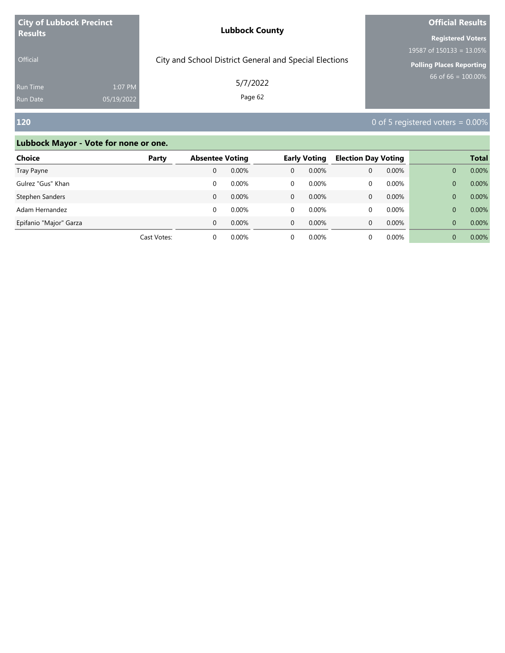| <b>City of Lubbock Precinct</b> |            | <b>Lubbock County</b>                                  | <b>Official Results</b>         |  |  |
|---------------------------------|------------|--------------------------------------------------------|---------------------------------|--|--|
| <b>Results</b>                  |            |                                                        | <b>Registered Voters</b>        |  |  |
|                                 |            |                                                        | 19587 of $150133 = 13.05\%$     |  |  |
| <b>Official</b>                 |            | City and School District General and Special Elections | <b>Polling Places Reporting</b> |  |  |
| <b>Run Time</b>                 | 1:07 PM    | 5/7/2022                                               | 66 of 66 = $100.00\%$           |  |  |
| Run Date                        | 05/19/2022 | Page 62                                                |                                 |  |  |

# **120** 0 of 5 registered voters = 0.00%

| Choice                 | Party       |          | <b>Absentee Voting</b> |              | <b>Early Voting</b> | <b>Election Day Voting</b> |       |          | <b>Total</b> |
|------------------------|-------------|----------|------------------------|--------------|---------------------|----------------------------|-------|----------|--------------|
| Tray Payne             |             | 0        | 0.00%                  | $\mathbf{0}$ | 0.00%               | 0                          | 0.00% | 0        | 0.00%        |
| Gulrez "Gus" Khan      |             |          | $0.00\%$               | 0            | $0.00\%$            | 0                          | 0.00% | 0        | 0.00%        |
| Stephen Sanders        |             | 0        | $0.00\%$               | $\mathbf{0}$ | 0.00%               | $\mathbf{0}$               | 0.00% | 0        | 0.00%        |
| Adam Hernandez         |             |          | 0.00%                  | $\Omega$     | $0.00\%$            | 0                          | 0.00% | 0        | 0.00%        |
| Epifanio "Major" Garza |             | $\Omega$ | $0.00\%$               | $\Omega$     | 0.00%               | 0                          | 0.00% | $\Omega$ | 0.00%        |
|                        | Cast Votes: |          | $0.00\%$               | 0            | 0.00%               |                            | 0.00% |          | 0.00%        |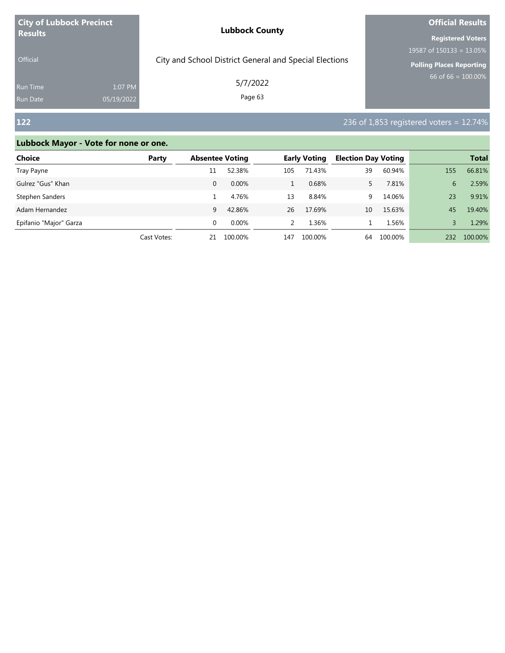| <b>City of Lubbock Precinct</b> |            | <b>Lubbock County</b>                                  | <b>Official Results</b>         |  |  |
|---------------------------------|------------|--------------------------------------------------------|---------------------------------|--|--|
| <b>Results</b>                  |            |                                                        | <b>Registered Voters</b>        |  |  |
|                                 |            |                                                        | 19587 of $150133 = 13.05\%$     |  |  |
| <b>Official</b>                 |            | City and School District General and Special Elections | <b>Polling Places Reporting</b> |  |  |
| <b>Run Time</b>                 | 1:07 PM    | 5/7/2022                                               | $66$ of 66 = 100.00%            |  |  |
| <b>Run Date</b>                 | 05/19/2022 | Page 63                                                |                                 |  |  |

# **122** 236 of 1,853 registered voters = 12.74%

| <b>Choice</b>          | Party       | <b>Absentee Voting</b> |          | <b>Early Voting</b> |         | <b>Election Day Voting</b> |         |     | <b>Total</b> |
|------------------------|-------------|------------------------|----------|---------------------|---------|----------------------------|---------|-----|--------------|
| Tray Payne             |             | 11                     | 52.38%   | 105                 | 71.43%  | 39                         | 60.94%  | 155 | 66.81%       |
| Gulrez "Gus" Khan      |             | 0                      | 0.00%    |                     | 0.68%   |                            | 7.81%   | 6   | 2.59%        |
| Stephen Sanders        |             |                        | 4.76%    | 13                  | 8.84%   | 9                          | 14.06%  | 23  | 9.91%        |
| Adam Hernandez         |             | 9                      | 42.86%   | 26                  | 17.69%  | 10                         | 15.63%  | 45  | 19.40%       |
| Epifanio "Major" Garza |             | 0                      | $0.00\%$ |                     | 1.36%   |                            | 1.56%   |     | 1.29%        |
|                        | Cast Votes: | 21                     | 100.00%  | 147                 | 100.00% | 64                         | 100.00% | 232 | 100.00%      |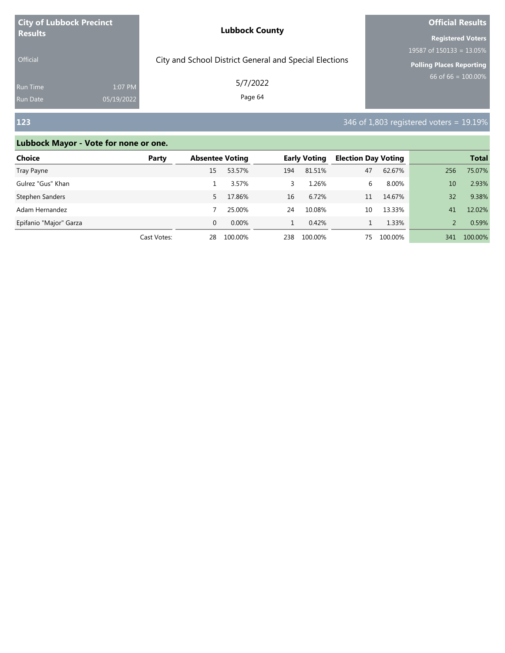| <b>City of Lubbock Precinct</b> |            | <b>Lubbock County</b>                                  | <b>Official Results</b>         |  |  |
|---------------------------------|------------|--------------------------------------------------------|---------------------------------|--|--|
| <b>Results</b>                  |            |                                                        | <b>Registered Voters</b>        |  |  |
|                                 |            |                                                        | 19587 of $150133 = 13.05\%$     |  |  |
| <b>Official</b>                 |            | City and School District General and Special Elections | <b>Polling Places Reporting</b> |  |  |
| <b>Run Time</b>                 | 1:07 PM    | 5/7/2022                                               | 66 of 66 = $100.00\%$           |  |  |
| <b>Run Date</b>                 | 05/19/2022 | Page 64                                                |                                 |  |  |

# **123** 346 of 1,803 registered voters = 19.19%

| <b>Choice</b>          | Party       |          | <b>Absentee Voting</b> |     | <b>Early Voting</b> |    | <b>Election Day Voting</b> |     | <b>Total</b> |
|------------------------|-------------|----------|------------------------|-----|---------------------|----|----------------------------|-----|--------------|
| Tray Payne             |             | 15       | 53.57%                 | 194 | 81.51%              | 47 | 62.67%                     | 256 | 75.07%       |
| Gulrez "Gus" Khan      |             |          | 3.57%                  | 3.  | 1.26%               | 6  | 8.00%                      | 10  | 2.93%        |
| Stephen Sanders        |             | 5.       | 17.86%                 | 16  | 6.72%               | 11 | 14.67%                     | 32  | 9.38%        |
| Adam Hernandez         |             |          | 25.00%                 | 24  | 10.08%              | 10 | 13.33%                     | 41  | 12.02%       |
| Epifanio "Major" Garza |             | $\Omega$ | 0.00%                  |     | 0.42%               |    | 1.33%                      |     | 0.59%        |
|                        | Cast Votes: | 28       | 100.00%                | 238 | 100.00%             | 75 | 100.00%                    | 341 | 100.00%      |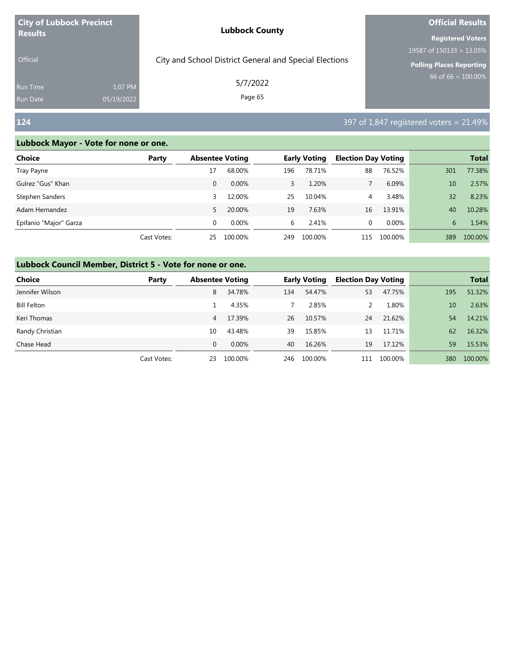| <b>City of Lubbock Precinct</b>    |                       | <b>Lubbock County</b>                                  | <b>Official Results</b>                                                                    |  |  |
|------------------------------------|-----------------------|--------------------------------------------------------|--------------------------------------------------------------------------------------------|--|--|
| <b>Results</b><br><b>Official</b>  |                       | City and School District General and Special Elections | <b>Registered Voters</b><br>19587 of $150133 = 13.05\%$<br><b>Polling Places Reporting</b> |  |  |
| <b>Run Time</b><br><b>Run Date</b> | 1:07 PM<br>05/19/2022 | 5/7/2022<br>Page 65                                    | 66 of $66 = 100.00\%$                                                                      |  |  |
| 124                                |                       |                                                        | 397 of 1,847 registered voters = 21.49%                                                    |  |  |

| Choice                 | Party       | <b>Absentee Voting</b> |          |     | <b>Early Voting</b> | <b>Election Day Voting</b> |         |     | <b>Total</b> |
|------------------------|-------------|------------------------|----------|-----|---------------------|----------------------------|---------|-----|--------------|
| Tray Payne             |             | 17                     | 68.00%   | 196 | 78.71%              | 88                         | 76.52%  | 301 | 77.38%       |
| Gulrez "Gus" Khan      |             | 0                      | $0.00\%$ | 3   | 1.20%               |                            | 6.09%   | 10  | 2.57%        |
| Stephen Sanders        |             | 3                      | 12.00%   | 25  | 10.04%              | 4                          | 3.48%   | 32  | 8.23%        |
| Adam Hernandez         |             | 5.                     | 20.00%   | 19  | 7.63%               | 16                         | 13.91%  | 40  | 10.28%       |
| Epifanio "Major" Garza |             | 0                      | $0.00\%$ | 6   | 2.41%               | 0                          | 0.00%   | 6   | 1.54%        |
|                        | Cast Votes: | 25                     | 100.00%  | 249 | 100.00%             | 115                        | 100.00% | 389 | 100.00%      |

| <b>Choice</b>      | Party       | <b>Absentee Voting</b> |         |     | <b>Early Voting</b> | <b>Election Day Voting</b> |         |     | <b>Total</b> |
|--------------------|-------------|------------------------|---------|-----|---------------------|----------------------------|---------|-----|--------------|
| Jennifer Wilson    |             | 8                      | 34.78%  | 134 | 54.47%              | 53                         | 47.75%  | 195 | 51.32%       |
| <b>Bill Felton</b> |             |                        | 4.35%   |     | 2.85%               |                            | 1.80%   | 10  | 2.63%        |
| Keri Thomas        |             | 4                      | 17.39%  | 26  | 10.57%              | 24                         | 21.62%  | 54  | 14.21%       |
| Randy Christian    |             | 10                     | 43.48%  | 39  | 15.85%              | 13                         | 11.71%  | 62  | 16.32%       |
| Chase Head         |             | $\Omega$               | 0.00%   | 40  | 16.26%              | 19                         | 17.12%  | 59  | 15.53%       |
|                    | Cast Votes: | 23                     | 100.00% | 246 | 100.00%             | 111                        | 100.00% | 380 | 100.00%      |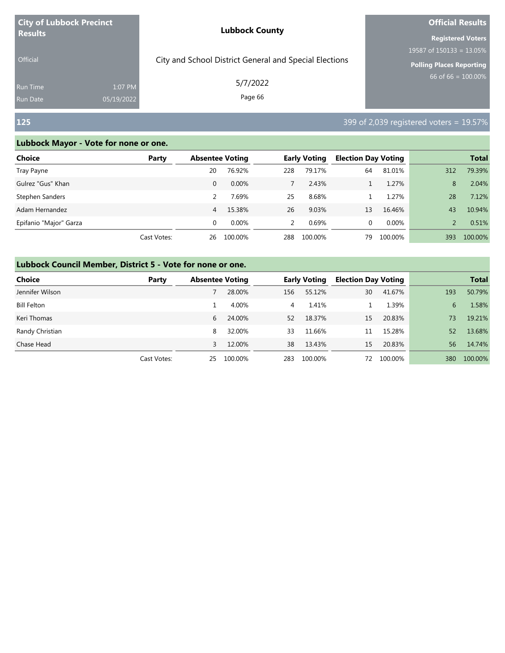| <b>City of Lubbock Precinct</b>   |                       | <b>Lubbock County</b>                                  | <b>Official Results</b>                                                                    |  |  |  |
|-----------------------------------|-----------------------|--------------------------------------------------------|--------------------------------------------------------------------------------------------|--|--|--|
| <b>Results</b><br><b>Official</b> |                       | City and School District General and Special Elections | <b>Registered Voters</b><br>19587 of $150133 = 13.05\%$<br><b>Polling Places Reporting</b> |  |  |  |
| <b>Run Time</b><br>Run Date       | 1:07 PM<br>05/19/2022 | 5/7/2022<br>Page 66                                    | $66$ of 66 = $100.00\%$                                                                    |  |  |  |
| <b>125</b>                        |                       |                                                        | 399 of 2,039 registered voters = 19.57%                                                    |  |  |  |

| Choice                 | Party       | <b>Absentee Voting</b> |          |               | <b>Early Voting</b> | <b>Election Day Voting</b> |         |     | <b>Total</b> |
|------------------------|-------------|------------------------|----------|---------------|---------------------|----------------------------|---------|-----|--------------|
| Tray Payne             |             | 20                     | 76.92%   | 228           | 79.17%              | 64                         | 81.01%  | 312 | 79.39%       |
| Gulrez "Gus" Khan      |             | 0                      | $0.00\%$ |               | 2.43%               |                            | 1.27%   | 8   | 2.04%        |
| Stephen Sanders        |             |                        | 7.69%    | 25            | 8.68%               |                            | 1.27%   | 28  | 7.12%        |
| Adam Hernandez         |             | 4                      | 15.38%   | 26            | 9.03%               | 13                         | 16.46%  | 43  | 10.94%       |
| Epifanio "Major" Garza |             | 0                      | $0.00\%$ | $\mathcal{P}$ | 0.69%               | 0                          | 0.00%   |     | 0.51%        |
|                        | Cast Votes: | 26                     | 100.00%  | 288           | 100.00%             | 79                         | 100.00% | 393 | 100.00%      |

| <b>Choice</b>      | Party       |    | <b>Absentee Voting</b> |     | <b>Early Voting</b> | <b>Election Day Voting</b> |         |     | <b>Total</b> |
|--------------------|-------------|----|------------------------|-----|---------------------|----------------------------|---------|-----|--------------|
| Jennifer Wilson    |             |    | 28.00%                 | 156 | 55.12%              | 30                         | 41.67%  | 193 | 50.79%       |
| <b>Bill Felton</b> |             |    | 4.00%                  | 4   | 1.41%               |                            | 1.39%   | 6   | 1.58%        |
| Keri Thomas        |             | 6  | 24.00%                 | 52  | 18.37%              | 15                         | 20.83%  | 73  | 19.21%       |
| Randy Christian    |             | 8  | 32.00%                 | 33  | 11.66%              | 11                         | 15.28%  | 52  | 13.68%       |
| Chase Head         |             | 3  | 12.00%                 | 38  | 13.43%              | 15                         | 20.83%  | 56  | 14.74%       |
|                    | Cast Votes: | 25 | 100.00%                | 283 | 100.00%             | 72                         | 100.00% | 380 | 100.00%      |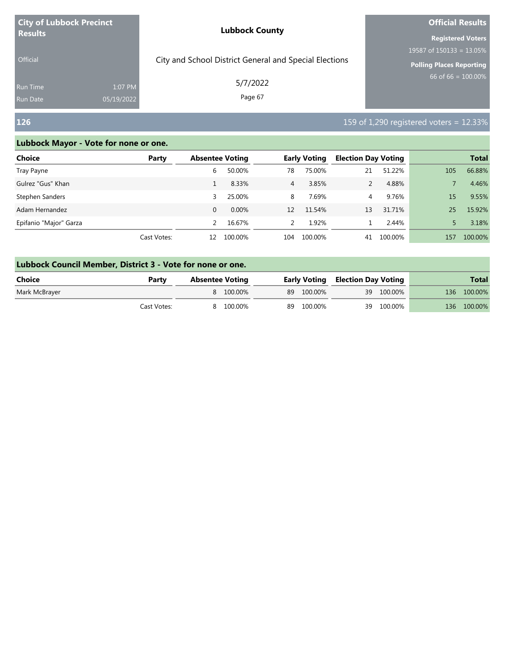| <b>City of Lubbock Precinct</b>                             | <b>Lubbock County</b>                                  | <b>Official Results</b>         |  |  |
|-------------------------------------------------------------|--------------------------------------------------------|---------------------------------|--|--|
| <b>Results</b>                                              |                                                        | <b>Registered Voters</b>        |  |  |
|                                                             |                                                        | 19587 of $150133 = 13.05\%$     |  |  |
| <b>Official</b>                                             | City and School District General and Special Elections | <b>Polling Places Reporting</b> |  |  |
| 1:07 PM<br><b>Run Time</b><br>05/19/2022<br><b>Run Date</b> | 5/7/2022<br>Page 67                                    | 66 of 66 = $100.00\%$           |  |  |

# **126 126 126 128 128 128 128 129 129 129 129 129 129 129 129 129 129 129 129 129 129 129 129 129 129 129 129 129 129 129 129 129 129 129 129 129 129**

r.

| Choice                 | Party       | <b>Absentee Voting</b> |          |                | <b>Early Voting</b> | <b>Election Day Voting</b> |         |     | <b>Total</b> |
|------------------------|-------------|------------------------|----------|----------------|---------------------|----------------------------|---------|-----|--------------|
| Tray Payne             |             | 6                      | 50.00%   | 78             | 75.00%              | 21                         | 51.22%  | 105 | 66.88%       |
| Gulrez "Gus" Khan      |             |                        | 8.33%    | $\overline{4}$ | 3.85%               |                            | 4.88%   |     | 4.46%        |
| Stephen Sanders        |             | 3                      | 25.00%   | 8              | 7.69%               | $\overline{4}$             | 9.76%   | 15  | 9.55%        |
| Adam Hernandez         |             | $\Omega$               | $0.00\%$ | 12             | 11.54%              | 13                         | 31.71%  | 25  | 15.92%       |
| Epifanio "Major" Garza |             | $\mathcal{P}$          | 16.67%   | $\mathcal{L}$  | 1.92%               |                            | 2.44%   |     | 3.18%        |
|                        | Cast Votes: | 12                     | 100.00%  | 104            | 100.00%             | 41                         | 100.00% | 157 | 100.00%      |

| Lubbock Council Member, District 3 - Vote for none or one. |             |                        |  |            |                                         |            |  |              |  |
|------------------------------------------------------------|-------------|------------------------|--|------------|-----------------------------------------|------------|--|--------------|--|
| Choice                                                     | Party       | <b>Absentee Voting</b> |  |            | <b>Early Voting Election Day Voting</b> |            |  | <b>Total</b> |  |
| Mark McBrayer                                              |             | 8 100.00%              |  | 89 100.00% |                                         | 39 100.00% |  | 136 100.00%  |  |
|                                                            | Cast Votes: | 8 100.00%              |  | 89 100.00% |                                         | 39 100.00% |  | 136 100.00%  |  |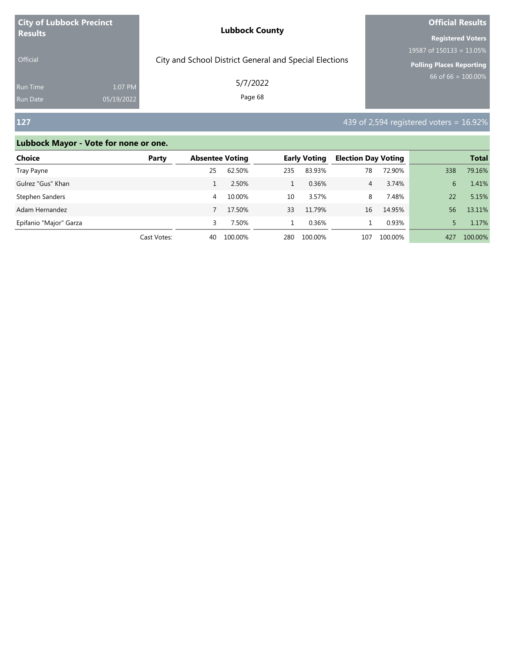| <b>City of Lubbock Precinct</b> |            | <b>Lubbock County</b>                                  | <b>Official Results</b>         |  |  |
|---------------------------------|------------|--------------------------------------------------------|---------------------------------|--|--|
| <b>Results</b>                  |            |                                                        | <b>Registered Voters</b>        |  |  |
|                                 |            |                                                        | 19587 of $150133 = 13.05\%$     |  |  |
| <b>Official</b>                 |            | City and School District General and Special Elections | <b>Polling Places Reporting</b> |  |  |
| <b>Run Time</b>                 | 1:07 PM    | 5/7/2022                                               | 66 of 66 = $100.00\%$           |  |  |
| <b>Run Date</b>                 | 05/19/2022 | Page 68                                                |                                 |  |  |

# **127 127 127 127 128 128 128 128 128 128 128 128 128 128 128 128 128 128 128 128 128 128 128 128 128 128 128 128 128 128 128 128 128 128 128 128 128**

| <b>Choice</b>          | Party       | <b>Absentee Voting</b> |         |     | <b>Early Voting</b> | <b>Election Day Voting</b> |         |     | <b>Total</b> |
|------------------------|-------------|------------------------|---------|-----|---------------------|----------------------------|---------|-----|--------------|
| Tray Payne             |             | 25                     | 62.50%  | 235 | 83.93%              | 78                         | 72.90%  | 338 | 79.16%       |
| Gulrez "Gus" Khan      |             |                        | 2.50%   |     | 0.36%               | 4                          | 3.74%   | 6   | 1.41%        |
| Stephen Sanders        |             | 4                      | 10.00%  | 10  | 3.57%               | 8                          | 7.48%   | 22  | 5.15%        |
| Adam Hernandez         |             |                        | 17.50%  | 33  | 11.79%              | 16                         | 14.95%  | 56  | 13.11%       |
| Epifanio "Major" Garza |             |                        | 7.50%   |     | 0.36%               |                            | 0.93%   |     | 1.17%        |
|                        | Cast Votes: | 40                     | 100.00% | 280 | 100.00%             | 107                        | 100.00% | 427 | 100.00%      |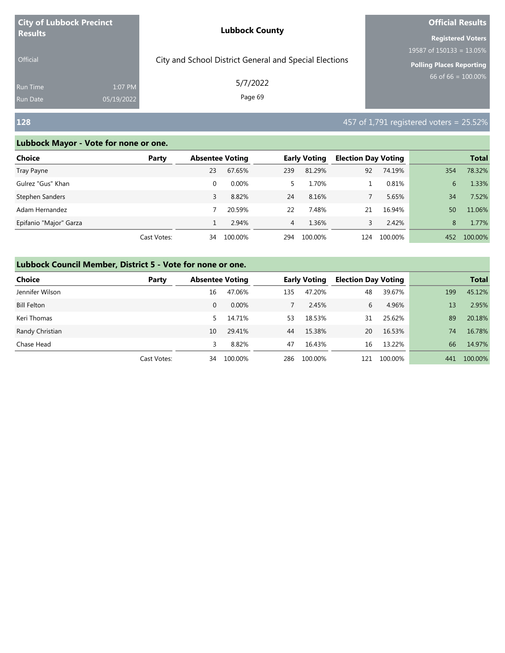| <b>City of Lubbock Precinct</b>    |                       | <b>Lubbock County</b>                                  | <b>Official Results</b>                                                                    |
|------------------------------------|-----------------------|--------------------------------------------------------|--------------------------------------------------------------------------------------------|
| <b>Results</b><br><b>Official</b>  |                       | City and School District General and Special Elections | <b>Registered Voters</b><br>19587 of $150133 = 13.05\%$<br><b>Polling Places Reporting</b> |
| <b>Run Time</b><br><b>Run Date</b> | 1:07 PM<br>05/19/2022 | 5/7/2022<br>Page 69                                    | 66 of 66 = $100.00\%$                                                                      |
| <b>128</b>                         |                       |                                                        | 457 of 1,791 registered voters = 25.52%                                                    |

| Choice                 | Party       | <b>Absentee Voting</b> |          |                | <b>Early Voting</b> | <b>Election Day Voting</b> |         |     | <b>Total</b> |
|------------------------|-------------|------------------------|----------|----------------|---------------------|----------------------------|---------|-----|--------------|
| Tray Payne             |             | 23                     | 67.65%   | 239            | 81.29%              | 92                         | 74.19%  | 354 | 78.32%       |
| Gulrez "Gus" Khan      |             | $\Omega$               | $0.00\%$ | 5.             | 1.70%               |                            | 0.81%   | 6   | 1.33%        |
| Stephen Sanders        |             |                        | 8.82%    | 24             | 8.16%               |                            | 5.65%   | 34  | 7.52%        |
| Adam Hernandez         |             |                        | 20.59%   | 22             | 7.48%               | 21                         | 16.94%  | 50  | 11.06%       |
| Epifanio "Major" Garza |             |                        | 2.94%    | $\overline{4}$ | 1.36%               | 3                          | 2.42%   | 8   | 1.77%        |
|                        | Cast Votes: | 34                     | 100.00%  | 294            | 100.00%             | 124                        | 100.00% | 452 | 100.00%      |

| <b>Choice</b>      | Party       | <b>Absentee Voting</b> |         |     | <b>Early Voting</b> | <b>Election Day Voting</b> |         |     | <b>Total</b> |
|--------------------|-------------|------------------------|---------|-----|---------------------|----------------------------|---------|-----|--------------|
| Jennifer Wilson    |             | 16                     | 47.06%  | 135 | 47.20%              | 48                         | 39.67%  | 199 | 45.12%       |
| <b>Bill Felton</b> |             | $\mathbf{0}$           | 0.00%   |     | 2.45%               | 6                          | 4.96%   | 13  | 2.95%        |
| Keri Thomas        |             | 5.                     | 14.71%  | 53  | 18.53%              | 31                         | 25.62%  | 89  | 20.18%       |
| Randy Christian    |             | 10                     | 29.41%  | 44  | 15.38%              | 20                         | 16.53%  | 74  | 16.78%       |
| Chase Head         |             | 3                      | 8.82%   | 47  | 16.43%              | 16                         | 13.22%  | 66  | 14.97%       |
|                    | Cast Votes: | 34                     | 100.00% | 286 | 100.00%             | 121                        | 100.00% | 441 | 100.00%      |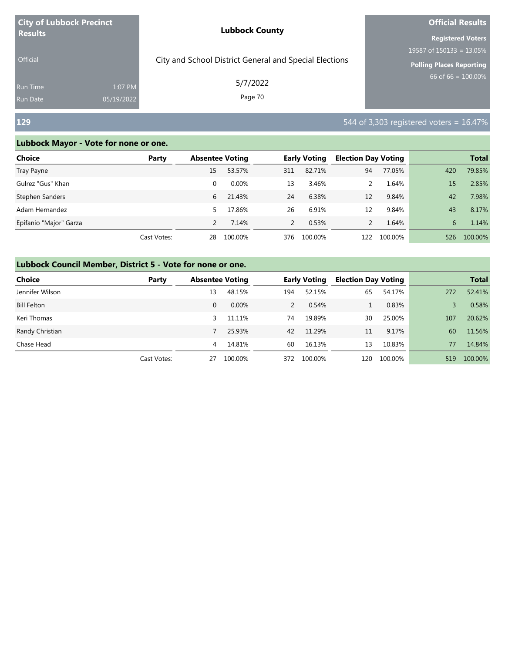| <b>City of Lubbock Precinct</b>    |                       | <b>Lubbock County</b>                                  | <b>Official Results</b>                                                                    |
|------------------------------------|-----------------------|--------------------------------------------------------|--------------------------------------------------------------------------------------------|
| <b>Results</b><br><b>Official</b>  |                       | City and School District General and Special Elections | <b>Registered Voters</b><br>19587 of $150133 = 13.05\%$<br><b>Polling Places Reporting</b> |
| <b>Run Time</b><br><b>Run Date</b> | 1:07 PM<br>05/19/2022 | 5/7/2022<br>Page 70                                    | 66 of 66 = $\overline{100.00\%}$                                                           |
| <b>129</b>                         |                       |                                                        | 544 of 3,303 registered voters $= 16.47\%$                                                 |

| Choice                 | Party       | <b>Absentee Voting</b> |          |               | <b>Early Voting</b> | <b>Election Day Voting</b> |         |     | <b>Total</b> |
|------------------------|-------------|------------------------|----------|---------------|---------------------|----------------------------|---------|-----|--------------|
| Tray Payne             |             | 15                     | 53.57%   | 311           | 82.71%              | 94                         | 77.05%  | 420 | 79.85%       |
| Gulrez "Gus" Khan      |             | $\Omega$               | $0.00\%$ | 13            | 3.46%               |                            | 1.64%   | 15  | 2.85%        |
| Stephen Sanders        |             | 6                      | 21.43%   | 24            | 6.38%               | 12                         | 9.84%   | 42  | 7.98%        |
| Adam Hernandez         |             | 5                      | 17.86%   | 26            | 6.91%               | 12                         | 9.84%   | 43  | 8.17%        |
| Epifanio "Major" Garza |             |                        | 7.14%    | $\mathcal{P}$ | 0.53%               |                            | 1.64%   | 6   | 1.14%        |
|                        | Cast Votes: | 28                     | 100.00%  | 376           | 100.00%             | 122                        | 100.00% | 526 | 100.00%      |

| <b>Choice</b>      | Party       | <b>Absentee Voting</b> |         |     | <b>Early Voting</b> | <b>Election Day Voting</b> |         |     | <b>Total</b> |
|--------------------|-------------|------------------------|---------|-----|---------------------|----------------------------|---------|-----|--------------|
| Jennifer Wilson    |             | 13                     | 48.15%  | 194 | 52.15%              | 65                         | 54.17%  | 272 | 52.41%       |
| <b>Bill Felton</b> |             | $\Omega$               | 0.00%   | 2   | 0.54%               |                            | 0.83%   |     | 0.58%        |
| Keri Thomas        |             | 3                      | 11.11%  | 74  | 19.89%              | 30                         | 25.00%  | 107 | 20.62%       |
| Randy Christian    |             |                        | 25.93%  | 42  | 11.29%              | 11                         | 9.17%   | 60  | 11.56%       |
| Chase Head         |             | 4                      | 14.81%  | 60  | 16.13%              | 13                         | 10.83%  | 77  | 14.84%       |
|                    | Cast Votes: | 27                     | 100.00% | 372 | 100.00%             | 120                        | 100.00% | 519 | 100.00%      |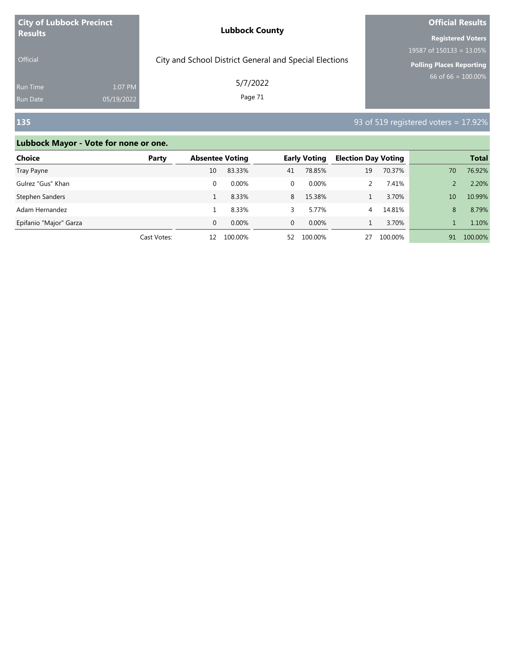| <b>City of Lubbock Precinct</b> |            | <b>Lubbock County</b>                                  | <b>Official Results</b>         |  |  |
|---------------------------------|------------|--------------------------------------------------------|---------------------------------|--|--|
| <b>Results</b>                  |            |                                                        | <b>Registered Voters</b>        |  |  |
|                                 |            |                                                        | 19587 of $150133 = 13.05\%$     |  |  |
| <b>Official</b>                 |            | City and School District General and Special Elections | <b>Polling Places Reporting</b> |  |  |
| <b>Run Time</b>                 | 1:07 PM    | 5/7/2022                                               | $66$ of 66 = 100.00%            |  |  |
| Run Date                        | 05/19/2022 | Page 71                                                |                                 |  |  |

# **135** 93 of 519 registered voters = 17.92%

| Choice                 | Party       | <b>Absentee Voting</b> |          |          | <b>Early Voting</b> | <b>Election Day Voting</b> |         |                 | <b>Total</b> |
|------------------------|-------------|------------------------|----------|----------|---------------------|----------------------------|---------|-----------------|--------------|
| Tray Payne             |             | 10                     | 83.33%   | 41       | 78.85%              | 19                         | 70.37%  | 70              | 76.92%       |
| Gulrez "Gus" Khan      |             |                        | $0.00\%$ | 0        | $0.00\%$            |                            | 7.41%   |                 | 2.20%        |
| Stephen Sanders        |             |                        | 8.33%    | 8        | 15.38%              |                            | 3.70%   | 10 <sup>1</sup> | 10.99%       |
| Adam Hernandez         |             |                        | 8.33%    | 3        | 5.77%               | 4                          | 14.81%  | 8               | 8.79%        |
| Epifanio "Major" Garza |             | $\Omega$               | $0.00\%$ | $\Omega$ | $0.00\%$            |                            | 3.70%   |                 | 1.10%        |
|                        | Cast Votes: | 12                     | 100.00%  | 52       | 100.00%             | 27                         | 100.00% | 91              | 100.00%      |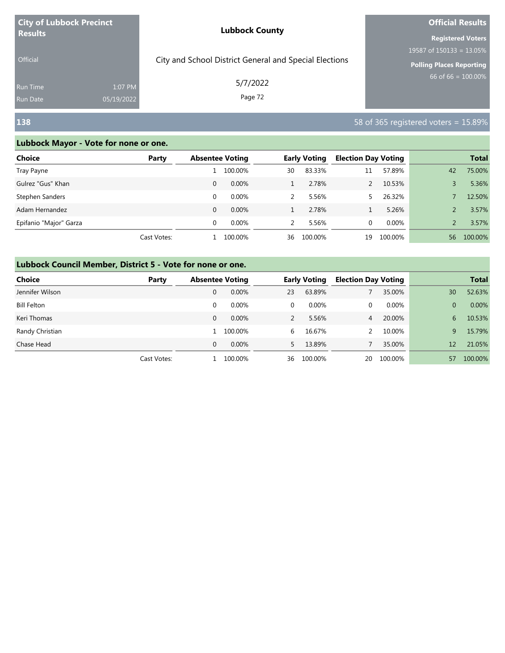| <b>City of Lubbock Precinct</b>    |                       | <b>Lubbock County</b>                                  | <b>Official Results</b>                                                             |  |  |
|------------------------------------|-----------------------|--------------------------------------------------------|-------------------------------------------------------------------------------------|--|--|
| <b>Results</b><br><b>Official</b>  |                       | City and School District General and Special Elections | <b>Registered Voters</b><br>19587 of $150133 = 13.05\%$<br>Polling Places Reporting |  |  |
| <b>Run Time</b><br><b>Run Date</b> | 1:07 PM<br>05/19/2022 | 5/7/2022<br>Page 72                                    | 66 of 66 = $\overline{100.00\%}$                                                    |  |  |
| 138                                |                       |                                                        | 58 of 365 registered voters = $15.89\%$                                             |  |  |

| Choice                 | Party       | <b>Absentee Voting</b> |          | <b>Early Voting</b> |         | <b>Election Day Voting</b> |         | <b>Total</b> |         |
|------------------------|-------------|------------------------|----------|---------------------|---------|----------------------------|---------|--------------|---------|
| Tray Payne             |             |                        | 100.00%  | 30                  | 83.33%  | 11                         | 57.89%  | 42           | 75.00%  |
| Gulrez "Gus" Khan      |             | 0                      | $0.00\%$ |                     | 2.78%   |                            | 10.53%  |              | 5.36%   |
| Stephen Sanders        |             | $\Omega$               | $0.00\%$ | 2                   | 5.56%   |                            | 26.32%  |              | 12.50%  |
| Adam Hernandez         |             | $\Omega$               | $0.00\%$ |                     | 2.78%   |                            | 5.26%   |              | 3.57%   |
| Epifanio "Major" Garza |             | 0                      | $0.00\%$ | 2                   | 5.56%   | 0                          | 0.00%   |              | 3.57%   |
|                        | Cast Votes: |                        | 100.00%  | 36                  | 100.00% | 19                         | 100.00% | 56           | 100.00% |

| <b>Choice</b><br>Party |             | <b>Absentee Voting</b> |          | <b>Early Voting</b> |          | <b>Election Day Voting</b> |         |          | <b>Total</b> |
|------------------------|-------------|------------------------|----------|---------------------|----------|----------------------------|---------|----------|--------------|
| Jennifer Wilson        |             | 0                      | 0.00%    | 23                  | 63.89%   |                            | 35.00%  | 30       | 52.63%       |
| <b>Bill Felton</b>     |             | 0                      | $0.00\%$ | 0                   | $0.00\%$ | 0                          | 0.00%   | $\Omega$ | 0.00%        |
| Keri Thomas            |             | 0                      | 0.00%    |                     | 5.56%    | 4                          | 20.00%  | 6.       | 10.53%       |
| Randy Christian        |             |                        | 100.00%  | 6.                  | 16.67%   |                            | 10.00%  | 9        | 15.79%       |
| Chase Head             |             | 0                      | $0.00\%$ |                     | 13.89%   |                            | 35.00%  | 12       | 21.05%       |
|                        | Cast Votes: |                        | 100.00%  | 36                  | 100.00%  | 20                         | 100.00% | 57       | 100.00%      |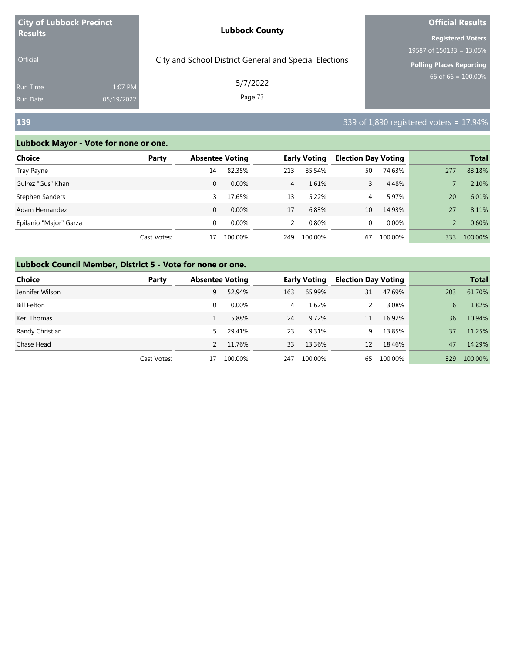| <b>City of Lubbock Precinct</b>    |                       | <b>Lubbock County</b>                                  | <b>Official Results</b>                                                             |  |  |
|------------------------------------|-----------------------|--------------------------------------------------------|-------------------------------------------------------------------------------------|--|--|
| <b>Results</b><br><b>Official</b>  |                       | City and School District General and Special Elections | <b>Registered Voters</b><br>19587 of $150133 = 13.05\%$<br>Polling Places Reporting |  |  |
| <b>Run Time</b><br><b>Run Date</b> | 1:07 PM<br>05/19/2022 | 5/7/2022<br>Page 73                                    | 66 of 66 = $\overline{100.00\%}$                                                    |  |  |
| <b>139</b>                         |                       |                                                        | 339 of 1,890 registered voters = 17.94%                                             |  |  |

### **Lubbock Mayor - Vote for none or one.**

| Choice                 | Party       | <b>Absentee Voting</b> |          |                | <b>Early Voting</b> | <b>Election Day Voting</b> |         |     | <b>Total</b> |
|------------------------|-------------|------------------------|----------|----------------|---------------------|----------------------------|---------|-----|--------------|
| Tray Payne             |             | 14                     | 82.35%   | 213            | 85.54%              | 50                         | 74.63%  | 277 | 83.18%       |
| Gulrez "Gus" Khan      |             | 0                      | $0.00\%$ | $\overline{4}$ | 1.61%               | 3                          | 4.48%   |     | 2.10%        |
| Stephen Sanders        |             | 3                      | 17.65%   | 13             | 5.22%               | 4                          | 5.97%   | 20  | 6.01%        |
| Adam Hernandez         |             | 0                      | $0.00\%$ | 17             | 6.83%               | 10                         | 14.93%  | 27  | 8.11%        |
| Epifanio "Major" Garza |             | 0                      | $0.00\%$ | 2              | 0.80%               | 0                          | 0.00%   |     | 0.60%        |
|                        | Cast Votes: | 17                     | 100.00%  | 249            | 100.00%             | 67                         | 100.00% | 333 | 100.00%      |

#### **Lubbock Council Member, District 5 - Vote for none or one.**

| Choice             | Party       | <b>Absentee Voting</b> |         |     | <b>Early Voting</b> | <b>Election Day Voting</b> |         |     | <b>Total</b> |
|--------------------|-------------|------------------------|---------|-----|---------------------|----------------------------|---------|-----|--------------|
| Jennifer Wilson    |             | 9                      | 52.94%  | 163 | 65.99%              | 31                         | 47.69%  | 203 | 61.70%       |
| <b>Bill Felton</b> |             | 0                      | 0.00%   | 4   | 1.62%               |                            | 3.08%   | 6   | 1.82%        |
| Keri Thomas        |             |                        | 5.88%   | 24  | 9.72%               | 11                         | 16.92%  | 36  | 10.94%       |
| Randy Christian    |             | 5.                     | 29.41%  | 23  | 9.31%               | 9.                         | 13.85%  | 37  | 11.25%       |
| Chase Head         |             |                        | 11.76%  | 33  | 13.36%              | 12                         | 18.46%  | 47  | 14.29%       |
|                    | Cast Votes: | 17                     | 100.00% | 247 | 100.00%             | 65                         | 100.00% | 329 | 100.00%      |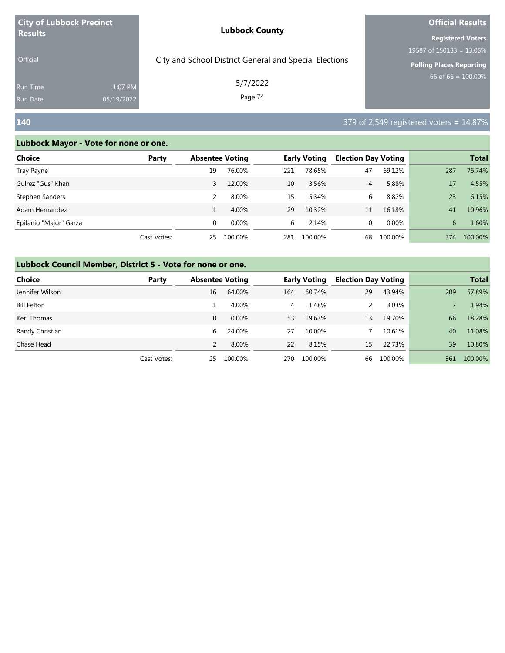| <b>City of Lubbock Precinct</b>    |                       | <b>Lubbock County</b>                                  | <b>Official Results</b>                                                             |  |  |
|------------------------------------|-----------------------|--------------------------------------------------------|-------------------------------------------------------------------------------------|--|--|
| <b>Results</b><br><b>Official</b>  |                       | City and School District General and Special Elections | <b>Registered Voters</b><br>19587 of $150133 = 13.05\%$<br>Polling Places Reporting |  |  |
| <b>Run Time</b><br><b>Run Date</b> | 1:07 PM<br>05/19/2022 | 5/7/2022<br>Page 74                                    | 66 of 66 = $\overline{100.00\%}$                                                    |  |  |
| <b>140</b>                         |                       |                                                        | 379 of 2,549 registered voters = $14.87\%$                                          |  |  |

#### **Lubbock Mayor - Vote for none or one.**

| Choice                 | Party       | <b>Absentee Voting</b> |          |     | <b>Early Voting</b> | <b>Election Day Voting</b> |         |     | <b>Total</b> |
|------------------------|-------------|------------------------|----------|-----|---------------------|----------------------------|---------|-----|--------------|
| Tray Payne             |             | 19                     | 76.00%   | 221 | 78.65%              | 47                         | 69.12%  | 287 | 76.74%       |
| Gulrez "Gus" Khan      |             | 3                      | 12.00%   | 10  | 3.56%               | 4                          | 5.88%   | 17  | 4.55%        |
| Stephen Sanders        |             |                        | 8.00%    | 15  | 5.34%               | 6                          | 8.82%   | 23  | 6.15%        |
| Adam Hernandez         |             |                        | 4.00%    | 29  | 10.32%              | 11                         | 16.18%  | 41  | 10.96%       |
| Epifanio "Major" Garza |             | 0                      | $0.00\%$ | 6   | 2.14%               | 0                          | 0.00%   | 6   | 1.60%        |
|                        | Cast Votes: | 25                     | 100.00%  | 281 | 100.00%             | 68                         | 100.00% | 374 | 100.00%      |

#### **Lubbock Council Member, District 5 - Vote for none or one.**

| <b>Choice</b>      | Party       | <b>Absentee Voting</b> |         |     | <b>Early Voting</b> | <b>Election Day Voting</b> |         |     | <b>Total</b> |
|--------------------|-------------|------------------------|---------|-----|---------------------|----------------------------|---------|-----|--------------|
| Jennifer Wilson    |             | 16                     | 64.00%  | 164 | 60.74%              | 29                         | 43.94%  | 209 | 57.89%       |
| <b>Bill Felton</b> |             |                        | 4.00%   | 4   | 1.48%               |                            | 3.03%   |     | 1.94%        |
| Keri Thomas        |             | $\Omega$               | 0.00%   | 53  | 19.63%              | 13                         | 19.70%  | 66  | 18.28%       |
| Randy Christian    |             | 6                      | 24.00%  | 27  | 10.00%              |                            | 10.61%  | 40  | 11.08%       |
| Chase Head         |             |                        | 8.00%   | 22  | 8.15%               | 15                         | 22.73%  | 39  | 10.80%       |
|                    | Cast Votes: | 25                     | 100.00% | 270 | 100.00%             | 66                         | 100.00% | 361 | 100.00%      |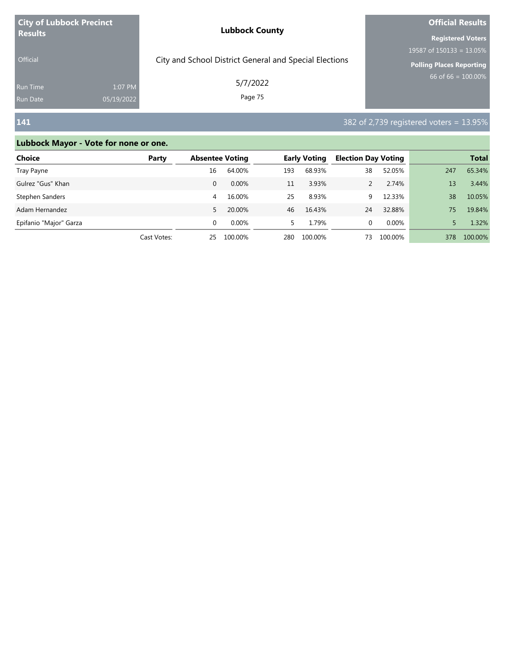| <b>City of Lubbock Precinct</b><br><b>Results</b> |            | <b>Lubbock County</b>                                  | <b>Official Results</b>     |  |  |
|---------------------------------------------------|------------|--------------------------------------------------------|-----------------------------|--|--|
|                                                   |            |                                                        | <b>Registered Voters</b>    |  |  |
|                                                   |            |                                                        | 19587 of $150133 = 13.05\%$ |  |  |
| <b>Official</b>                                   |            | City and School District General and Special Elections | Polling Places Reporting    |  |  |
| Run Time                                          | 1:07 PM    | 5/7/2022                                               | 66 of 66 = $100.00\%$       |  |  |
| <b>Run Date</b>                                   | 05/19/2022 | Page 75                                                |                             |  |  |

## **141** 382 of 2,739 registered voters = 13.95%

### **Lubbock Mayor - Vote for none or one.**

| Choice                 | Party       |          | <b>Absentee Voting</b> |     | <b>Early Voting</b> |    | <b>Election Day Voting</b> |     | <b>Total</b> |
|------------------------|-------------|----------|------------------------|-----|---------------------|----|----------------------------|-----|--------------|
| Tray Payne             |             | 16       | 64.00%                 | 193 | 68.93%              | 38 | 52.05%                     | 247 | 65.34%       |
| Gulrez "Gus" Khan      |             | 0        | 0.00%                  | 11  | 3.93%               |    | 2.74%                      | 13  | 3.44%        |
| Stephen Sanders        |             | 4        | 16.00%                 | 25  | 8.93%               | 9  | 12.33%                     | 38  | 10.05%       |
| Adam Hernandez         |             | 5.       | 20.00%                 | 46  | 16.43%              | 24 | 32.88%                     | 75. | 19.84%       |
| Epifanio "Major" Garza |             | $\Omega$ | $0.00\%$               | 5.  | 1.79%               | 0  | 0.00%                      |     | 1.32%        |
|                        | Cast Votes: | 25       | 100.00%                | 280 | 100.00%             | 73 | 100.00%                    | 378 | 100.00%      |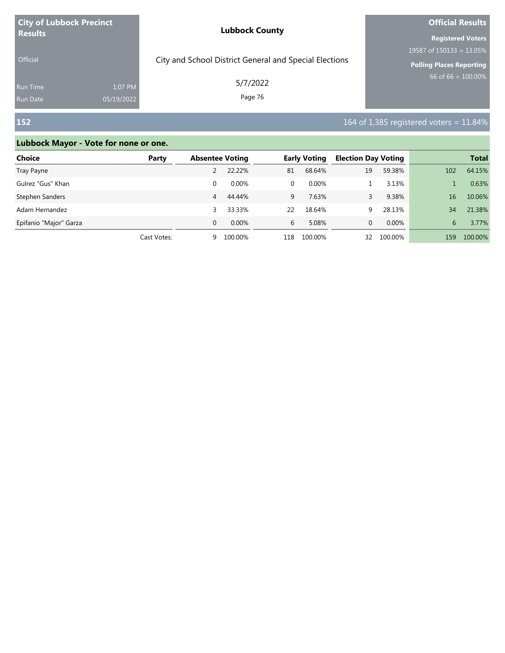| <b>City of Lubbock Precinct</b> |            | <b>Lubbock County</b>                                  | <b>Official Results</b>     |  |  |
|---------------------------------|------------|--------------------------------------------------------|-----------------------------|--|--|
| <b>Results</b>                  |            |                                                        | <b>Registered Voters</b>    |  |  |
|                                 |            |                                                        | 19587 of $150133 = 13.05\%$ |  |  |
| <b>Official</b>                 |            | City and School District General and Special Elections | Polling Places Reporting    |  |  |
| <b>Run Time</b>                 | 1:07 PM    | 5/7/2022                                               | 66 of 66 = $100.00\%$       |  |  |
| <b>Run Date</b>                 | 05/19/2022 | Page 76                                                |                             |  |  |

# **152** 152 **152** 164 of 1,385 registered voters = 11.84%

### **Lubbock Mayor - Vote for none or one.**

| <b>Choice</b>          | Party       | <b>Absentee Voting</b> |          | <b>Early Voting</b> |          | <b>Election Day Voting</b> |          |     | <b>Total</b> |
|------------------------|-------------|------------------------|----------|---------------------|----------|----------------------------|----------|-----|--------------|
| Tray Payne             |             |                        | 22.22%   | 81                  | 68.64%   | 19                         | 59.38%   | 102 | 64.15%       |
| Gulrez "Gus" Khan      |             | 0                      | $0.00\%$ | 0                   | $0.00\%$ |                            | 3.13%    |     | 0.63%        |
| Stephen Sanders        |             | 4                      | 44.44%   | 9                   | 7.63%    |                            | 9.38%    | 16  | 10.06%       |
| Adam Hernandez         |             | 3                      | 33.33%   | 22                  | 18.64%   | 9                          | 28.13%   | 34  | 21.38%       |
| Epifanio "Major" Garza |             | $\Omega$               | $0.00\%$ | 6                   | 5.08%    | 0                          | $0.00\%$ | 6   | 3.77%        |
|                        | Cast Votes: | 9                      | 100.00%  | 118                 | 100.00%  | 32                         | 100.00%  | 159 | 100.00%      |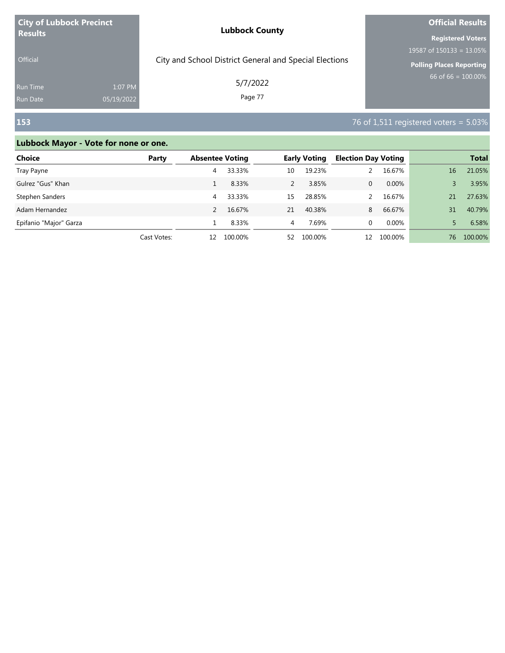| <b>City of Lubbock Precinct</b> |            | <b>Lubbock County</b>                                  | <b>Official Results</b>     |  |  |
|---------------------------------|------------|--------------------------------------------------------|-----------------------------|--|--|
| <b>Results</b>                  |            |                                                        | <b>Registered Voters</b>    |  |  |
|                                 |            |                                                        | 19587 of $150133 = 13.05\%$ |  |  |
| <b>Official</b>                 |            | City and School District General and Special Elections | Polling Places Reporting    |  |  |
| Run Time                        | 1:07 PM    | 5/7/2022                                               | 66 of 66 = $100.00\%$       |  |  |
| Run Date                        | 05/19/2022 | Page 77                                                |                             |  |  |

# **153** 76 of 1,511 registered voters = 5.03%

### **Lubbock Mayor - Vote for none or one.**

| <b>Choice</b>          | Party       | <b>Absentee Voting</b> |         | <b>Early Voting</b> |         | <b>Election Day Voting</b> |          |    | <b>Total</b> |
|------------------------|-------------|------------------------|---------|---------------------|---------|----------------------------|----------|----|--------------|
| Tray Payne             |             | 4                      | 33.33%  | 10                  | 19.23%  |                            | 16.67%   | 16 | 21.05%       |
| Gulrez "Gus" Khan      |             |                        | 8.33%   | 2                   | 3.85%   | 0                          | $0.00\%$ | 3  | 3.95%        |
| Stephen Sanders        |             | 4                      | 33.33%  | 15                  | 28.85%  |                            | 16.67%   | 21 | 27.63%       |
| Adam Hernandez         |             |                        | 16.67%  | 21                  | 40.38%  | 8                          | 66.67%   | 31 | 40.79%       |
| Epifanio "Major" Garza |             |                        | 8.33%   | 4                   | 7.69%   | 0                          | 0.00%    |    | 6.58%        |
|                        | Cast Votes: | 12                     | 100.00% | 52                  | 100.00% | 12                         | 100.00%  | 76 | 100.00%      |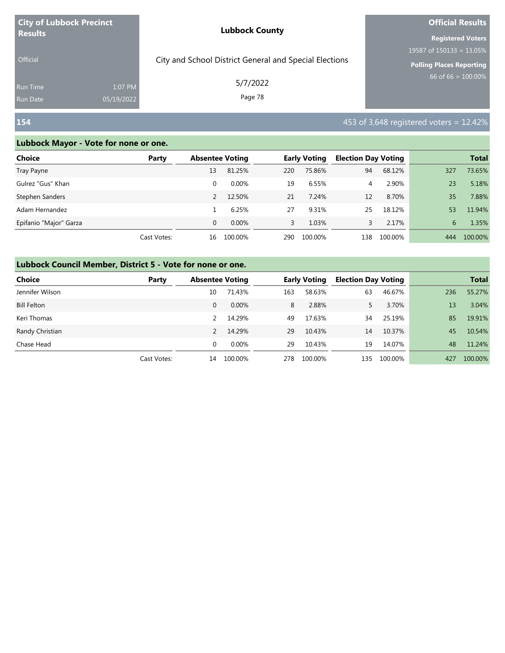| <b>City of Lubbock Precinct</b>    |                       | <b>Lubbock County</b>                                  | <b>Official Results</b>                                             |  |  |
|------------------------------------|-----------------------|--------------------------------------------------------|---------------------------------------------------------------------|--|--|
| <b>Results</b><br><b>Official</b>  |                       | City and School District General and Special Elections | <b>Registered Voters</b><br>19587 of $150133 = 13.05\%$             |  |  |
| <b>Run Time</b><br><b>Run Date</b> | 1:07 PM<br>05/19/2022 | 5/7/2022<br>Page 78                                    | <b>Polling Places Reporting</b><br>66 of 66 = $\overline{100.00\%}$ |  |  |
| 154                                |                       |                                                        | 453 of 3,648 registered voters = $12.42\%$                          |  |  |

#### **Lubbock Mayor - Vote for none or one.**

| Choice                 | Party       | <b>Absentee Voting</b> |          |     | <b>Early Voting</b> | <b>Election Day Voting</b> |         |     | <b>Total</b> |
|------------------------|-------------|------------------------|----------|-----|---------------------|----------------------------|---------|-----|--------------|
| Tray Payne             |             | 13                     | 81.25%   | 220 | 75.86%              | 94                         | 68.12%  | 327 | 73.65%       |
| Gulrez "Gus" Khan      |             | 0                      | $0.00\%$ | 19  | 6.55%               | 4                          | 2.90%   | 23  | 5.18%        |
| Stephen Sanders        |             |                        | 12.50%   | 21  | 7.24%               | 12                         | 8.70%   | 35  | 7.88%        |
| Adam Hernandez         |             |                        | 6.25%    | 27  | 9.31%               | 25                         | 18.12%  | 53  | 11.94%       |
| Epifanio "Major" Garza |             | $\Omega$               | $0.00\%$ | 3   | 1.03%               | 3                          | 2.17%   | 6   | 1.35%        |
|                        | Cast Votes: | 16                     | 100.00%  | 290 | 100.00%             | 138                        | 100.00% | 444 | 100.00%      |

#### **Lubbock Council Member, District 5 - Vote for none or one.**

| <b>Choice</b>      | Party       | <b>Absentee Voting</b> |         |     | <b>Early Voting</b> | <b>Election Day Voting</b> |         |     | <b>Total</b> |
|--------------------|-------------|------------------------|---------|-----|---------------------|----------------------------|---------|-----|--------------|
| Jennifer Wilson    |             | 10                     | 71.43%  | 163 | 58.63%              | 63                         | 46.67%  | 236 | 55.27%       |
| <b>Bill Felton</b> |             | 0                      | 0.00%   | 8   | 2.88%               |                            | 3.70%   | 13  | 3.04%        |
| Keri Thomas        |             |                        | 14.29%  | 49  | 17.63%              | 34                         | 25.19%  | 85  | 19.91%       |
| Randy Christian    |             |                        | 14.29%  | 29  | 10.43%              | 14                         | 10.37%  | 45  | 10.54%       |
| Chase Head         |             | 0                      | 0.00%   | 29  | 10.43%              | 19                         | 14.07%  | 48  | 11.24%       |
|                    | Cast Votes: | 14                     | 100.00% | 278 | 100.00%             | 135                        | 100.00% | 427 | 100.00%      |